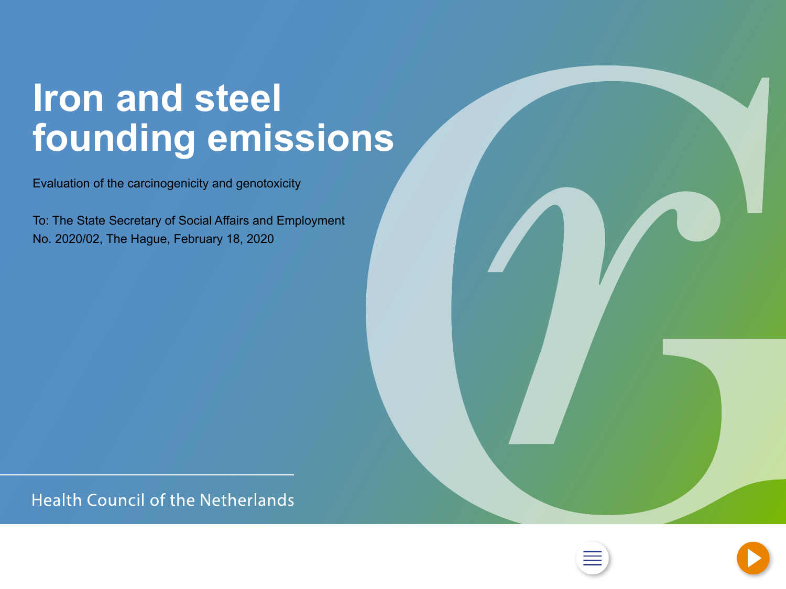### <span id="page-0-0"></span>**Iron and steel founding emissions**

Evaluation of the carcinogenicity and genotoxicity

To: The State Secretary of Social Affairs and Employment No. 2020/02, The Hague, February 18, 2020

**Health Council of the Netherlands** 



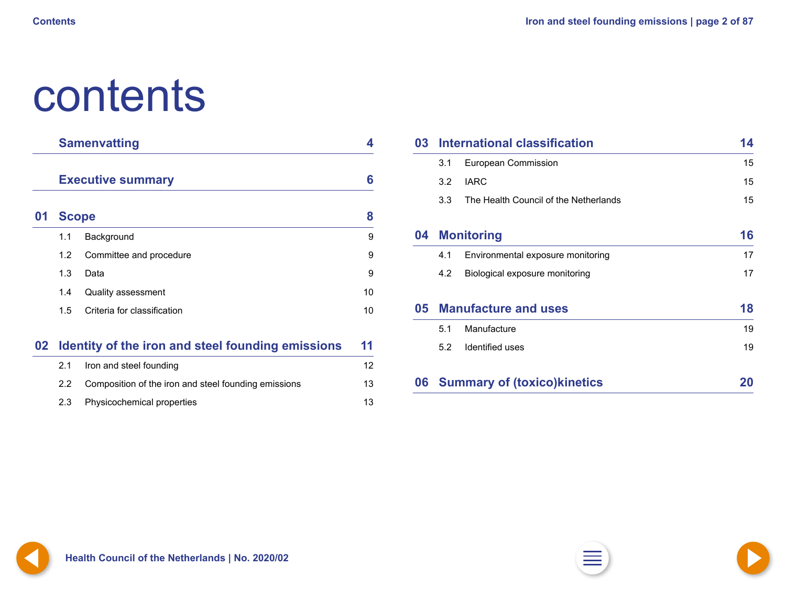## <span id="page-1-0"></span>contents

|          | <b>Samenvatting</b>      |   |
|----------|--------------------------|---|
|          | <b>Executive summary</b> | 6 |
| <b>A</b> | $\mathbf{a}$             | œ |

| 01 Scope         |                             | 8  |  |
|------------------|-----------------------------|----|--|
| 1.1              | Background                  | 9  |  |
| 1.2 <sub>2</sub> | Committee and procedure     | 9  |  |
| 1.3              | Data                        | 9  |  |
| 1.4              | <b>Quality assessment</b>   | 10 |  |
| 15               | Criteria for classification | 10 |  |
|                  |                             |    |  |

### **02 [Identity of the iron and steel founding emissions](#page-10-0) 11**

| 2.1 | Iron and steel founding                              | 12 |
|-----|------------------------------------------------------|----|
| 2.2 | Composition of the iron and steel founding emissions | 13 |
|     | 2.3 Physicochemical properties                       | 13 |

| 03 | International classification |                                       |    |  |
|----|------------------------------|---------------------------------------|----|--|
|    | 3.1                          | <b>European Commission</b>            | 15 |  |
|    | 3.2                          | <b>IARC</b>                           | 15 |  |
|    | 3.3                          | The Health Council of the Netherlands | 15 |  |
| 04 |                              | <b>Monitoring</b>                     | 16 |  |
|    | 4.1                          | Environmental exposure monitoring     | 17 |  |
|    | 4.2                          | Biological exposure monitoring        | 17 |  |
| 05 |                              | <b>Manufacture and uses</b>           | 18 |  |
|    | 5.1                          | Manufacture                           | 19 |  |
|    | 5.2                          | Identified uses                       | 19 |  |
| 06 |                              | <b>Summary of (toxico) kinetics</b>   |    |  |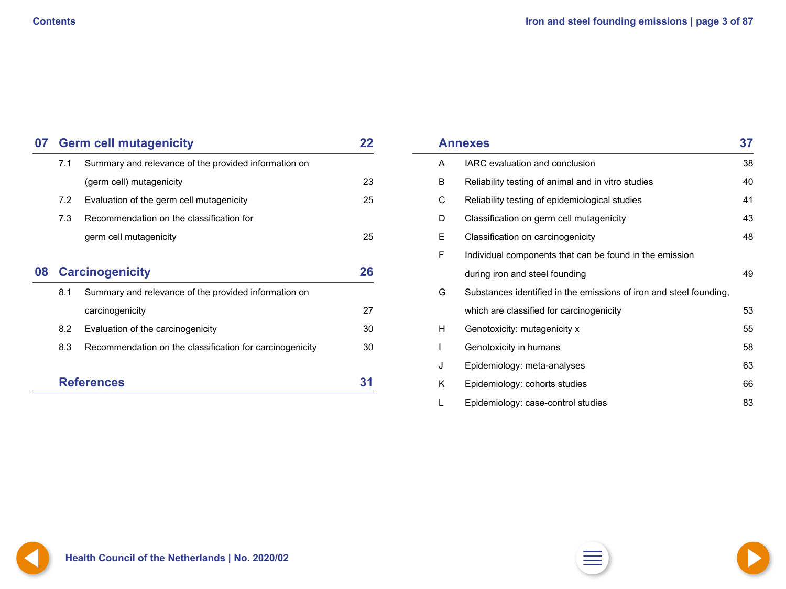<span id="page-2-0"></span>

| 07 |                                                             | <b>Germ cell mutagenicity</b><br>22                      |    |  |  |
|----|-------------------------------------------------------------|----------------------------------------------------------|----|--|--|
|    | Summary and relevance of the provided information on<br>7.1 |                                                          |    |  |  |
|    |                                                             | (germ cell) mutagenicity                                 | 23 |  |  |
|    | 7.2                                                         | Evaluation of the germ cell mutagenicity                 | 25 |  |  |
|    | 7.3                                                         | Recommendation on the classification for                 |    |  |  |
|    |                                                             | germ cell mutagenicity                                   | 25 |  |  |
| 08 |                                                             | <b>Carcinogenicity</b>                                   | 26 |  |  |
|    | Summary and relevance of the provided information on<br>8.1 |                                                          |    |  |  |
|    |                                                             | carcinogenicity                                          | 27 |  |  |
|    | 8.2                                                         | Evaluation of the carcinogenicity                        | 30 |  |  |
|    | 8.3                                                         | Recommendation on the classification for carcinogenicity | 30 |  |  |
|    |                                                             | <b>References</b>                                        |    |  |  |

|   | <b>Annexes</b>                                                     | 37 |
|---|--------------------------------------------------------------------|----|
| A | IARC evaluation and conclusion                                     | 38 |
| B | Reliability testing of animal and in vitro studies                 | 40 |
| С | Reliability testing of epidemiological studies                     | 41 |
| D | Classification on germ cell mutagenicity                           | 43 |
| Ε | Classification on carcinogenicity                                  | 48 |
| F | Individual components that can be found in the emission            |    |
|   | during iron and steel founding                                     | 49 |
| G | Substances identified in the emissions of iron and steel founding, |    |
|   | which are classified for carcinogenicity                           | 53 |
| H | Genotoxicity: mutagenicity x                                       | 55 |
|   | Genotoxicity in humans                                             | 58 |
| J | Epidemiology: meta-analyses                                        | 63 |
| K | Epidemiology: cohorts studies                                      | 66 |
|   | Epidemiology: case-control studies                                 | 83 |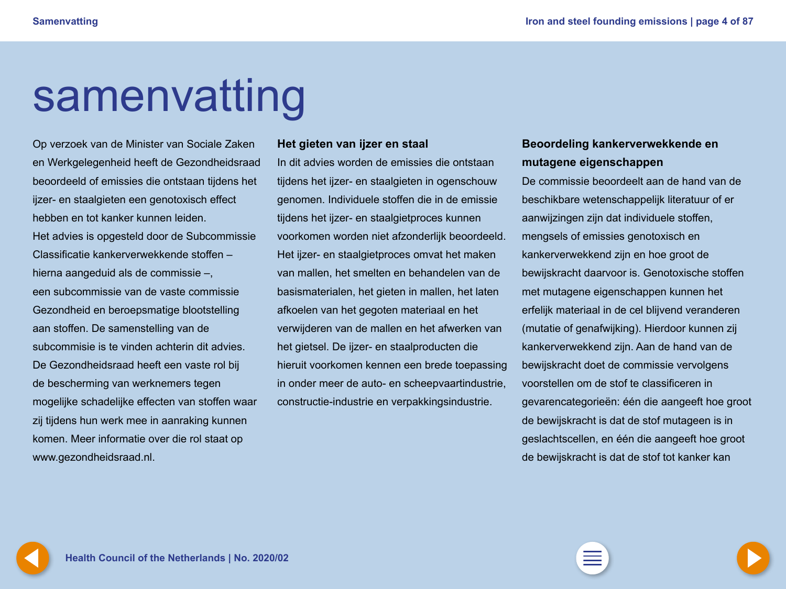# <span id="page-3-0"></span>samenvatting

Op verzoek van de Minister van Sociale Zaken en Werkgelegenheid heeft de Gezondheidsraad beoordeeld of emissies die ontstaan tijdens het ijzer- en staalgieten een genotoxisch effect hebben en tot kanker kunnen leiden. Het advies is opgesteld door de Subcommissie Classificatie kankerverwekkende stoffen – hierna aangeduid als de commissie –, een subcommissie van de vaste commissie Gezondheid en beroepsmatige blootstelling aan stoffen. De samenstelling van de subcommisie is te vinden achterin dit advies. De Gezondheidsraad heeft een vaste rol bij de bescherming van werknemers tegen mogelijke schadelijke effecten van stoffen waar zij tijdens hun werk mee in aanraking kunnen komen. Meer informatie over die rol staat op www.gezondheidsraad.nl.

#### **Het gieten van ijzer en staal**

In dit advies worden de emissies die ontstaan tijdens het ijzer- en staalgieten in ogenschouw genomen. Individuele stoffen die in de emissie tijdens het ijzer- en staalgietproces kunnen voorkomen worden niet afzonderlijk beoordeeld. Het ijzer- en staalgietproces omvat het maken van mallen, het smelten en behandelen van de basismaterialen, het gieten in mallen, het laten afkoelen van het gegoten materiaal en het verwijderen van de mallen en het afwerken van het gietsel. De ijzer- en staalproducten die hieruit voorkomen kennen een brede toepassing in onder meer de auto- en scheepvaartindustrie, constructie-industrie en verpakkingsindustrie.

### **Beoordeling kankerverwekkende en mutagene eigenschappen**

De commissie beoordeelt aan de hand van de beschikbare wetenschappelijk literatuur of er aanwijzingen zijn dat individuele stoffen, mengsels of emissies genotoxisch en kankerverwekkend zijn en hoe groot de bewijskracht daarvoor is. Genotoxische stoffen met mutagene eigenschappen kunnen het erfelijk materiaal in de cel blijvend veranderen (mutatie of genafwijking). Hierdoor kunnen zij kankerverwekkend zijn. Aan de hand van de bewijskracht doet de commissie vervolgens voorstellen om de stof te classificeren in gevarencategorieën: één die aangeeft hoe groot de bewijskracht is dat de stof mutageen is in geslachtscellen, en één die aangeeft hoe groot de bewijskracht is dat de stof tot kanker kan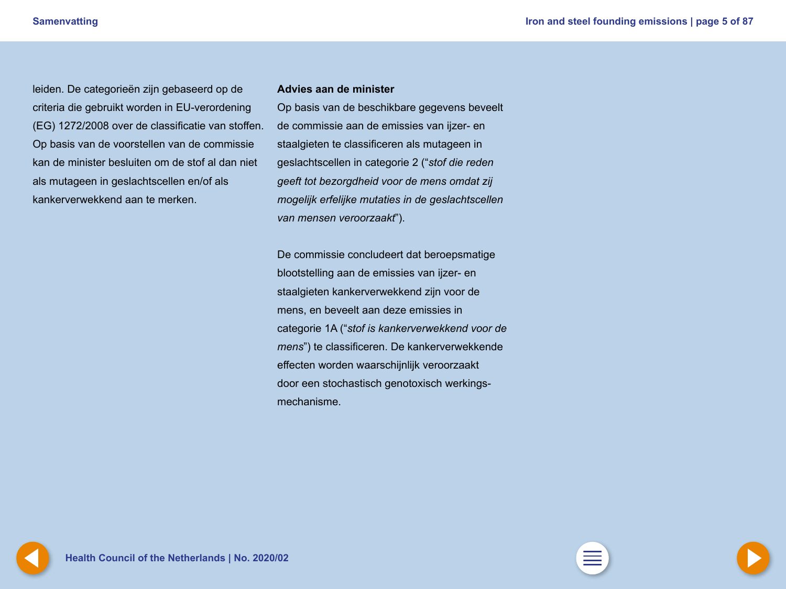<span id="page-4-0"></span>leiden. De categorieën zijn gebaseerd op de criteria die gebruikt worden in EU-verordening (EG) 1272/2008 over de classificatie van stoffen. Op basis van de voorstellen van de commissie kan de minister besluiten om de stof al dan niet als mutageen in geslachtscellen en/of als kankerverwekkend aan te merken.

#### **Advies aan de minister**

Op basis van de beschikbare gegevens beveelt de commissie aan de emissies van ijzer- en staalgieten te classificeren als mutageen in geslachtscellen in categorie 2 ("*stof die reden geeft tot bezorgdheid voor de mens omdat zij mogelijk erfelijke mutaties in de geslachtscellen van mensen veroorzaakt*").

De commissie concludeert dat beroepsmatige blootstelling aan de emissies van ijzer- en staalgieten kankerverwekkend zijn voor de mens, en beveelt aan deze emissies in categorie 1A ("*stof is kankerverwekkend voor de mens*") te classificeren. De kankerverwekkende effecten worden waarschijnlijk veroorzaakt door een stochastisch genotoxisch werkingsmechanisme.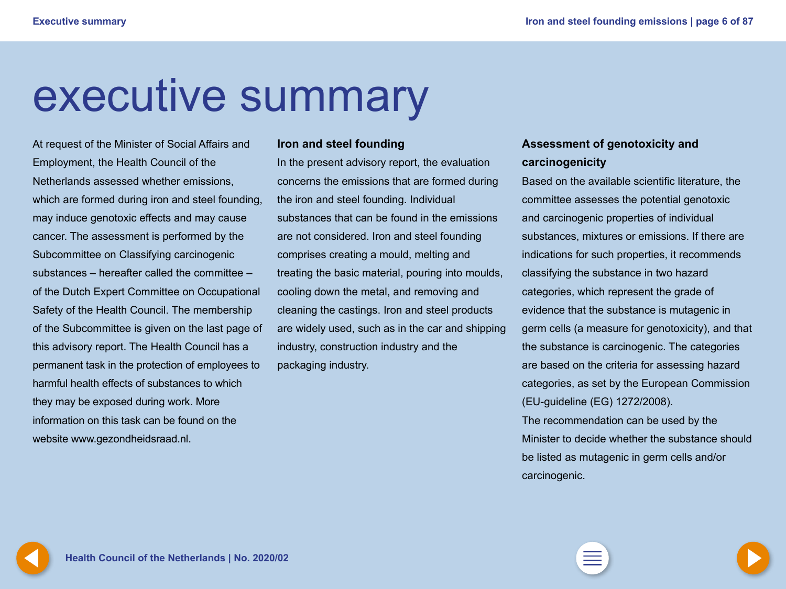## <span id="page-5-0"></span>executive summary

At request of the Minister of Social Affairs and Employment, the Health Council of the Netherlands assessed whether emissions, which are formed during iron and steel founding, may induce genotoxic effects and may cause cancer. The assessment is performed by the Subcommittee on Classifying carcinogenic substances – hereafter called the committee – of the Dutch Expert Committee on Occupational Safety of the Health Council. The membership of the Subcommittee is given on the last page of this advisory report. The Health Council has a permanent task in the protection of employees to harmful health effects of substances to which they may be exposed during work. More information on this task can be found on the website www.gezondheidsraad.nl.

#### **Iron and steel founding**

In the present advisory report, the evaluation concerns the emissions that are formed during the iron and steel founding. Individual substances that can be found in the emissions are not considered. Iron and steel founding comprises creating a mould, melting and treating the basic material, pouring into moulds, cooling down the metal, and removing and cleaning the castings. Iron and steel products are widely used, such as in the car and shipping industry, construction industry and the packaging industry.

### **Assessment of genotoxicity and carcinogenicity**

Based on the available scientific literature, the committee assesses the potential genotoxic and carcinogenic properties of individual substances, mixtures or emissions. If there are indications for such properties, it recommends classifying the substance in two hazard categories, which represent the grade of evidence that the substance is mutagenic in germ cells (a measure for genotoxicity), and that the substance is carcinogenic. The categories are based on the criteria for assessing hazard categories, as set by the European Commission (EU-guideline (EG) 1272/2008).

The recommendation can be used by the Minister to decide whether the substance should be listed as mutagenic in germ cells and/or carcinogenic.

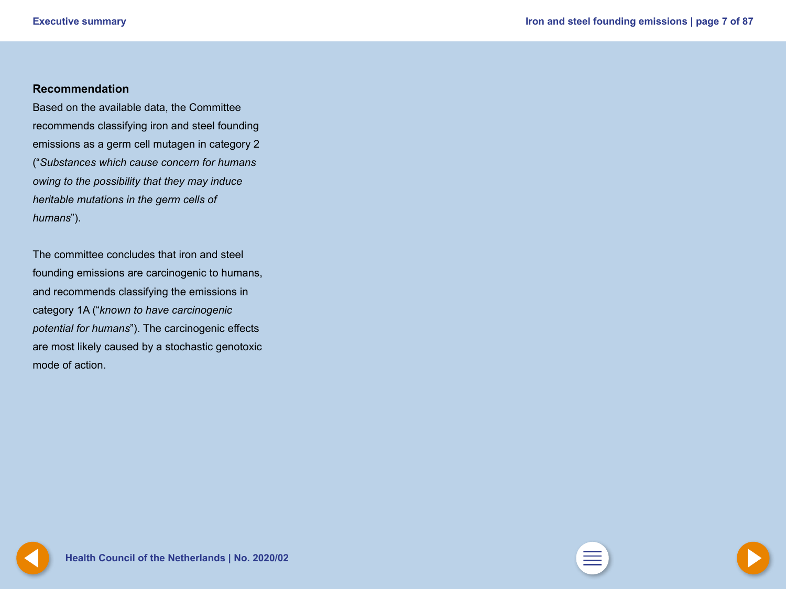#### <span id="page-6-0"></span>**Recommendation**

Based on the available data, the Committee recommends classifying iron and steel founding emissions as a germ cell mutagen in category 2 ("*Substances which cause concern for humans owing to the possibility that they may induce heritable mutations in the germ cells of humans*").

The committee concludes that iron and steel founding emissions are carcinogenic to humans, and recommends classifying the emissions in category 1A ("*known to have carcinogenic potential for humans*"). The carcinogenic effects are most likely caused by a stochastic genotoxic mode of action.

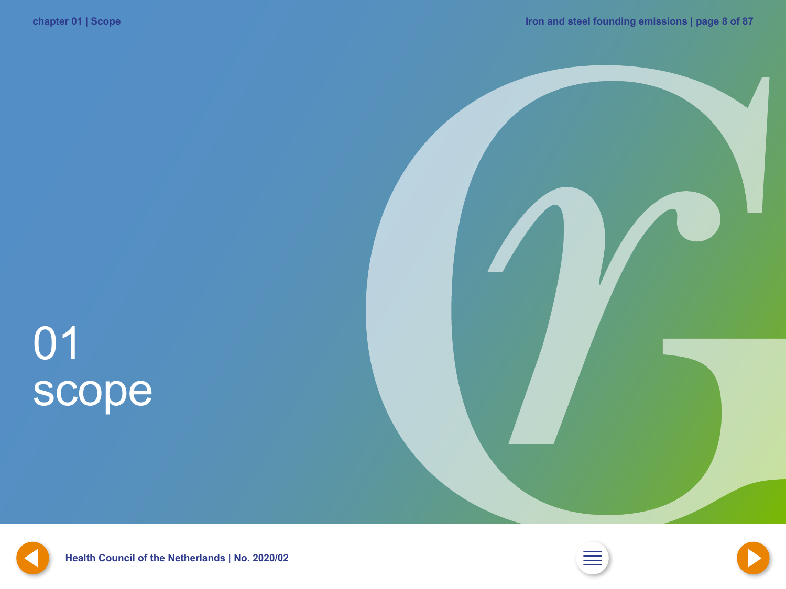# <span id="page-7-0"></span>01 scope







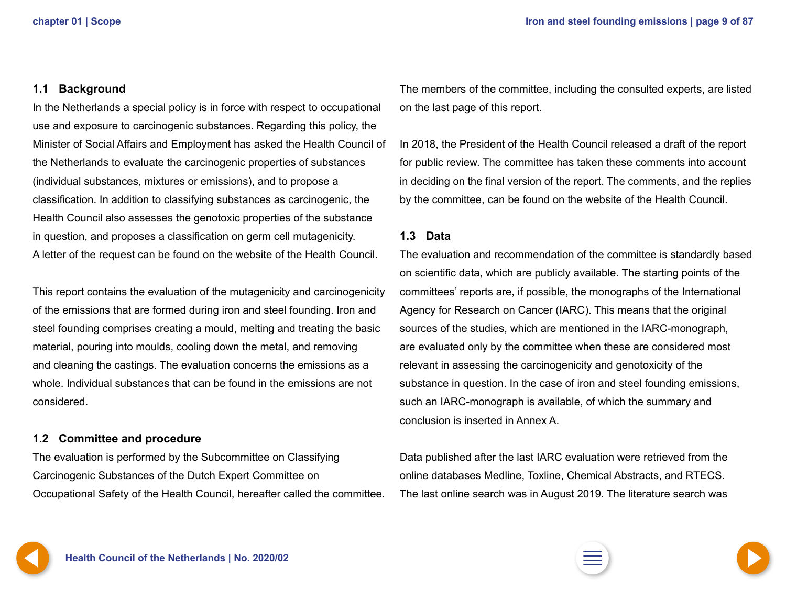#### <span id="page-8-0"></span>**1.1 Background**

In the Netherlands a special policy is in force with respect to occupational use and exposure to carcinogenic substances. Regarding this policy, the Minister of Social Affairs and Employment has asked the Health Council of the Netherlands to evaluate the carcinogenic properties of substances (individual substances, mixtures or emissions), and to propose a classification. In addition to classifying substances as carcinogenic, the Health Council also assesses the genotoxic properties of the substance in question, and proposes a classification on germ cell mutagenicity. A letter of the request can be found on the website of the Health Council.

This report contains the evaluation of the mutagenicity and carcinogenicity of the emissions that are formed during iron and steel founding. Iron and steel founding comprises creating a mould, melting and treating the basic material, pouring into moulds, cooling down the metal, and removing and cleaning the castings. The evaluation concerns the emissions as a whole. Individual substances that can be found in the emissions are not considered.

#### **1.2 Committee and procedure**

The evaluation is performed by the Subcommittee on Classifying Carcinogenic Substances of the Dutch Expert Committee on Occupational Safety of the Health Council, hereafter called the committee. The members of the committee, including the consulted experts, are listed on the last page of this report.

In 2018, the President of the Health Council released a draft of the report for public review. The committee has taken these comments into account in deciding on the final version of the report. The comments, and the replies by the committee, can be found on the website of the Health Council.

#### **1.3 Data**

The evaluation and recommendation of the committee is standardly based on scientific data, which are publicly available. The starting points of the committees' reports are, if possible, the monographs of the International Agency for Research on Cancer (IARC). This means that the original sources of the studies, which are mentioned in the IARC-monograph, are evaluated only by the committee when these are considered most relevant in assessing the carcinogenicity and genotoxicity of the substance in question. In the case of iron and steel founding emissions, such an IARC-monograph is available, of which the summary and conclusion is inserted in Annex A.

Data published after the last IARC evaluation were retrieved from the online databases Medline, Toxline, Chemical Abstracts, and RTECS. The last online search was in August 2019. The literature search was

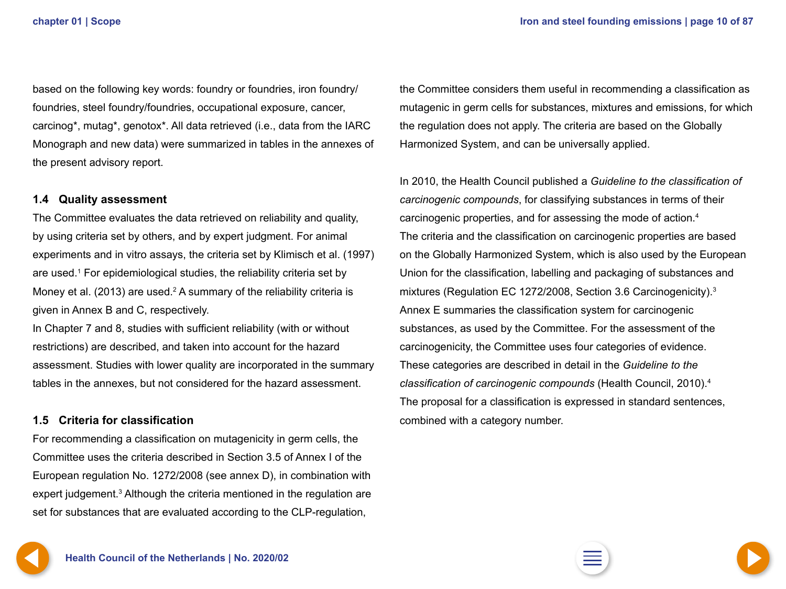<span id="page-9-0"></span>based on the following key words: foundry or foundries, iron foundry/ foundries, steel foundry/foundries, occupational exposure, cancer, carcinog\*, mutag\*, genotox\*. All data retrieved (i.e., data from the IARC Monograph and new data) were summarized in tables in the annexes of the present advisory report.

#### **1.4 Quality assessment**

The Committee evaluates the data retrieved on reliability and quality, by using criteria set by others, and by expert judgment. For animal experiments and in vitro assays, the criteria set by Klimisch et al. (1997) are used.<sup>1</sup> For epidemiological studies, the reliability criteria set by Money et al. (2013) are used.<sup>2</sup> A summary of the reliability criteria is given in Annex B and C, respectively.

In Chapter 7 and 8, studies with sufficient reliability (with or without restrictions) are described, and taken into account for the hazard assessment. Studies with lower quality are incorporated in the summary tables in the annexes, but not considered for the hazard assessment.

#### **1.5 Criteria for classification**

For recommending a classification on mutagenicity in germ cells, the Committee uses the criteria described in Section 3.5 of Annex I of the European regulation No. 1272/2008 (see annex D), in combination with expert judgement.<sup>3</sup> Although the criteria mentioned in the regulation are set for substances that are evaluated according to the CLP-regulation,

the Committee considers them useful in recommending a classification as mutagenic in germ cells for substances, mixtures and emissions, for which the regulation does not apply. The criteria are based on the Globally Harmonized System, and can be universally applied.

In 2010, the Health Council published a *Guideline to the classification of carcinogenic compounds*, for classifying substances in terms of their carcinogenic properties, and for assessing the mode of action.4 The criteria and the classification on carcinogenic properties are based on the Globally Harmonized System, which is also used by the European Union for the classification, labelling and packaging of substances and mixtures (Regulation EC 1272/2008, Section 3.6 Carcinogenicity).3 Annex E summaries the classification system for carcinogenic substances, as used by the Committee. For the assessment of the carcinogenicity, the Committee uses four categories of evidence. These categories are described in detail in the *Guideline to the classification of carcinogenic compounds* (Health Council, 2010).4 The proposal for a classification is expressed in standard sentences, combined with a category number.



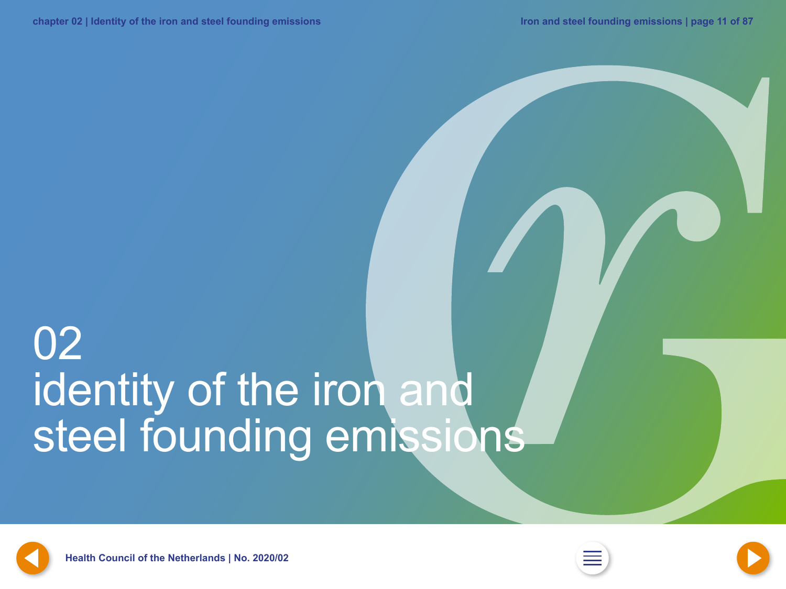## <span id="page-10-0"></span>02 identity of the iron and steel founding emissions





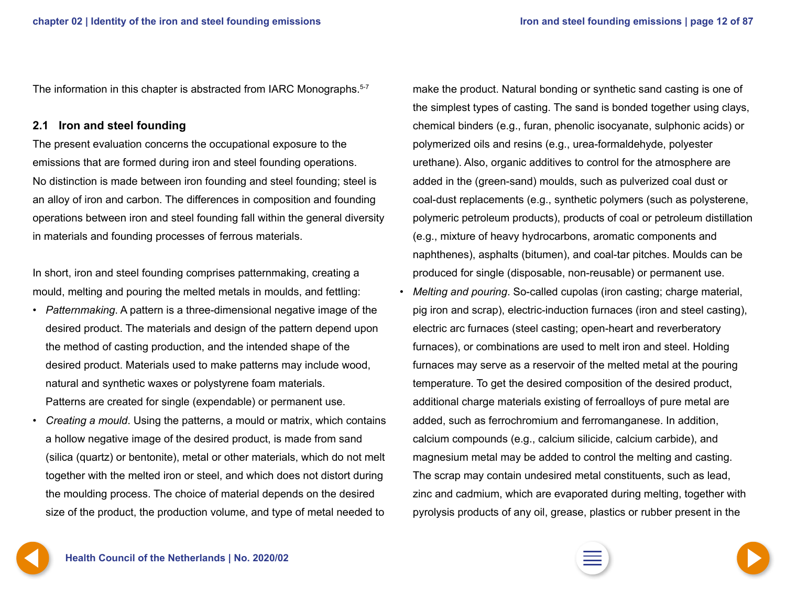<span id="page-11-0"></span>The information in this chapter is abstracted from IARC Monographs.<sup>5-7</sup>

#### **2.1 Iron and steel founding**

The present evaluation concerns the occupational exposure to the emissions that are formed during iron and steel founding operations. No distinction is made between iron founding and steel founding; steel is an alloy of iron and carbon. The differences in composition and founding operations between iron and steel founding fall within the general diversity in materials and founding processes of ferrous materials.

In short, iron and steel founding comprises patternmaking, creating a mould, melting and pouring the melted metals in moulds, and fettling:

- *Patternmaking*. A pattern is a three-dimensional negative image of the desired product. The materials and design of the pattern depend upon the method of casting production, and the intended shape of the desired product. Materials used to make patterns may include wood, natural and synthetic waxes or polystyrene foam materials. Patterns are created for single (expendable) or permanent use.
- *Creating a mould*. Using the patterns, a mould or matrix, which contains a hollow negative image of the desired product, is made from sand (silica (quartz) or bentonite), metal or other materials, which do not melt together with the melted iron or steel, and which does not distort during the moulding process. The choice of material depends on the desired size of the product, the production volume, and type of metal needed to

make the product. Natural bonding or synthetic sand casting is one of the simplest types of casting. The sand is bonded together using clays, chemical binders (e.g., furan, phenolic isocyanate, sulphonic acids) or polymerized oils and resins (e.g., urea-formaldehyde, polyester urethane). Also, organic additives to control for the atmosphere are added in the (green-sand) moulds, such as pulverized coal dust or coal-dust replacements (e.g., synthetic polymers (such as polysterene, polymeric petroleum products), products of coal or petroleum distillation (e.g., mixture of heavy hydrocarbons, aromatic components and naphthenes), asphalts (bitumen), and coal-tar pitches. Moulds can be produced for single (disposable, non-reusable) or permanent use.

• *Melting and pouring*. So-called cupolas (iron casting; charge material, pig iron and scrap), electric-induction furnaces (iron and steel casting), electric arc furnaces (steel casting; open-heart and reverberatory furnaces), or combinations are used to melt iron and steel. Holding furnaces may serve as a reservoir of the melted metal at the pouring temperature. To get the desired composition of the desired product, additional charge materials existing of ferroalloys of pure metal are added, such as ferrochromium and ferromanganese. In addition, calcium compounds (e.g., calcium silicide, calcium carbide), and magnesium metal may be added to control the melting and casting. The scrap may contain undesired metal constituents, such as lead, zinc and cadmium, which are evaporated during melting, together with pyrolysis products of any oil, grease, plastics or rubber present in the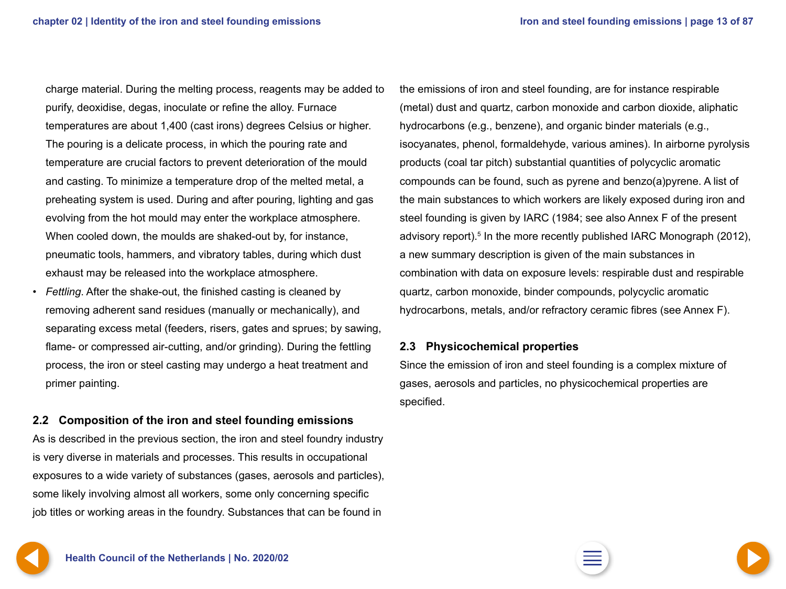<span id="page-12-0"></span>charge material. During the melting process, reagents may be added to purify, deoxidise, degas, inoculate or refine the alloy. Furnace temperatures are about 1,400 (cast irons) degrees Celsius or higher. The pouring is a delicate process, in which the pouring rate and temperature are crucial factors to prevent deterioration of the mould and casting. To minimize a temperature drop of the melted metal, a preheating system is used. During and after pouring, lighting and gas evolving from the hot mould may enter the workplace atmosphere. When cooled down, the moulds are shaked-out by, for instance, pneumatic tools, hammers, and vibratory tables, during which dust exhaust may be released into the workplace atmosphere.

• *Fettling*. After the shake-out, the finished casting is cleaned by removing adherent sand residues (manually or mechanically), and separating excess metal (feeders, risers, gates and sprues; by sawing, flame- or compressed air-cutting, and/or grinding). During the fettling process, the iron or steel casting may undergo a heat treatment and primer painting.

#### **2.2 Composition of the iron and steel founding emissions**

As is described in the previous section, the iron and steel foundry industry is very diverse in materials and processes. This results in occupational exposures to a wide variety of substances (gases, aerosols and particles), some likely involving almost all workers, some only concerning specific job titles or working areas in the foundry. Substances that can be found in

the emissions of iron and steel founding, are for instance respirable (metal) dust and quartz, carbon monoxide and carbon dioxide, aliphatic hydrocarbons (e.g., benzene), and organic binder materials (e.g., isocyanates, phenol, formaldehyde, various amines). In airborne pyrolysis products (coal tar pitch) substantial quantities of polycyclic aromatic compounds can be found, such as pyrene and benzo(a)pyrene. A list of the main substances to which workers are likely exposed during iron and steel founding is given by IARC (1984; see also Annex F of the present advisory report).<sup>5</sup> In the more recently published IARC Monograph (2012), a new summary description is given of the main substances in combination with data on exposure levels: respirable dust and respirable quartz, carbon monoxide, binder compounds, polycyclic aromatic hydrocarbons, metals, and/or refractory ceramic fibres (see Annex F).

#### **2.3 Physicochemical properties**

Since the emission of iron and steel founding is a complex mixture of gases, aerosols and particles, no physicochemical properties are specified.

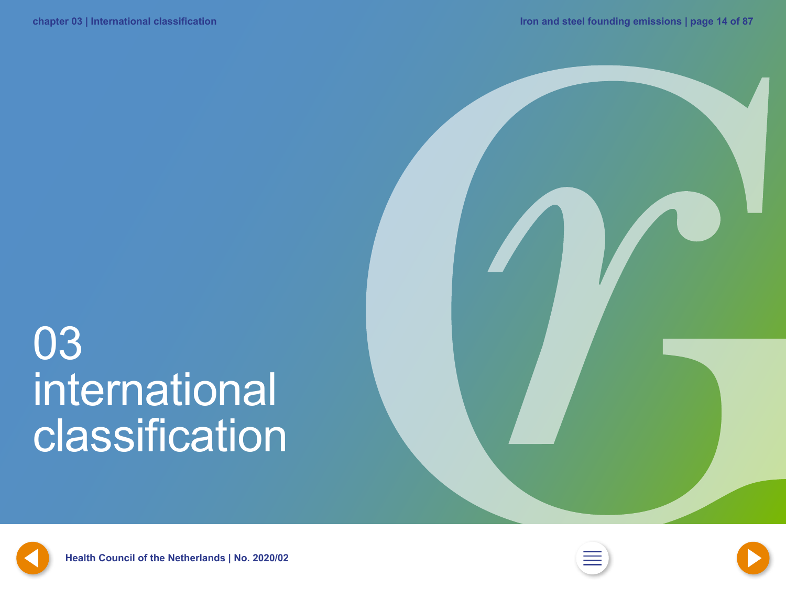### <span id="page-13-0"></span>03 international **classification**







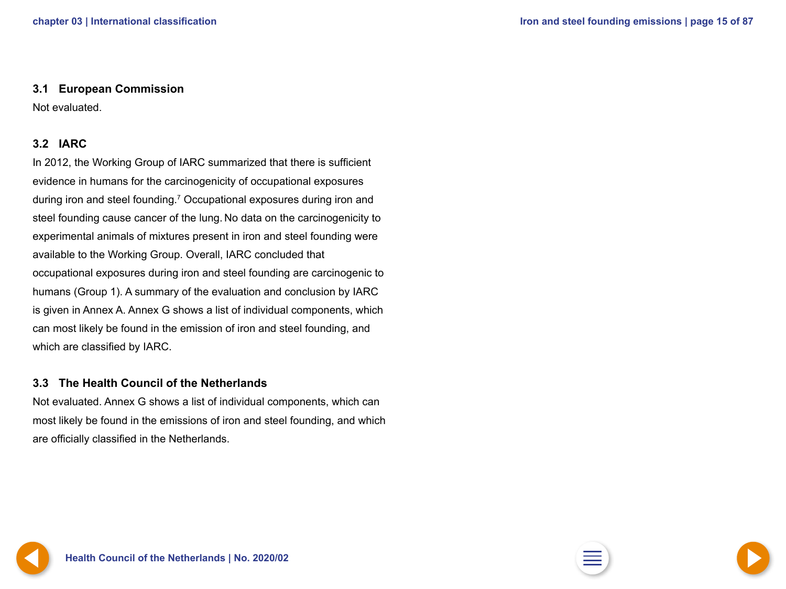#### <span id="page-14-0"></span>**3.1 European Commission**

Not evaluated.

### **3.2 IARC**

In 2012, the Working Group of IARC summarized that there is sufficient evidence in humans for the carcinogenicity of occupational exposures during iron and steel founding.<sup>7</sup> Occupational exposures during iron and steel founding cause cancer of the lung. No data on the carcinogenicity to experimental animals of mixtures present in iron and steel founding were available to the Working Group. Overall, IARC concluded that occupational exposures during iron and steel founding are carcinogenic to humans (Group 1). A summary of the evaluation and conclusion by IARC is given in Annex A. Annex G shows a list of individual components, which can most likely be found in the emission of iron and steel founding, and which are classified by IARC.

#### **3.3 The Health Council of the Netherlands**

Not evaluated. Annex G shows a list of individual components, which can most likely be found in the emissions of iron and steel founding, and which are officially classified in the Netherlands.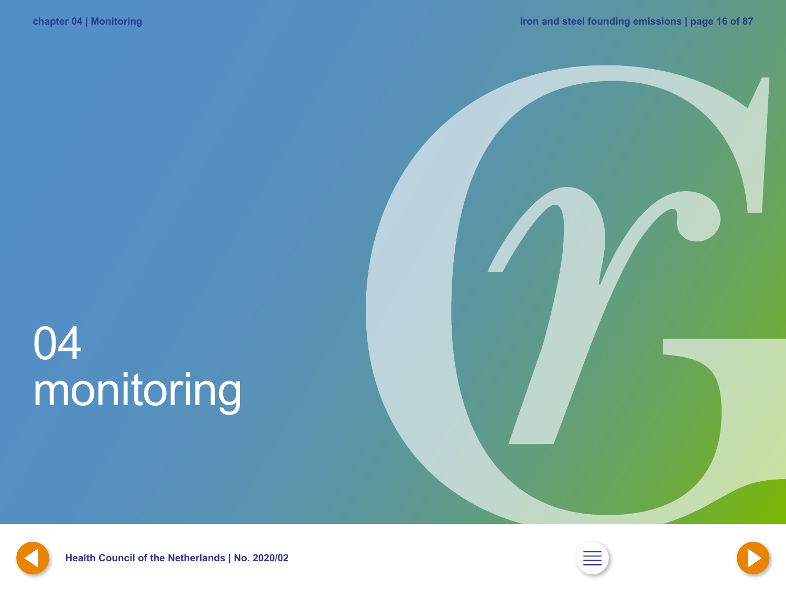## <span id="page-15-0"></span>04 monitoring









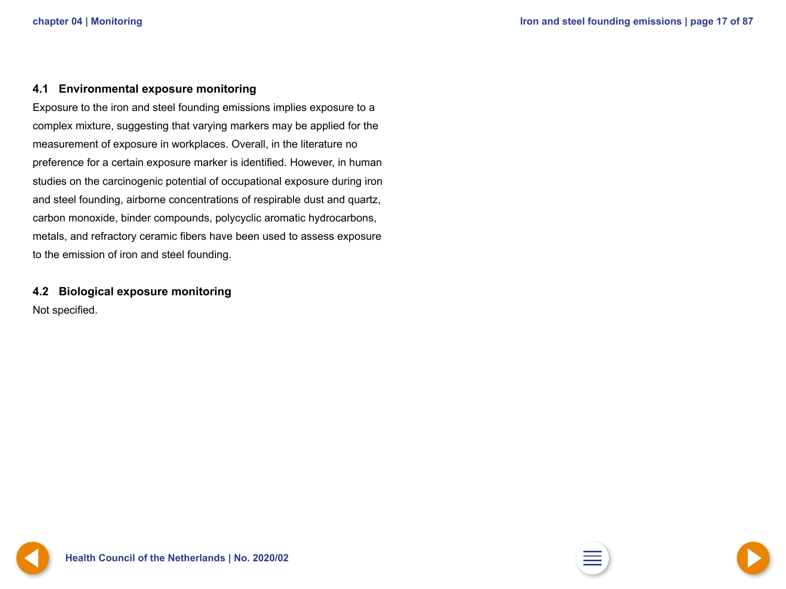#### <span id="page-16-0"></span>**4.1 Environmental exposure monitoring**

Exposure to the iron and steel founding emissions implies exposure to a complex mixture, suggesting that varying markers may be applied for the measurement of exposure in workplaces. Overall, in the literature no preference for a certain exposure marker is identified. However, in human studies on the carcinogenic potential of occupational exposure during iron and steel founding, airborne concentrations of respirable dust and quartz, carbon monoxide, binder compounds, polycyclic aromatic hydrocarbons, metals, and refractory ceramic fibers have been used to assess exposure to the emission of iron and steel founding.

#### **4.2 Biological exposure monitoring**

Not specified.

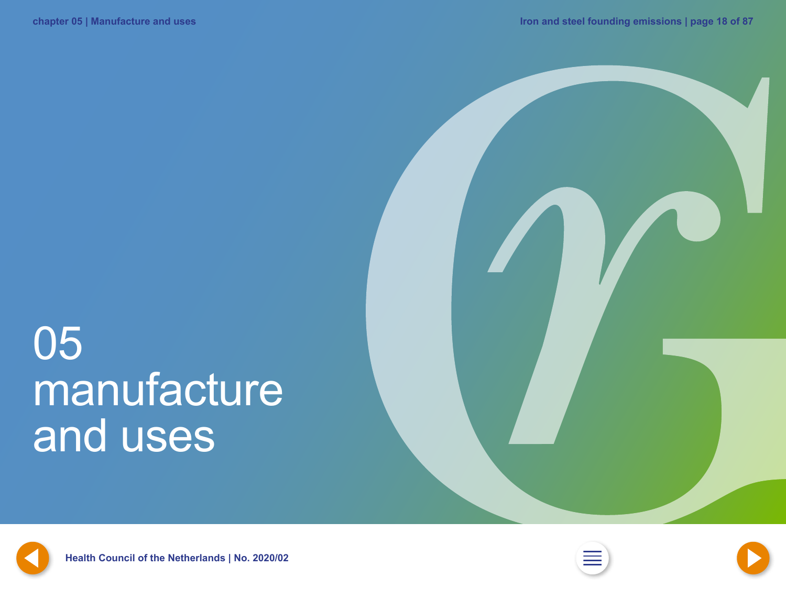### <span id="page-17-0"></span>05 manufacture and uses







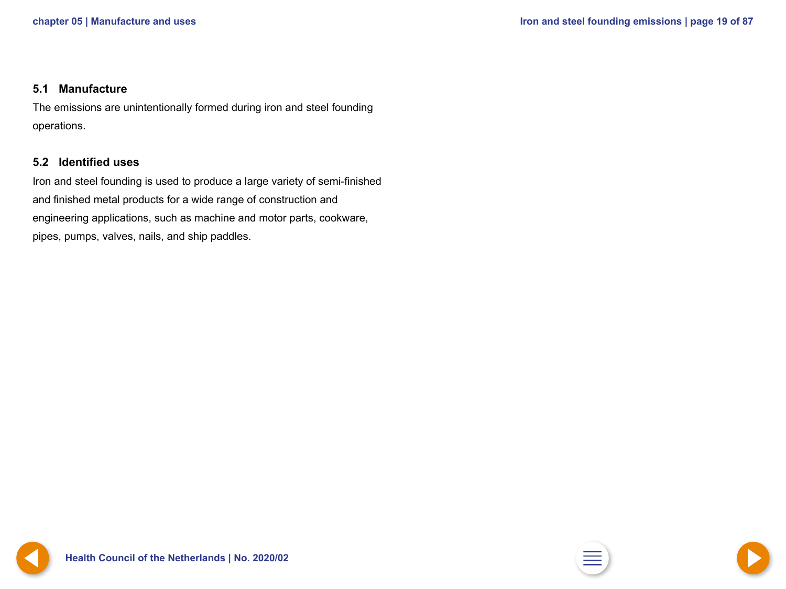#### <span id="page-18-0"></span>**5.1 Manufacture**

The emissions are unintentionally formed during iron and steel founding operations.

#### **5.2 Identified uses**

Iron and steel founding is used to produce a large variety of semi-finished and finished metal products for a wide range of construction and engineering applications, such as machine and motor parts, cookware, pipes, pumps, valves, nails, and ship paddles.





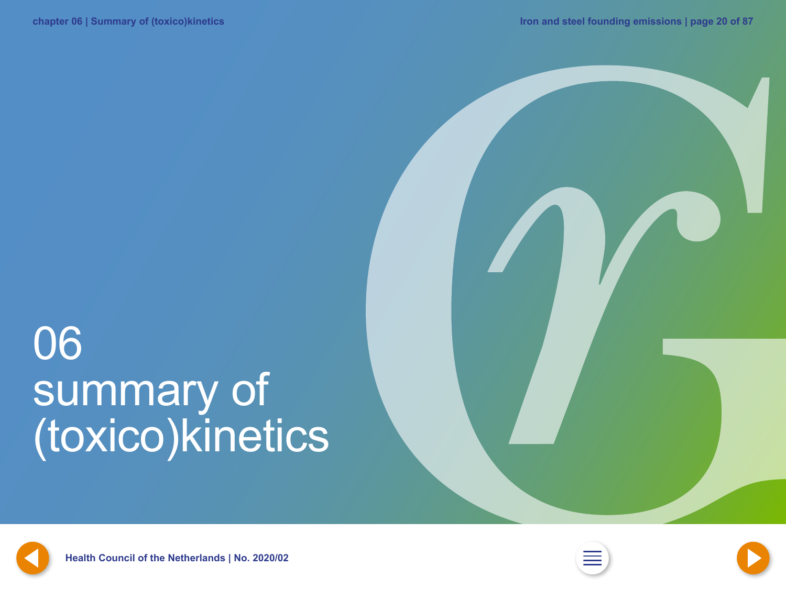## <span id="page-19-0"></span>06 summary of (toxico)kinetics







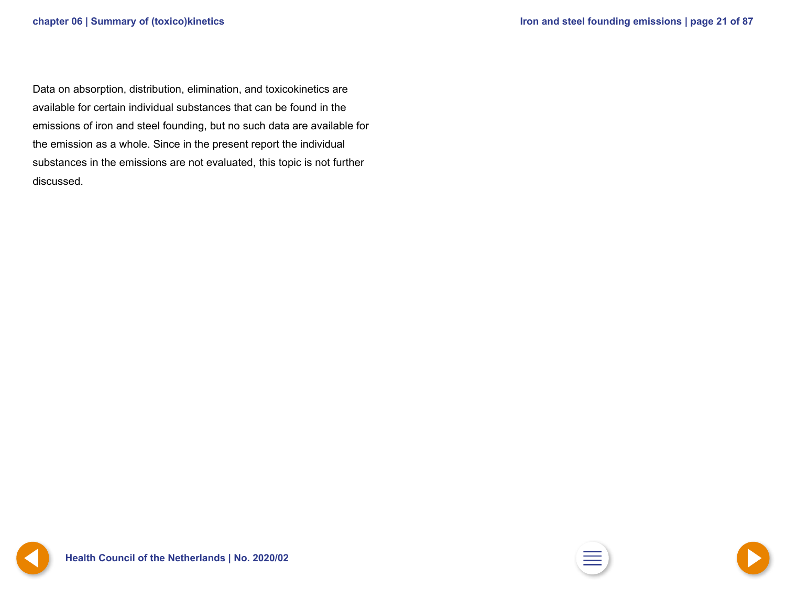<span id="page-20-0"></span>Data on absorption, distribution, elimination, and toxicokinetics are available for certain individual substances that can be found in the emissions of iron and steel founding, but no such data are available for the emission as a whole. Since in the present report the individual substances in the emissions are not evaluated, this topic is not further discussed.

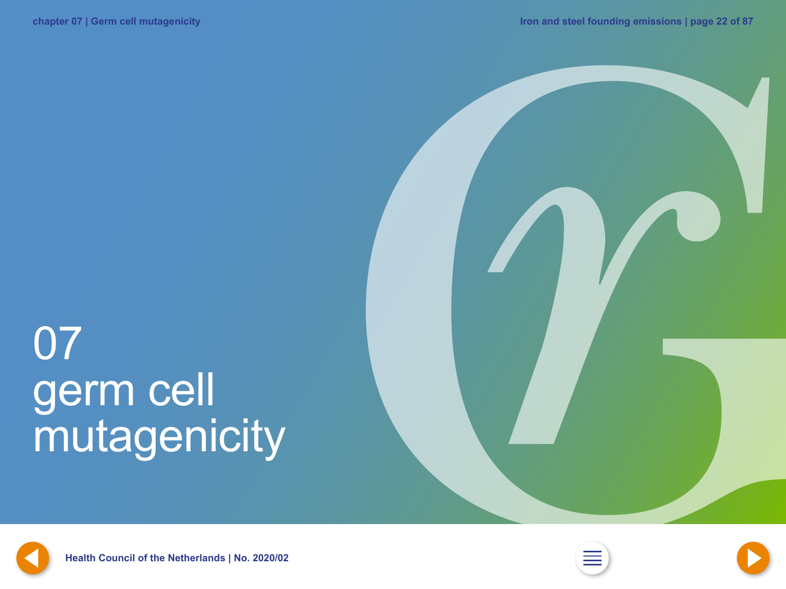## <span id="page-21-0"></span>07 germ cell mutagenicity





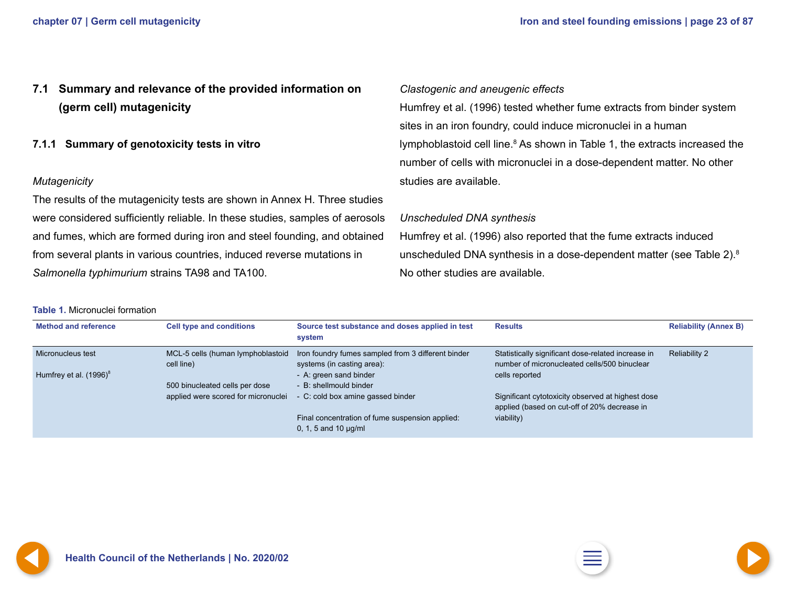### <span id="page-22-0"></span>**7.1 Summary and relevance of the provided information on (germ cell) mutagenicity**

**7.1.1 Summary of genotoxicity tests in vitro**

#### *Mutagenicity*

The results of the mutagenicity tests are shown in Annex H. Three studies were considered sufficiently reliable. In these studies, samples of aerosols and fumes, which are formed during iron and steel founding, and obtained from several plants in various countries, induced reverse mutations in *Salmonella typhimurium* strains TA98 and TA100.

**Table 1.** Micronuclei formation

#### *Clastogenic and aneugenic effects*

Humfrey et al. (1996) tested whether fume extracts from binder system sites in an iron foundry, could induce micronuclei in a human lymphoblastoid cell line.<sup>8</sup> As shown in Table 1, the extracts increased the number of cells with micronuclei in a dose-dependent matter. No other studies are available.

#### *Unscheduled DNA synthesis*

Humfrey et al. (1996) also reported that the fume extracts induced unscheduled DNA synthesis in a dose-dependent matter (see Table 2).8 No other studies are available.

| <b>Method and reference</b>                    | <b>Cell type and conditions</b>                                       | Source test substance and doses applied in test<br>system                                                  | <b>Results</b>                                                                                                       | <b>Reliability (Annex B)</b> |
|------------------------------------------------|-----------------------------------------------------------------------|------------------------------------------------------------------------------------------------------------|----------------------------------------------------------------------------------------------------------------------|------------------------------|
| Micronucleus test<br>Humfrey et al. $(1996)^8$ | MCL-5 cells (human lymphoblastoid<br>cell line)                       | Iron foundry fumes sampled from 3 different binder<br>systems (in casting area):<br>- A: green sand binder | Statistically significant dose-related increase in<br>number of micronucleated cells/500 binuclear<br>cells reported | <b>Reliability 2</b>         |
|                                                | 500 binucleated cells per dose<br>applied were scored for micronuclei | - B: shellmould binder<br>- C: cold box amine gassed binder                                                | Significant cytotoxicity observed at highest dose<br>applied (based on cut-off of 20% decrease in                    |                              |
|                                                |                                                                       | Final concentration of fume suspension applied:<br>0, 1, 5 and 10 $\mu$ g/ml                               | viability)                                                                                                           |                              |

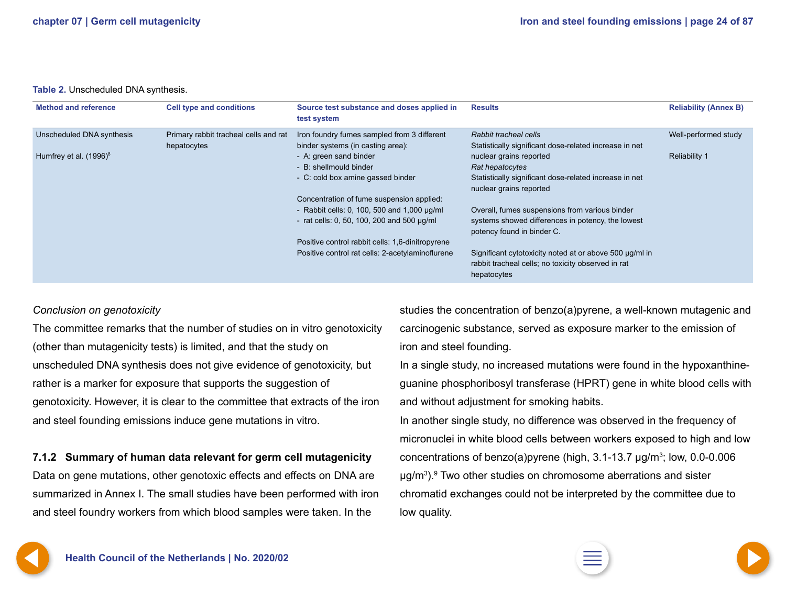#### <span id="page-23-0"></span>**Table 2.** Unscheduled DNA synthesis.

| <b>Method and reference</b> | <b>Cell type and conditions</b>                      | Source test substance and doses applied in<br>test system                        | <b>Results</b>                                                                                                               | <b>Reliability (Annex B)</b> |
|-----------------------------|------------------------------------------------------|----------------------------------------------------------------------------------|------------------------------------------------------------------------------------------------------------------------------|------------------------------|
| Unscheduled DNA synthesis   | Primary rabbit tracheal cells and rat<br>hepatocytes | Iron foundry fumes sampled from 3 different<br>binder systems (in casting area): | Rabbit tracheal cells<br>Statistically significant dose-related increase in net                                              | Well-performed study         |
| Humfrey et al. $(1996)^8$   |                                                      | - A: green sand binder<br>- B: shellmould binder                                 | nuclear grains reported<br>Rat hepatocytes                                                                                   | <b>Reliability 1</b>         |
|                             |                                                      | - C: cold box amine gassed binder                                                | Statistically significant dose-related increase in net<br>nuclear grains reported                                            |                              |
|                             |                                                      | Concentration of fume suspension applied:                                        |                                                                                                                              |                              |
|                             |                                                      | - Rabbit cells: 0, 100, 500 and 1,000 $\mu$ g/ml                                 | Overall, fumes suspensions from various binder                                                                               |                              |
|                             |                                                      | - rat cells: 0, 50, 100, 200 and 500 $\mu$ g/ml                                  | systems showed differences in potency, the lowest<br>potency found in binder C.                                              |                              |
|                             |                                                      | Positive control rabbit cells: 1,6-dinitropyrene                                 |                                                                                                                              |                              |
|                             |                                                      | Positive control rat cells: 2-acetylaminoflurene                                 | Significant cytotoxicity noted at or above 500 µg/ml in<br>rabbit tracheal cells; no toxicity observed in rat<br>hepatocytes |                              |

#### *Conclusion on genotoxicity*

The committee remarks that the number of studies on in vitro genotoxicity (other than mutagenicity tests) is limited, and that the study on unscheduled DNA synthesis does not give evidence of genotoxicity, but rather is a marker for exposure that supports the suggestion of genotoxicity. However, it is clear to the committee that extracts of the iron and steel founding emissions induce gene mutations in vitro.

**7.1.2 Summary of human data relevant for germ cell mutagenicity**

Data on gene mutations, other genotoxic effects and effects on DNA are summarized in Annex I. The small studies have been performed with iron and steel foundry workers from which blood samples were taken. In the

studies the concentration of benzo(a)pyrene, a well-known mutagenic and carcinogenic substance, served as exposure marker to the emission of iron and steel founding.

In a single study, no increased mutations were found in the hypoxanthineguanine phosphoribosyl transferase (HPRT) gene in white blood cells with and without adjustment for smoking habits.

In another single study, no difference was observed in the frequency of micronuclei in white blood cells between workers exposed to high and low concentrations of benzo(a)pyrene (high,  $3.1$ -13.7  $\mu$ g/m<sup>3</sup>; low, 0.0-0.006 µg/m3 ).9 Two other studies on chromosome aberrations and sister chromatid exchanges could not be interpreted by the committee due to low quality.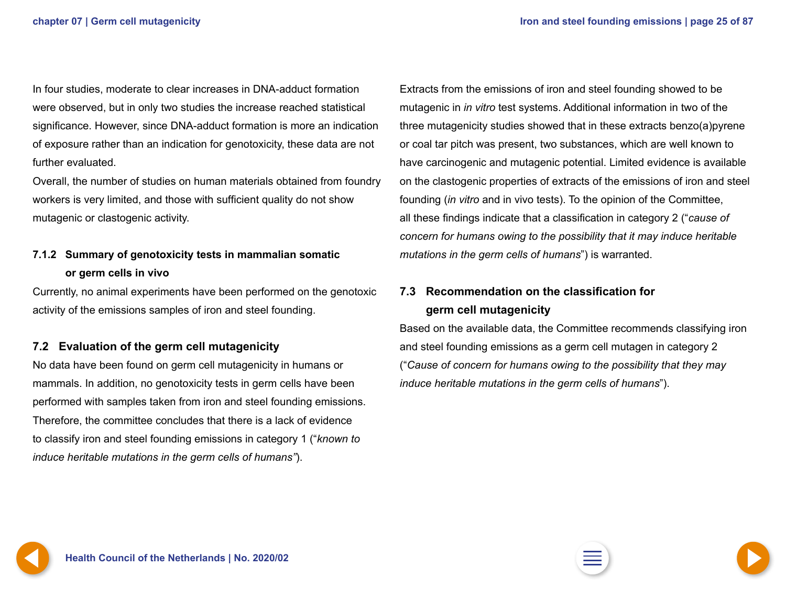<span id="page-24-0"></span>In four studies, moderate to clear increases in DNA-adduct formation were observed, but in only two studies the increase reached statistical significance. However, since DNA-adduct formation is more an indication of exposure rather than an indication for genotoxicity, these data are not further evaluated.

Overall, the number of studies on human materials obtained from foundry workers is very limited, and those with sufficient quality do not show mutagenic or clastogenic activity.

### **7.1.2 Summary of genotoxicity tests in mammalian somatic or germ cells in vivo**

Currently, no animal experiments have been performed on the genotoxic activity of the emissions samples of iron and steel founding.

#### **7.2 Evaluation of the germ cell mutagenicity**

No data have been found on germ cell mutagenicity in humans or mammals. In addition, no genotoxicity tests in germ cells have been performed with samples taken from iron and steel founding emissions. Therefore, the committee concludes that there is a lack of evidence to classify iron and steel founding emissions in category 1 ("*known to induce heritable mutations in the germ cells of humans"*).

Extracts from the emissions of iron and steel founding showed to be mutagenic in *in vitro* test systems. Additional information in two of the three mutagenicity studies showed that in these extracts benzo(a)pyrene or coal tar pitch was present, two substances, which are well known to have carcinogenic and mutagenic potential. Limited evidence is available on the clastogenic properties of extracts of the emissions of iron and steel founding (*in vitro* and in vivo tests). To the opinion of the Committee, all these findings indicate that a classification in category 2 ("*cause of concern for humans owing to the possibility that it may induce heritable mutations in the germ cells of humans*") is warranted.

### **7.3 Recommendation on the classification for germ cell mutagenicity**

Based on the available data, the Committee recommends classifying iron and steel founding emissions as a germ cell mutagen in category 2 ("*Cause of concern for humans owing to the possibility that they may induce heritable mutations in the germ cells of humans*").



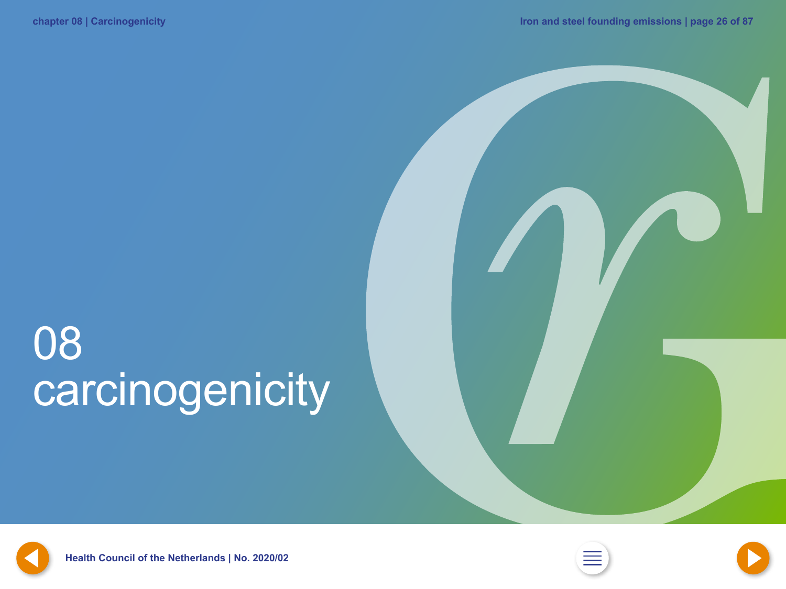## <span id="page-25-0"></span>08 carcinogenicity



**[25](#page-24-0) Health Council of the Netherlands | No. 2020/02 [2](#page-1-0) [27](#page-26-0)**



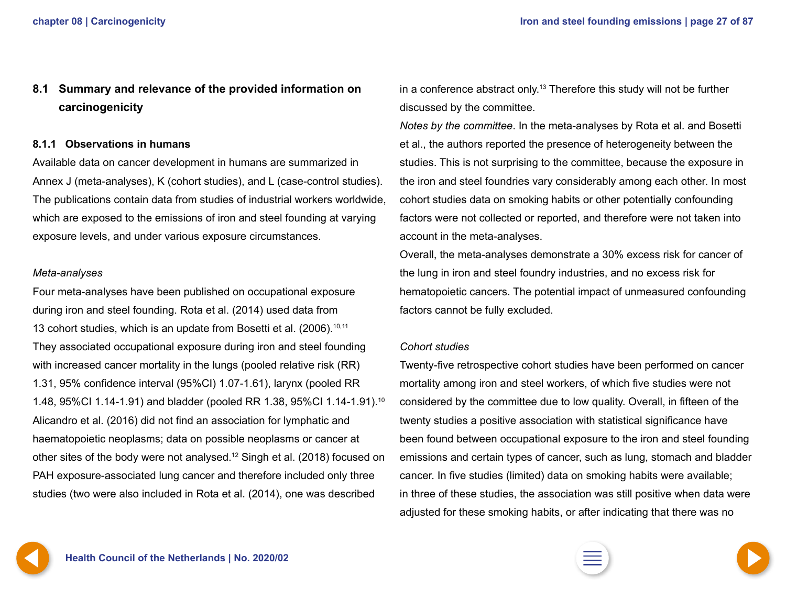### <span id="page-26-0"></span>**8.1 Summary and relevance of the provided information on carcinogenicity**

#### **8.1.1 Observations in humans**

Available data on cancer development in humans are summarized in Annex J (meta-analyses), K (cohort studies), and L (case-control studies). The publications contain data from studies of industrial workers worldwide, which are exposed to the emissions of iron and steel founding at varying exposure levels, and under various exposure circumstances.

#### *Meta-analyses*

Four meta-analyses have been published on occupational exposure during iron and steel founding. Rota et al. (2014) used data from 13 cohort studies, which is an update from Bosetti et al.  $(2006)$ .<sup>10,11</sup> They associated occupational exposure during iron and steel founding with increased cancer mortality in the lungs (pooled relative risk (RR) 1.31, 95% confidence interval (95%CI) 1.07-1.61), larynx (pooled RR 1.48, 95%CI 1.14-1.91) and bladder (pooled RR 1.38, 95%CI 1.14-1.91).10 Alicandro et al. (2016) did not find an association for lymphatic and haematopoietic neoplasms; data on possible neoplasms or cancer at other sites of the body were not analysed.12 Singh et al. (2018) focused on PAH exposure-associated lung cancer and therefore included only three studies (two were also included in Rota et al. (2014), one was described

in a conference abstract only.13 Therefore this study will not be further discussed by the committee.

*Notes by the committee*. In the meta-analyses by Rota et al. and Bosetti et al., the authors reported the presence of heterogeneity between the studies. This is not surprising to the committee, because the exposure in the iron and steel foundries vary considerably among each other. In most cohort studies data on smoking habits or other potentially confounding factors were not collected or reported, and therefore were not taken into account in the meta-analyses.

Overall, the meta-analyses demonstrate a 30% excess risk for cancer of the lung in iron and steel foundry industries, and no excess risk for hematopoietic cancers. The potential impact of unmeasured confounding factors cannot be fully excluded.

#### *Cohort studies*

Twenty-five retrospective cohort studies have been performed on cancer mortality among iron and steel workers, of which five studies were not considered by the committee due to low quality. Overall, in fifteen of the twenty studies a positive association with statistical significance have been found between occupational exposure to the iron and steel founding emissions and certain types of cancer, such as lung, stomach and bladder cancer. In five studies (limited) data on smoking habits were available; in three of these studies, the association was still positive when data were adjusted for these smoking habits, or after indicating that there was no

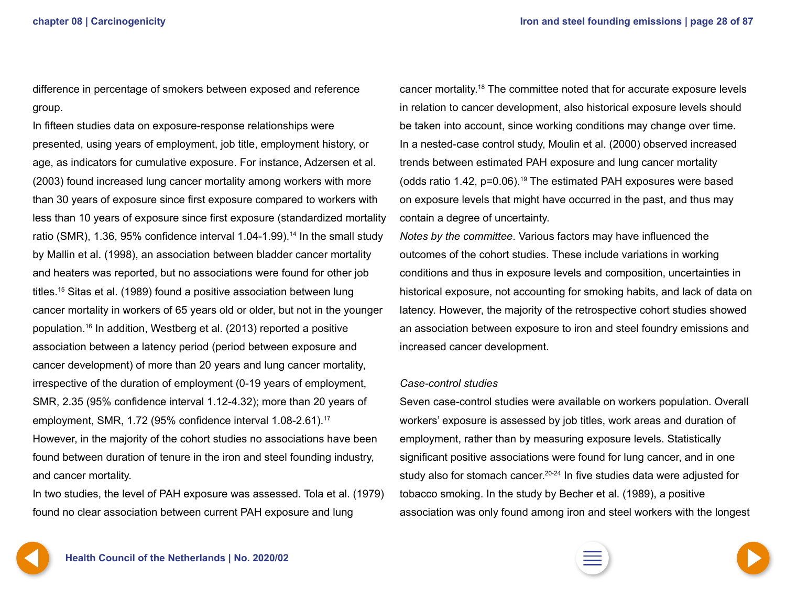<span id="page-27-0"></span>difference in percentage of smokers between exposed and reference group.

In fifteen studies data on exposure-response relationships were presented, using years of employment, job title, employment history, or age, as indicators for cumulative exposure. For instance, Adzersen et al. (2003) found increased lung cancer mortality among workers with more than 30 years of exposure since first exposure compared to workers with less than 10 years of exposure since first exposure (standardized mortality ratio (SMR), 1.36, 95% confidence interval 1.04-1.99).<sup>14</sup> In the small study by Mallin et al. (1998), an association between bladder cancer mortality and heaters was reported, but no associations were found for other job titles.15 Sitas et al. (1989) found a positive association between lung cancer mortality in workers of 65 years old or older, but not in the younger population.16 In addition, Westberg et al. (2013) reported a positive association between a latency period (period between exposure and cancer development) of more than 20 years and lung cancer mortality, irrespective of the duration of employment (0-19 years of employment, SMR, 2.35 (95% confidence interval 1.12-4.32); more than 20 years of employment, SMR, 1.72 (95% confidence interval 1.08-2.61).<sup>17</sup> However, in the majority of the cohort studies no associations have been found between duration of tenure in the iron and steel founding industry, and cancer mortality.

In two studies, the level of PAH exposure was assessed. Tola et al. (1979) found no clear association between current PAH exposure and lung

cancer mortality.18 The committee noted that for accurate exposure levels in relation to cancer development, also historical exposure levels should be taken into account, since working conditions may change over time. In a nested-case control study, Moulin et al. (2000) observed increased trends between estimated PAH exposure and lung cancer mortality (odds ratio 1.42,  $p=0.06$ ).<sup>19</sup> The estimated PAH exposures were based on exposure levels that might have occurred in the past, and thus may contain a degree of uncertainty.

*Notes by the committee*. Various factors may have influenced the outcomes of the cohort studies. These include variations in working conditions and thus in exposure levels and composition, uncertainties in historical exposure, not accounting for smoking habits, and lack of data on latency. However, the majority of the retrospective cohort studies showed an association between exposure to iron and steel foundry emissions and increased cancer development.

#### *Case-control studies*

Seven case-control studies were available on workers population. Overall workers' exposure is assessed by job titles, work areas and duration of employment, rather than by measuring exposure levels. Statistically significant positive associations were found for lung cancer, and in one study also for stomach cancer.<sup>20-24</sup> In five studies data were adjusted for tobacco smoking. In the study by Becher et al. (1989), a positive association was only found among iron and steel workers with the longest

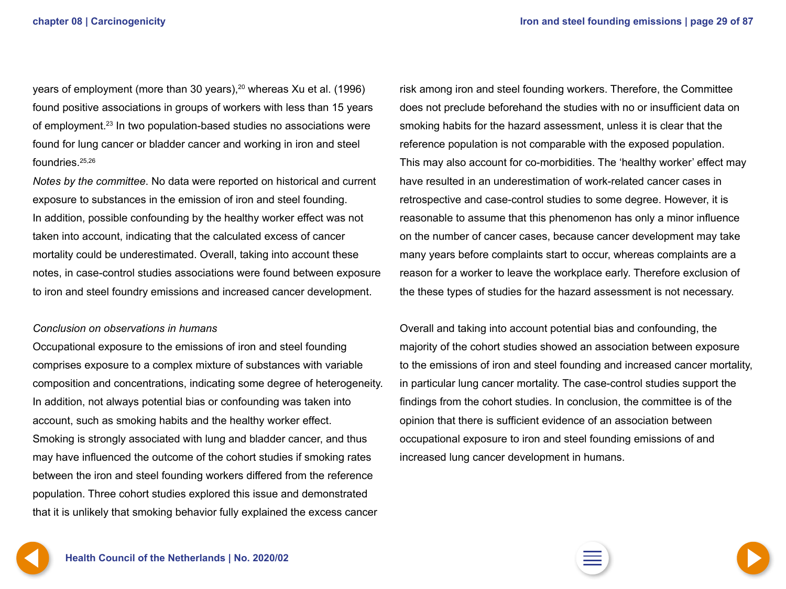<span id="page-28-0"></span>years of employment (more than 30 years), $20$  whereas Xu et al. (1996) found positive associations in groups of workers with less than 15 years of employment.23 In two population-based studies no associations were found for lung cancer or bladder cancer and working in iron and steel foundries.25,26

*Notes by the committee*. No data were reported on historical and current exposure to substances in the emission of iron and steel founding. In addition, possible confounding by the healthy worker effect was not taken into account, indicating that the calculated excess of cancer mortality could be underestimated. Overall, taking into account these notes, in case-control studies associations were found between exposure to iron and steel foundry emissions and increased cancer development.

#### *Conclusion on observations in humans*

Occupational exposure to the emissions of iron and steel founding comprises exposure to a complex mixture of substances with variable composition and concentrations, indicating some degree of heterogeneity. In addition, not always potential bias or confounding was taken into account, such as smoking habits and the healthy worker effect. Smoking is strongly associated with lung and bladder cancer, and thus may have influenced the outcome of the cohort studies if smoking rates between the iron and steel founding workers differed from the reference population. Three cohort studies explored this issue and demonstrated that it is unlikely that smoking behavior fully explained the excess cancer

risk among iron and steel founding workers. Therefore, the Committee does not preclude beforehand the studies with no or insufficient data on smoking habits for the hazard assessment, unless it is clear that the reference population is not comparable with the exposed population. This may also account for co-morbidities. The 'healthy worker' effect may have resulted in an underestimation of work-related cancer cases in retrospective and case-control studies to some degree. However, it is reasonable to assume that this phenomenon has only a minor influence on the number of cancer cases, because cancer development may take many years before complaints start to occur, whereas complaints are a reason for a worker to leave the workplace early. Therefore exclusion of the these types of studies for the hazard assessment is not necessary.

Overall and taking into account potential bias and confounding, the majority of the cohort studies showed an association between exposure to the emissions of iron and steel founding and increased cancer mortality, in particular lung cancer mortality. The case-control studies support the findings from the cohort studies. In conclusion, the committee is of the opinion that there is sufficient evidence of an association between occupational exposure to iron and steel founding emissions of and increased lung cancer development in humans.

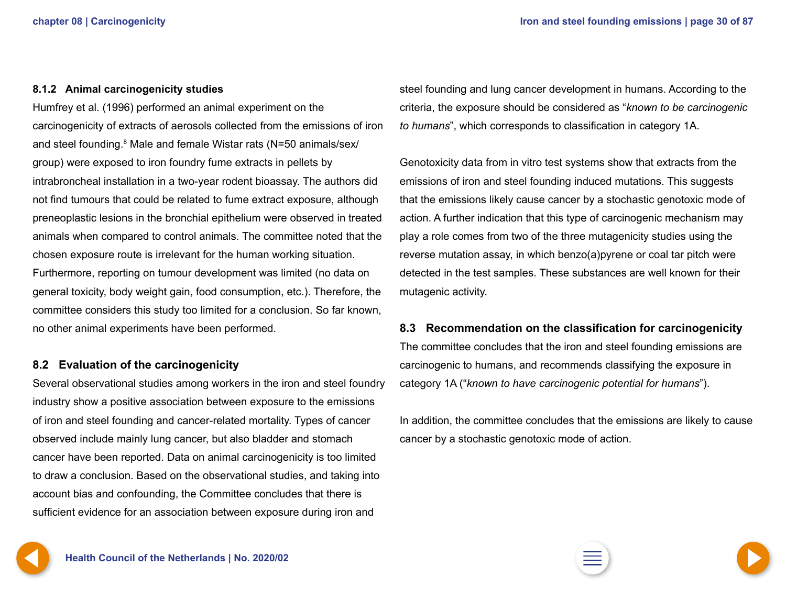#### <span id="page-29-0"></span>**8.1.2 Animal carcinogenicity studies**

Humfrey et al. (1996) performed an animal experiment on the carcinogenicity of extracts of aerosols collected from the emissions of iron and steel founding.<sup>8</sup> Male and female Wistar rats (N=50 animals/sex/ group) were exposed to iron foundry fume extracts in pellets by intrabroncheal installation in a two-year rodent bioassay. The authors did not find tumours that could be related to fume extract exposure, although preneoplastic lesions in the bronchial epithelium were observed in treated animals when compared to control animals. The committee noted that the chosen exposure route is irrelevant for the human working situation. Furthermore, reporting on tumour development was limited (no data on general toxicity, body weight gain, food consumption, etc.). Therefore, the committee considers this study too limited for a conclusion. So far known, no other animal experiments have been performed.

#### **8.2 Evaluation of the carcinogenicity**

Several observational studies among workers in the iron and steel foundry industry show a positive association between exposure to the emissions of iron and steel founding and cancer-related mortality. Types of cancer observed include mainly lung cancer, but also bladder and stomach cancer have been reported. Data on animal carcinogenicity is too limited to draw a conclusion. Based on the observational studies, and taking into account bias and confounding, the Committee concludes that there is sufficient evidence for an association between exposure during iron and

steel founding and lung cancer development in humans. According to the criteria, the exposure should be considered as "*known to be carcinogenic to humans*", which corresponds to classification in category 1A.

Genotoxicity data from in vitro test systems show that extracts from the emissions of iron and steel founding induced mutations. This suggests that the emissions likely cause cancer by a stochastic genotoxic mode of action. A further indication that this type of carcinogenic mechanism may play a role comes from two of the three mutagenicity studies using the reverse mutation assay, in which benzo(a)pyrene or coal tar pitch were detected in the test samples. These substances are well known for their mutagenic activity.

#### **8.3 Recommendation on the classification for carcinogenicity**

The committee concludes that the iron and steel founding emissions are carcinogenic to humans, and recommends classifying the exposure in category 1A ("*known to have carcinogenic potential for humans*").

In addition, the committee concludes that the emissions are likely to cause cancer by a stochastic genotoxic mode of action.

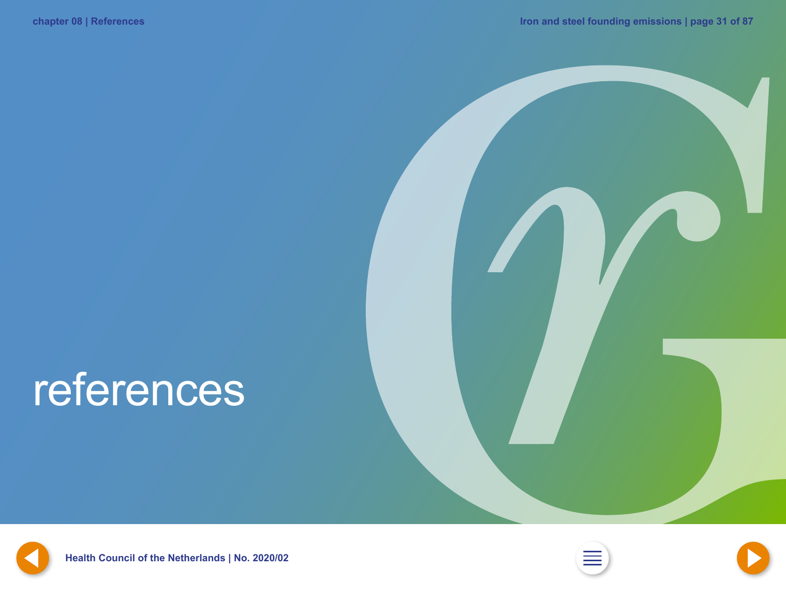## <span id="page-30-0"></span>references



**[30](#page-29-0) Health Council of the Netherlands | No. 2020/02 [2](#page-1-0) [32](#page-31-0)**



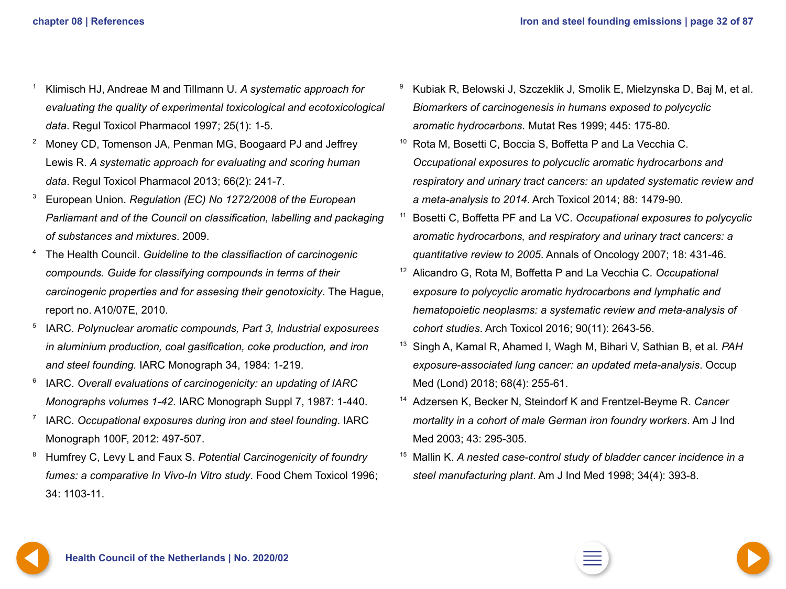- <span id="page-31-0"></span><sup>1</sup> Klimisch HJ, Andreae M and Tillmann U. *A systematic approach for evaluating the quality of experimental toxicological and ecotoxicological data*. Regul Toxicol Pharmacol 1997; 25(1): 1-5.
- <sup>2</sup> Money CD, Tomenson JA, Penman MG, Boogaard PJ and Jeffrey Lewis R. *A systematic approach for evaluating and scoring human data*. Regul Toxicol Pharmacol 2013; 66(2): 241-7.
- <sup>3</sup> European Union. *Regulation (EC) No 1272/2008 of the European Parliamant and of the Council on classification, labelling and packaging of substances and mixtures*. 2009.
- <sup>4</sup> The Health Council. *Guideline to the classifiaction of carcinogenic compounds. Guide for classifying compounds in terms of their carcinogenic properties and for assesing their genotoxicity*. The Hague, report no. A10/07E, 2010.
- <sup>5</sup> IARC. *Polynuclear aromatic compounds, Part 3, Industrial exposurees in aluminium production, coal gasification, coke production, and iron and steel founding.* IARC Monograph 34, 1984: 1-219.
- <sup>6</sup> IARC. *Overall evaluations of carcinogenicity: an updating of IARC Monographs volumes 1-42*. IARC Monograph Suppl 7, 1987: 1-440.
- <sup>7</sup> IARC. *Occupational exposures during iron and steel founding*. IARC Monograph 100F, 2012: 497-507.
- <sup>8</sup> Humfrey C, Levy L and Faux S. *Potential Carcinogenicity of foundry fumes: a comparative In Vivo-In Vitro study*. Food Chem Toxicol 1996; 34: 1103-11.
- <sup>9</sup> Kubiak R, Belowski J, Szczeklik J, Smolik E, Mielzynska D, Baj M, et al. *Biomarkers of carcinogenesis in humans exposed to polycyclic aromatic hydrocarbons*. Mutat Res 1999; 445: 175-80.
- <sup>10</sup> Rota M, Bosetti C, Boccia S, Boffetta P and La Vecchia C. *Occupational exposures to polycuclic aromatic hydrocarbons and respiratory and urinary tract cancers: an updated systematic review and a meta-analysis to 2014*. Arch Toxicol 2014; 88: 1479-90.
- <sup>11</sup> Bosetti C, Boffetta PF and La VC. *Occupational exposures to polycyclic aromatic hydrocarbons, and respiratory and urinary tract cancers: a quantitative review to 2005*. Annals of Oncology 2007; 18: 431-46.
- <sup>12</sup> Alicandro G, Rota M, Boffetta P and La Vecchia C. *Occupational exposure to polycyclic aromatic hydrocarbons and lymphatic and hematopoietic neoplasms: a systematic review and meta-analysis of cohort studies*. Arch Toxicol 2016; 90(11): 2643-56.
- <sup>13</sup> Singh A, Kamal R, Ahamed I, Wagh M, Bihari V, Sathian B, et al. *PAH exposure-associated lung cancer: an updated meta-analysis*. Occup Med (Lond) 2018; 68(4): 255-61.
- <sup>14</sup> Adzersen K, Becker N, Steindorf K and Frentzel-Beyme R. *Cancer mortality in a cohort of male German iron foundry workers*. Am J Ind Med 2003; 43: 295-305.
- <sup>15</sup> Mallin K. *A nested case-control study of bladder cancer incidence in a steel manufacturing plant*. Am J Ind Med 1998; 34(4): 393-8.

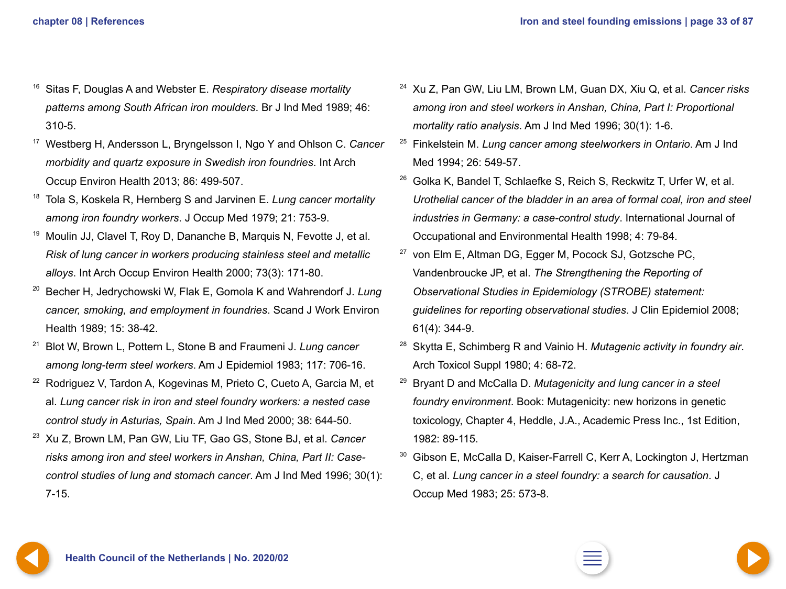- <span id="page-32-0"></span><sup>16</sup> Sitas F, Douglas A and Webster E. *Respiratory disease mortality patterns among South African iron moulders*. Br J Ind Med 1989; 46: 310-5.
- <sup>17</sup> Westberg H, Andersson L, Bryngelsson I, Ngo Y and Ohlson C. *Cancer morbidity and quartz exposure in Swedish iron foundries*. Int Arch Occup Environ Health 2013; 86: 499-507.
- <sup>18</sup> Tola S, Koskela R, Hernberg S and Jarvinen E. *Lung cancer mortality among iron foundry workers*. J Occup Med 1979; 21: 753-9.
- <sup>19</sup> Moulin JJ, Clavel T, Roy D, Dananche B, Marquis N, Fevotte J, et al. *Risk of lung cancer in workers producing stainless steel and metallic alloys*. Int Arch Occup Environ Health 2000; 73(3): 171-80.
- <sup>20</sup> Becher H, Jedrychowski W, Flak E, Gomola K and Wahrendorf J. *Lung cancer, smoking, and employment in foundries*. Scand J Work Environ Health 1989; 15: 38-42.
- <sup>21</sup> Blot W, Brown L, Pottern L, Stone B and Fraumeni J. *Lung cancer among long-term steel workers*. Am J Epidemiol 1983; 117: 706-16.
- <sup>22</sup> Rodriguez V, Tardon A, Kogevinas M, Prieto C, Cueto A, Garcia M, et al. *Lung cancer risk in iron and steel foundry workers: a nested case control study in Asturias, Spain*. Am J Ind Med 2000; 38: 644-50.
- <sup>23</sup> Xu Z, Brown LM, Pan GW, Liu TF, Gao GS, Stone BJ, et al. *Cancer risks among iron and steel workers in Anshan, China, Part II: Casecontrol studies of lung and stomach cancer*. Am J Ind Med 1996; 30(1): 7-15.
- <sup>24</sup> Xu Z, Pan GW, Liu LM, Brown LM, Guan DX, Xiu Q, et al. *Cancer risks among iron and steel workers in Anshan, China, Part I: Proportional mortality ratio analysis*. Am J Ind Med 1996; 30(1): 1-6.
- <sup>25</sup> Finkelstein M. *Lung cancer among steelworkers in Ontario*. Am J Ind Med 1994; 26: 549-57.
- <sup>26</sup> Golka K, Bandel T, Schlaefke S, Reich S, Reckwitz T, Urfer W, et al. *Urothelial cancer of the bladder in an area of formal coal, iron and steel industries in Germany: a case-control study*. International Journal of Occupational and Environmental Health 1998; 4: 79-84.
- <sup>27</sup> von Elm E, Altman DG, Egger M, Pocock SJ, Gotzsche PC, Vandenbroucke JP, et al. *The Strengthening the Reporting of Observational Studies in Epidemiology (STROBE) statement: guidelines for reporting observational studies*. J Clin Epidemiol 2008; 61(4): 344-9.
- <sup>28</sup> Skytta E, Schimberg R and Vainio H. *Mutagenic activity in foundry air*. Arch Toxicol Suppl 1980; 4: 68-72.
- <sup>29</sup> Bryant D and McCalla D. *Mutagenicity and lung cancer in a steel foundry environment*. Book: Mutagenicity: new horizons in genetic toxicology, Chapter 4, Heddle, J.A., Academic Press Inc., 1st Edition, 1982: 89-115.
- <sup>30</sup> Gibson E, McCalla D, Kaiser-Farrell C, Kerr A, Lockington J, Hertzman C, et al. *Lung cancer in a steel foundry: a search for causation*. J Occup Med 1983; 25: 573-8.



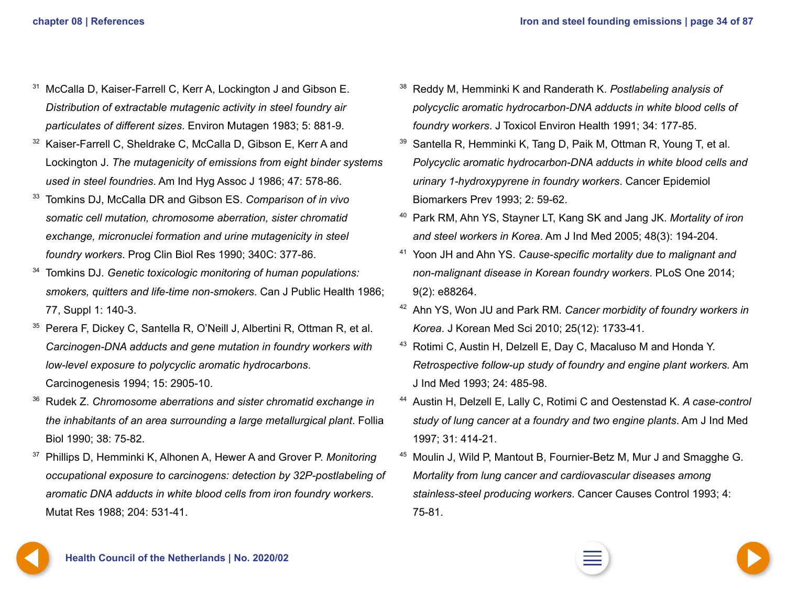- <span id="page-33-0"></span><sup>31</sup> McCalla D, Kaiser-Farrell C, Kerr A, Lockington J and Gibson E. *Distribution of extractable mutagenic activity in steel foundry air particulates of different sizes*. Environ Mutagen 1983; 5: 881-9.
- <sup>32</sup> Kaiser-Farrell C, Sheldrake C, McCalla D, Gibson E, Kerr A and Lockington J. *The mutagenicity of emissions from eight binder systems used in steel foundries*. Am Ind Hyg Assoc J 1986; 47: 578-86.
- <sup>33</sup> Tomkins DJ, McCalla DR and Gibson ES. *Comparison of in vivo somatic cell mutation, chromosome aberration, sister chromatid exchange, micronuclei formation and urine mutagenicity in steel foundry workers*. Prog Clin Biol Res 1990; 340C: 377-86.
- <sup>34</sup> Tomkins DJ. *Genetic toxicologic monitoring of human populations: smokers, quitters and life-time non-smokers*. Can J Public Health 1986; 77, Suppl 1: 140-3.
- <sup>35</sup> Perera F, Dickey C, Santella R, O'Neill J, Albertini R, Ottman R, et al. *Carcinogen-DNA adducts and gene mutation in foundry workers with low-level exposure to polycyclic aromatic hydrocarbons*. Carcinogenesis 1994; 15: 2905-10.
- <sup>36</sup> Rudek Z. *Chromosome aberrations and sister chromatid exchange in the inhabitants of an area surrounding a large metallurgical plant*. Follia Biol 1990; 38: 75-82.
- <sup>37</sup> Phillips D, Hemminki K, Alhonen A, Hewer A and Grover P. *Monitoring occupational exposure to carcinogens: detection by 32P-postlabeling of aromatic DNA adducts in white blood cells from iron foundry workers*. Mutat Res 1988; 204: 531-41.
- <sup>38</sup> Reddy M, Hemminki K and Randerath K. *Postlabeling analysis of polycyclic aromatic hydrocarbon-DNA adducts in white blood cells of foundry workers*. J Toxicol Environ Health 1991; 34: 177-85.
- <sup>39</sup> Santella R, Hemminki K, Tang D, Paik M, Ottman R, Young T, et al. *Polycyclic aromatic hydrocarbon-DNA adducts in white blood cells and urinary 1-hydroxypyrene in foundry workers*. Cancer Epidemiol Biomarkers Prev 1993; 2: 59-62.
- <sup>40</sup> Park RM, Ahn YS, Stayner LT, Kang SK and Jang JK. *Mortality of iron and steel workers in Korea*. Am J Ind Med 2005; 48(3): 194-204.
- <sup>41</sup> Yoon JH and Ahn YS. *Cause-specific mortality due to malignant and non-malignant disease in Korean foundry workers*. PLoS One 2014; 9(2): e88264.
- <sup>42</sup> Ahn YS, Won JU and Park RM. *Cancer morbidity of foundry workers in Korea*. J Korean Med Sci 2010; 25(12): 1733-41.
- <sup>43</sup> Rotimi C, Austin H, Delzell E, Day C, Macaluso M and Honda Y. *Retrospective follow-up study of foundry and engine plant workers.* Am J Ind Med 1993; 24: 485-98.
- <sup>44</sup> Austin H, Delzell E, Lally C, Rotimi C and Oestenstad K. *A case-control study of lung cancer at a foundry and two engine plants*. Am J Ind Med 1997; 31: 414-21.
- <sup>45</sup> Moulin J, Wild P, Mantout B, Fournier-Betz M, Mur J and Smagghe G. *Mortality from lung cancer and cardiovascular diseases among stainless-steel producing workers*. Cancer Causes Control 1993; 4: 75-81.

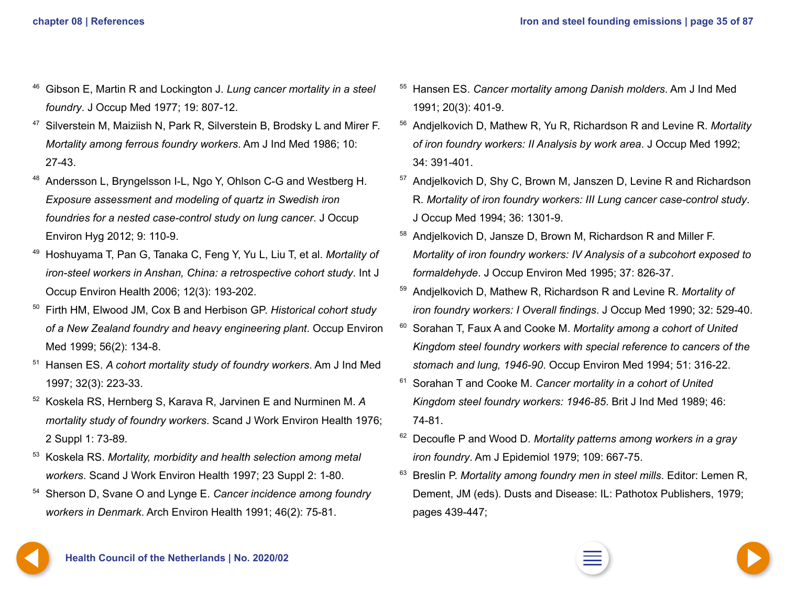- <span id="page-34-0"></span><sup>46</sup> Gibson E, Martin R and Lockington J. *Lung cancer mortality in a steel foundry*. J Occup Med 1977; 19: 807-12.
- <sup>47</sup> Silverstein M, Maiziish N, Park R, Silverstein B, Brodsky L and Mirer F. *Mortality among ferrous foundry workers*. Am J Ind Med 1986; 10: 27-43.
- <sup>48</sup> Andersson L, Bryngelsson I-L, Ngo Y, Ohlson C-G and Westberg H. *Exposure assessment and modeling of quartz in Swedish iron foundries for a nested case-control study on lung cancer*. J Occup Environ Hyg 2012; 9: 110-9.
- <sup>49</sup> Hoshuyama T, Pan G, Tanaka C, Feng Y, Yu L, Liu T, et al. *Mortality of iron-steel workers in Anshan, China: a retrospective cohort study*. Int J Occup Environ Health 2006; 12(3): 193-202.
- <sup>50</sup> Firth HM, Elwood JM, Cox B and Herbison GP. *Historical cohort study of a New Zealand foundry and heavy engineering plant*. Occup Environ Med 1999; 56(2): 134-8.
- <sup>51</sup> Hansen ES. *A cohort mortality study of foundry workers*. Am J Ind Med 1997; 32(3): 223-33.
- <sup>52</sup> Koskela RS, Hernberg S, Karava R, Jarvinen E and Nurminen M. *A mortality study of foundry workers*. Scand J Work Environ Health 1976; 2 Suppl 1: 73-89.
- <sup>53</sup> Koskela RS. *Mortality, morbidity and health selection among metal workers*. Scand J Work Environ Health 1997; 23 Suppl 2: 1-80.
- <sup>54</sup> Sherson D, Svane O and Lynge E. *Cancer incidence among foundry workers in Denmark*. Arch Environ Health 1991; 46(2): 75-81.
- <sup>55</sup> Hansen ES. *Cancer mortality among Danish molders*. Am J Ind Med 1991; 20(3): 401-9.
- <sup>56</sup> Andjelkovich D, Mathew R, Yu R, Richardson R and Levine R. *Mortality of iron foundry workers: II Analysis by work area*. J Occup Med 1992; 34: 391-401.
- <sup>57</sup> Andielkovich D, Shy C, Brown M, Janszen D, Levine R and Richardson R. *Mortality of iron foundry workers: III Lung cancer case-control study*. J Occup Med 1994; 36: 1301-9.
- <sup>58</sup> Andjelkovich D, Jansze D, Brown M, Richardson R and Miller F. *Mortality of iron foundry workers: IV Analysis of a subcohort exposed to formaldehyde*. J Occup Environ Med 1995; 37: 826-37.
- <sup>59</sup> Andjelkovich D, Mathew R, Richardson R and Levine R. *Mortality of iron foundry workers: I Overall findings*. J Occup Med 1990; 32: 529-40.
- <sup>60</sup> Sorahan T, Faux A and Cooke M. *Mortality among a cohort of United Kingdom steel foundry workers with special reference to cancers of the stomach and lung, 1946-90*. Occup Environ Med 1994; 51: 316-22.
- <sup>61</sup> Sorahan T and Cooke M. *Cancer mortality in a cohort of United Kingdom steel foundry workers: 1946-85*. Brit J Ind Med 1989; 46: 74-81.
- <sup>62</sup> Decoufle P and Wood D. *Mortality patterns among workers in a gray iron foundry*. Am J Epidemiol 1979; 109: 667-75.
- <sup>63</sup> Breslin P. *Mortality among foundry men in steel mills*. Editor: Lemen R, Dement, JM (eds). Dusts and Disease: IL: Pathotox Publishers, 1979; pages 439-447;



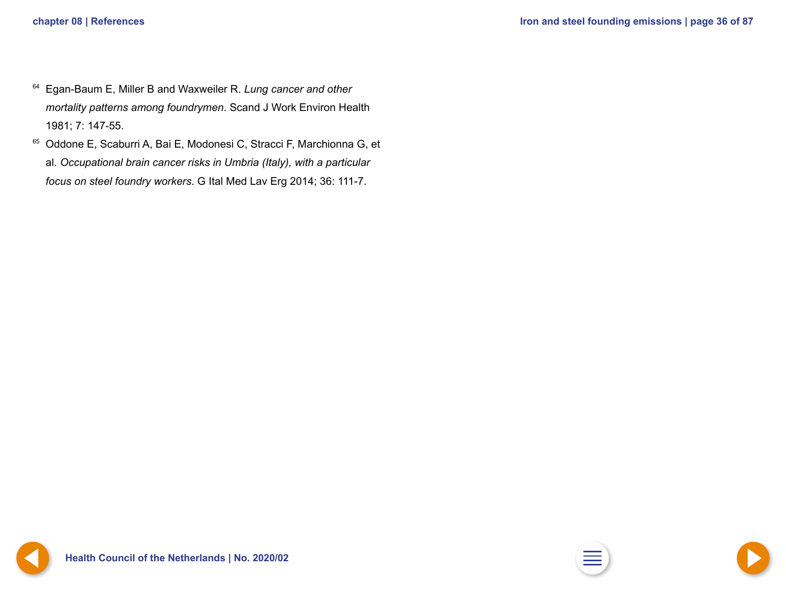- <span id="page-35-0"></span><sup>64</sup> Egan-Baum E, Miller B and Waxweiler R. *Lung cancer and other mortality patterns among foundrymen*. Scand J Work Environ Health 1981; 7: 147-55.
- <sup>65</sup> Oddone E, Scaburri A, Bai E, Modonesi C, Stracci F, Marchionna G, et al. *Occupational brain cancer risks in Umbria (Italy), with a particular focus on steel foundry workers*. G Ital Med Lav Erg 2014; 36: 111-7.



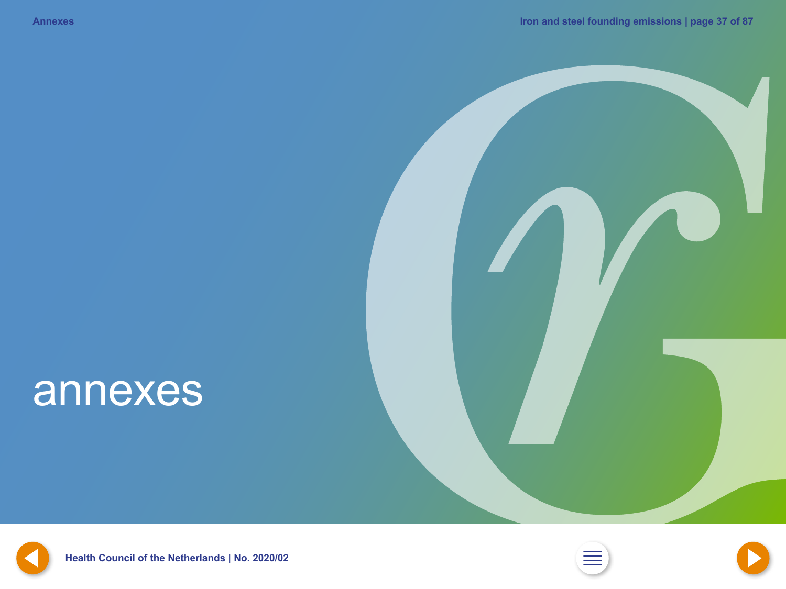# <span id="page-36-0"></span>annexes







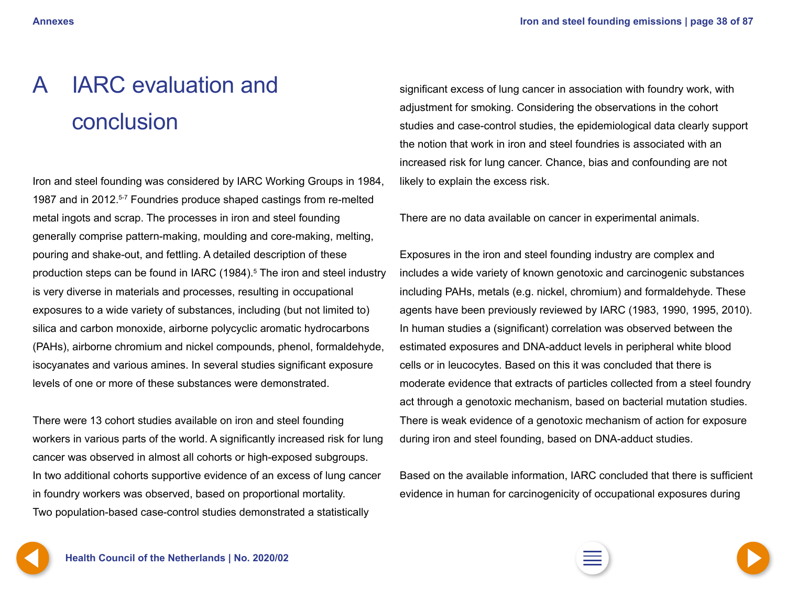# <span id="page-37-0"></span>A IARC evaluation and conclusion

Iron and steel founding was considered by IARC Working Groups in 1984, 1987 and in 2012.<sup>5-7</sup> Foundries produce shaped castings from re-melted metal ingots and scrap. The processes in iron and steel founding generally comprise pattern-making, moulding and core-making, melting, pouring and shake-out, and fettling. A detailed description of these production steps can be found in IARC (1984).<sup>5</sup> The iron and steel industry is very diverse in materials and processes, resulting in occupational exposures to a wide variety of substances, including (but not limited to) silica and carbon monoxide, airborne polycyclic aromatic hydrocarbons (PAHs), airborne chromium and nickel compounds, phenol, formaldehyde, isocyanates and various amines. In several studies significant exposure levels of one or more of these substances were demonstrated.

There were 13 cohort studies available on iron and steel founding workers in various parts of the world. A significantly increased risk for lung cancer was observed in almost all cohorts or high-exposed subgroups. In two additional cohorts supportive evidence of an excess of lung cancer in foundry workers was observed, based on proportional mortality. Two population-based case-control studies demonstrated a statistically

significant excess of lung cancer in association with foundry work, with adjustment for smoking. Considering the observations in the cohort studies and case-control studies, the epidemiological data clearly support the notion that work in iron and steel foundries is associated with an increased risk for lung cancer. Chance, bias and confounding are not likely to explain the excess risk.

There are no data available on cancer in experimental animals.

Exposures in the iron and steel founding industry are complex and includes a wide variety of known genotoxic and carcinogenic substances including PAHs, metals (e.g. nickel, chromium) and formaldehyde. These agents have been previously reviewed by IARC (1983, 1990, 1995, 2010). In human studies a (significant) correlation was observed between the estimated exposures and DNA-adduct levels in peripheral white blood cells or in leucocytes. Based on this it was concluded that there is moderate evidence that extracts of particles collected from a steel foundry act through a genotoxic mechanism, based on bacterial mutation studies. There is weak evidence of a genotoxic mechanism of action for exposure during iron and steel founding, based on DNA-adduct studies.

Based on the available information, IARC concluded that there is sufficient evidence in human for carcinogenicity of occupational exposures during

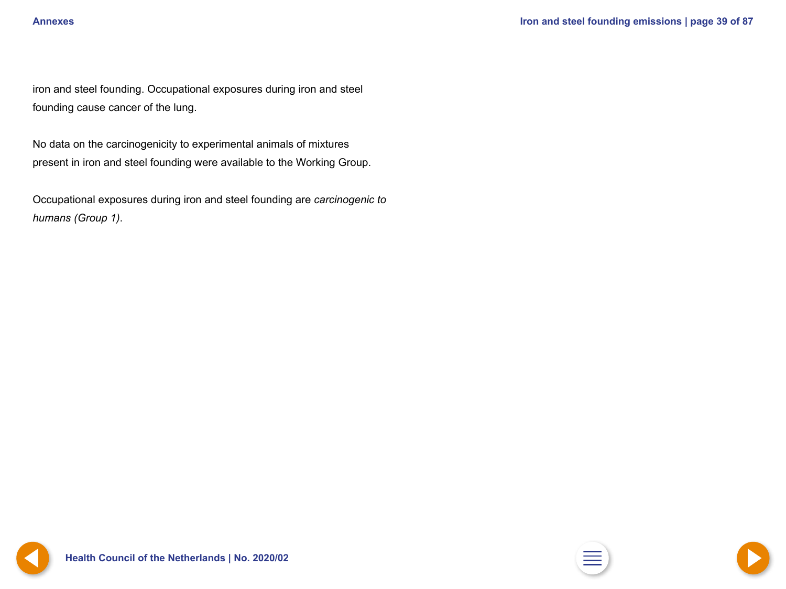<span id="page-38-0"></span>iron and steel founding. Occupational exposures during iron and steel founding cause cancer of the lung.

No data on the carcinogenicity to experimental animals of mixtures present in iron and steel founding were available to the Working Group.

Occupational exposures during iron and steel founding are *carcinogenic to humans (Group 1)*.

**Health Council of the Netherlands | No. [2](#page-1-0)020/02** 

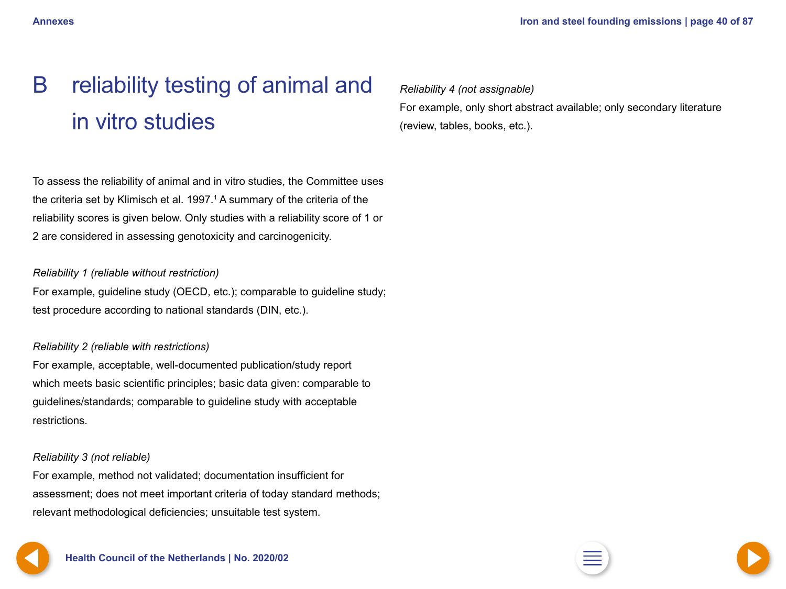# <span id="page-39-0"></span>B reliability testing of animal and in vitro studies

To assess the reliability of animal and in vitro studies, the Committee uses the criteria set by Klimisch et al. 1997. $1$  A summary of the criteria of the reliability scores is given below. Only studies with a reliability score of 1 or 2 are considered in assessing genotoxicity and carcinogenicity.

#### *Reliability 1 (reliable without restriction)*

For example, guideline study (OECD, etc.); comparable to guideline study; test procedure according to national standards (DIN, etc.).

#### *Reliability 2 (reliable with restrictions)*

For example, acceptable, well-documented publication/study report which meets basic scientific principles; basic data given: comparable to guidelines/standards; comparable to guideline study with acceptable restrictions.

#### *Reliability 3 (not reliable)*

For example, method not validated; documentation insufficient for assessment; does not meet important criteria of today standard methods; relevant methodological deficiencies; unsuitable test system.

*Reliability 4 (not assignable)* For example, only short abstract available; only secondary literature (review, tables, books, etc.).



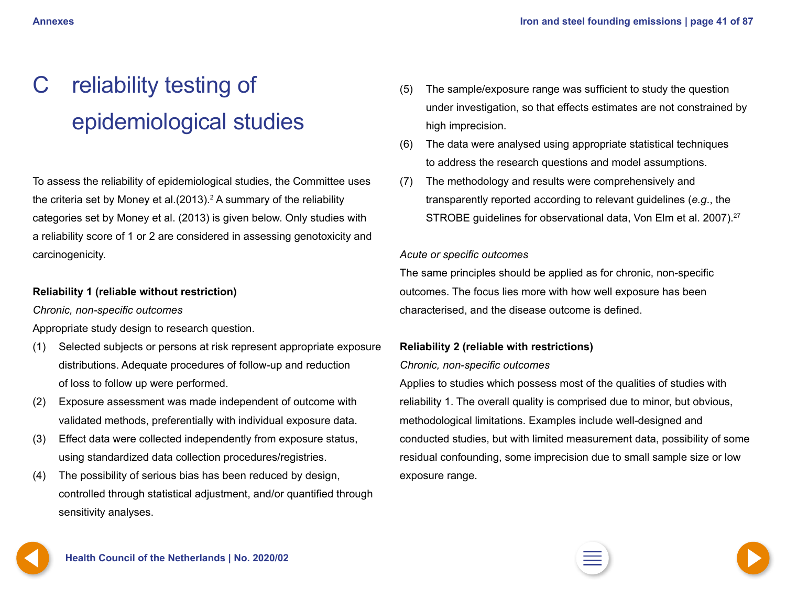# <span id="page-40-0"></span>C reliability testing of epidemiological studies

To assess the reliability of epidemiological studies, the Committee uses the criteria set by Money et al. $(2013).<sup>2</sup>$  A summary of the reliability categories set by Money et al. (2013) is given below. Only studies with a reliability score of 1 or 2 are considered in assessing genotoxicity and carcinogenicity.

### **Reliability 1 (reliable without restriction)**

*Chronic, non-specific outcomes*

Appropriate study design to research question.

- (1) Selected subjects or persons at risk represent appropriate exposure distributions. Adequate procedures of follow-up and reduction of loss to follow up were performed.
- (2) Exposure assessment was made independent of outcome with validated methods, preferentially with individual exposure data.
- (3) Effect data were collected independently from exposure status, using standardized data collection procedures/registries.
- (4) The possibility of serious bias has been reduced by design, controlled through statistical adjustment, and/or quantified through sensitivity analyses.
- (5) The sample/exposure range was sufficient to study the question under investigation, so that effects estimates are not constrained by high imprecision.
- (6) The data were analysed using appropriate statistical techniques to address the research questions and model assumptions.
- (7) The methodology and results were comprehensively and transparently reported according to relevant guidelines (*e.g*., the STROBE guidelines for observational data, Von Elm et al. 2007).27

#### *Acute or specific outcomes*

The same principles should be applied as for chronic, non-specific outcomes. The focus lies more with how well exposure has been characterised, and the disease outcome is defined.

### **Reliability 2 (reliable with restrictions)**

#### *Chronic, non-specific outcomes*

Applies to studies which possess most of the qualities of studies with reliability 1. The overall quality is comprised due to minor, but obvious, methodological limitations. Examples include well-designed and conducted studies, but with limited measurement data, possibility of some residual confounding, some imprecision due to small sample size or low exposure range.

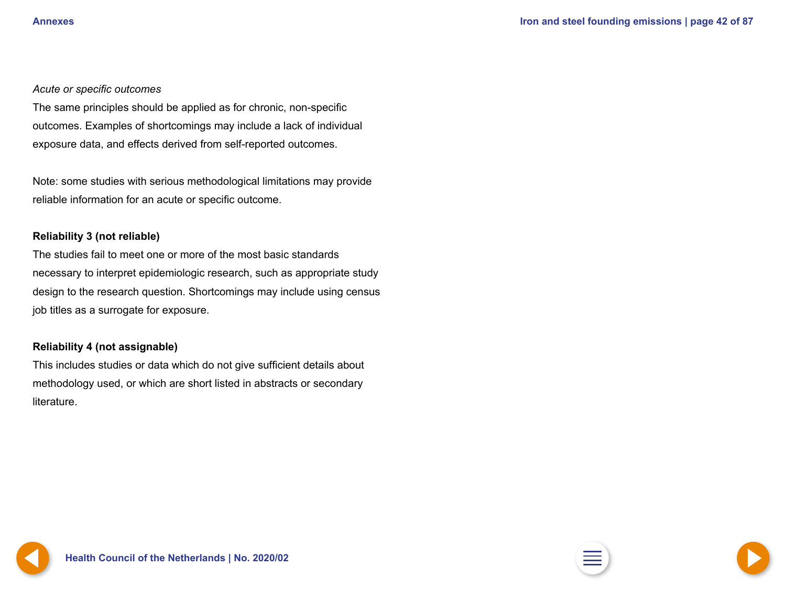#### <span id="page-41-0"></span>*Acute or specific outcomes*

The same principles should be applied as for chronic, non-specific outcomes. Examples of shortcomings may include a lack of individual exposure data, and effects derived from self-reported outcomes.

Note: some studies with serious methodological limitations may provide reliable information for an acute or specific outcome.

#### **Reliability 3 (not reliable)**

The studies fail to meet one or more of the most basic standards necessary to interpret epidemiologic research, such as appropriate study design to the research question. Shortcomings may include using census job titles as a surrogate for exposure.

#### **Reliability 4 (not assignable)**

This includes studies or data which do not give sufficient details about methodology used, or which are short listed in abstracts or secondary literature.

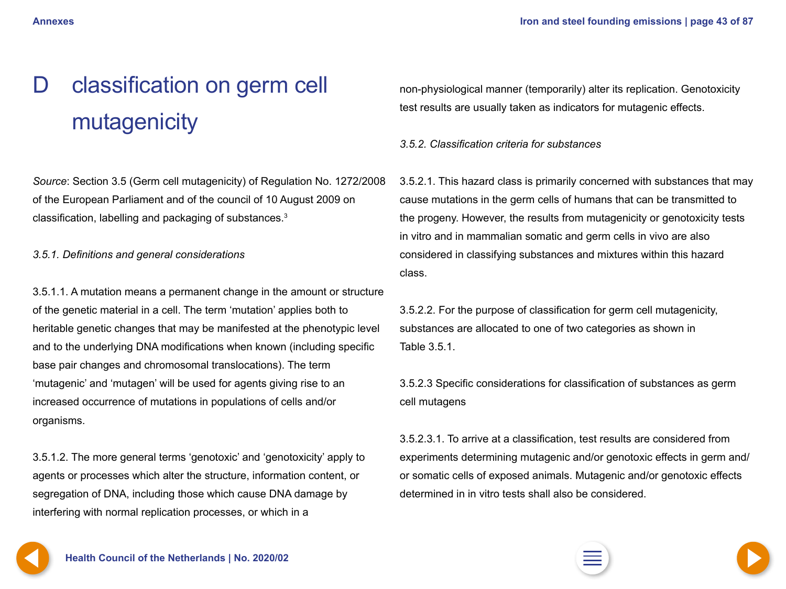# <span id="page-42-0"></span>D classification on germ cell mutagenicity

*Source*: Section 3.5 (Germ cell mutagenicity) of Regulation No. 1272/2008 of the European Parliament and of the council of 10 August 2009 on classification, labelling and packaging of substances.<sup>3</sup>

*3.5.1. Definitions and general considerations*

3.5.1.1. A mutation means a permanent change in the amount or structure of the genetic material in a cell. The term 'mutation' applies both to heritable genetic changes that may be manifested at the phenotypic level and to the underlying DNA modifications when known (including specific base pair changes and chromosomal translocations). The term 'mutagenic' and 'mutagen' will be used for agents giving rise to an increased occurrence of mutations in populations of cells and/or organisms.

3.5.1.2. The more general terms 'genotoxic' and 'genotoxicity' apply to agents or processes which alter the structure, information content, or segregation of DNA, including those which cause DNA damage by interfering with normal replication processes, or which in a

non-physiological manner (temporarily) alter its replication. Genotoxicity test results are usually taken as indicators for mutagenic effects.

*3.5.2. Classification criteria for substances*

3.5.2.1. This hazard class is primarily concerned with substances that may cause mutations in the germ cells of humans that can be transmitted to the progeny. However, the results from mutagenicity or genotoxicity tests in vitro and in mammalian somatic and germ cells in vivo are also considered in classifying substances and mixtures within this hazard class.

3.5.2.2. For the purpose of classification for germ cell mutagenicity, substances are allocated to one of two categories as shown in Table 3.5.1.

3.5.2.3 Specific considerations for classification of substances as germ cell mutagens

3.5.2.3.1. To arrive at a classification, test results are considered from experiments determining mutagenic and/or genotoxic effects in germ and/ or somatic cells of exposed animals. Mutagenic and/or genotoxic effects determined in in vitro tests shall also be considered.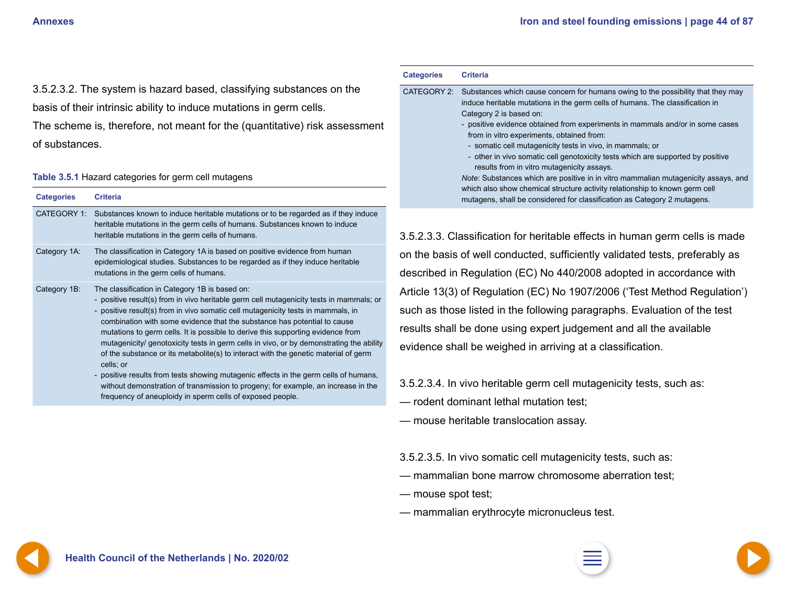<span id="page-43-0"></span>3.5.2.3.2. The system is hazard based, classifying substances on the basis of their intrinsic ability to induce mutations in germ cells.

The scheme is, therefore, not meant for the (quantitative) risk assessment of substances.

#### **Table 3.5.1** Hazard categories for germ cell mutagens

| <b>Categories</b> | <b>Criteria</b>                                                                                                                                                                                                                                                                                                                                                                                                                                                                                                                                                                                                                                                                                                                                                          |
|-------------------|--------------------------------------------------------------------------------------------------------------------------------------------------------------------------------------------------------------------------------------------------------------------------------------------------------------------------------------------------------------------------------------------------------------------------------------------------------------------------------------------------------------------------------------------------------------------------------------------------------------------------------------------------------------------------------------------------------------------------------------------------------------------------|
| CATEGORY 1:       | Substances known to induce heritable mutations or to be regarded as if they induce<br>heritable mutations in the germ cells of humans. Substances known to induce<br>heritable mutations in the germ cells of humans.                                                                                                                                                                                                                                                                                                                                                                                                                                                                                                                                                    |
| Category 1A:      | The classification in Category 1A is based on positive evidence from human<br>epidemiological studies. Substances to be regarded as if they induce heritable<br>mutations in the germ cells of humans.                                                                                                                                                                                                                                                                                                                                                                                                                                                                                                                                                                   |
| Category 1B:      | The classification in Category 1B is based on:<br>- positive result(s) from in vivo heritable germ cell mutagenicity tests in mammals; or<br>- positive result(s) from in vivo somatic cell mutagenicity tests in mammals, in<br>combination with some evidence that the substance has potential to cause<br>mutations to germ cells. It is possible to derive this supporting evidence from<br>mutagenicity/ genotoxicity tests in germ cells in vivo, or by demonstrating the ability<br>of the substance or its metabolite(s) to interact with the genetic material of germ<br>cells; or<br>- positive results from tests showing mutagenic effects in the germ cells of humans,<br>without demonstration of transmission to progeny; for example, an increase in the |

frequency of aneuploidy in sperm cells of exposed people.

| <b>Categories</b> | <b>Criteria</b>                                                                                                                                                                                                                                                                                                                                                                                                                                                                                                                                                                                                                                                                               |
|-------------------|-----------------------------------------------------------------------------------------------------------------------------------------------------------------------------------------------------------------------------------------------------------------------------------------------------------------------------------------------------------------------------------------------------------------------------------------------------------------------------------------------------------------------------------------------------------------------------------------------------------------------------------------------------------------------------------------------|
| CATEGORY 2:       | Substances which cause concern for humans owing to the possibility that they may<br>induce heritable mutations in the germ cells of humans. The classification in<br>Category 2 is based on:<br>- positive evidence obtained from experiments in mammals and/or in some cases<br>from in vitro experiments, obtained from:<br>- somatic cell mutagenicity tests in vivo, in mammals; or<br>- other in vivo somatic cell genotoxicity tests which are supported by positive<br>results from in vitro mutagenicity assays.<br>Note: Substances which are positive in in vitro mammalian mutagenicity assays, and<br>which also show chemical structure activity relationship to known germ cell |

mutagens, shall be considered for classification as Category 2 mutagens.

3.5.2.3.3. Classification for heritable effects in human germ cells is made on the basis of well conducted, sufficiently validated tests, preferably as described in Regulation (EC) No 440/2008 adopted in accordance with Article 13(3) of Regulation (EC) No 1907/2006 ('Test Method Regulation') such as those listed in the following paragraphs. Evaluation of the test results shall be done using expert judgement and all the available evidence shall be weighed in arriving at a classification.

3.5.2.3.4. In vivo heritable germ cell mutagenicity tests, such as:

- rodent dominant lethal mutation test;
- mouse heritable translocation assay.

3.5.2.3.5. In vivo somatic cell mutagenicity tests, such as:

- mammalian bone marrow chromosome aberration test;
- mouse spot test;
- mammalian erythrocyte micronucleus test.



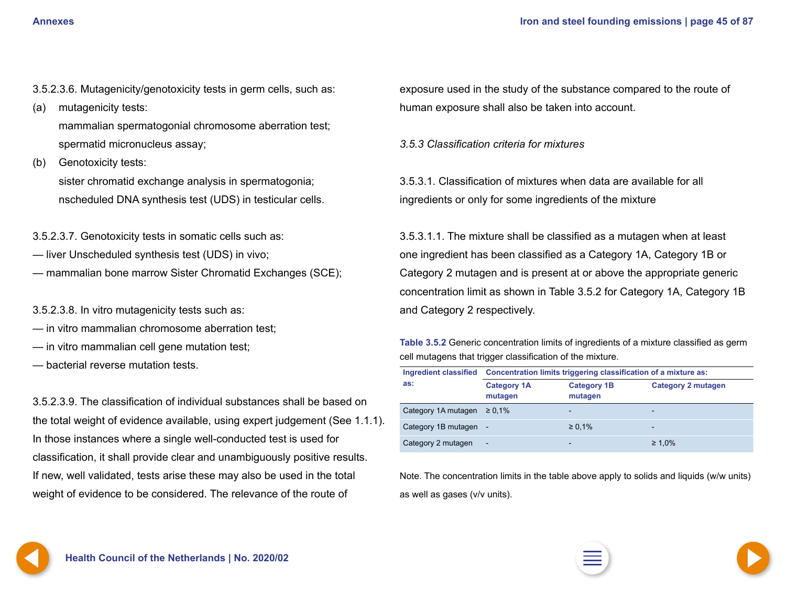- <span id="page-44-0"></span>3.5.2.3.6. Mutagenicity/genotoxicity tests in germ cells, such as:
- (a) mutagenicity tests: mammalian spermatogonial chromosome aberration test; spermatid micronucleus assay;
- (b) Genotoxicity tests: sister chromatid exchange analysis in spermatogonia; nscheduled DNA synthesis test (UDS) in testicular cells.

3.5.2.3.7. Genotoxicity tests in somatic cells such as:

- liver Unscheduled synthesis test (UDS) in vivo;
- mammalian bone marrow Sister Chromatid Exchanges (SCE);
- 3.5.2.3.8. In vitro mutagenicity tests such as:
- in vitro mammalian chromosome aberration test;
- in vitro mammalian cell gene mutation test;
- bacterial reverse mutation tests.

3.5.2.3.9. The classification of individual substances shall be based on the total weight of evidence available, using expert judgement (See 1.1.1). In those instances where a single well-conducted test is used for classification, it shall provide clear and unambiguously positive results. If new, well validated, tests arise these may also be used in the total weight of evidence to be considered. The relevance of the route of

exposure used in the study of the substance compared to the route of human exposure shall also be taken into account.

*3.5.3 Classification criteria for mixtures*

3.5.3.1. Classification of mixtures when data are available for all ingredients or only for some ingredients of the mixture

3.5.3.1.1. The mixture shall be classified as a mutagen when at least one ingredient has been classified as a Category 1A, Category 1B or Category 2 mutagen and is present at or above the appropriate generic concentration limit as shown in Table 3.5.2 for Category 1A, Category 1B and Category 2 respectively.

| Table 3.5.2 Generic concentration limits of ingredients of a mixture classified as germ |  |
|-----------------------------------------------------------------------------------------|--|
| cell mutagens that trigger classification of the mixture.                               |  |

| <b>Ingredient classified</b> | Concentration limits triggering classification of a mixture as: |                               |                           |  |
|------------------------------|-----------------------------------------------------------------|-------------------------------|---------------------------|--|
| as:                          | <b>Category 1A</b><br>mutagen                                   | <b>Category 1B</b><br>mutagen | <b>Category 2 mutagen</b> |  |
| Category 1A mutagen          | $\ge 0.1\%$                                                     | -                             | $\overline{\phantom{0}}$  |  |
| Category 1B mutagen          |                                                                 | $\ge 0.1\%$                   | $\overline{\phantom{0}}$  |  |
| Category 2 mutagen           | ÷                                                               | $\qquad \qquad$               | $\geq 1.0\%$              |  |

Note. The concentration limits in the table above apply to solids and liquids (w/w units) as well as gases (v/v units).

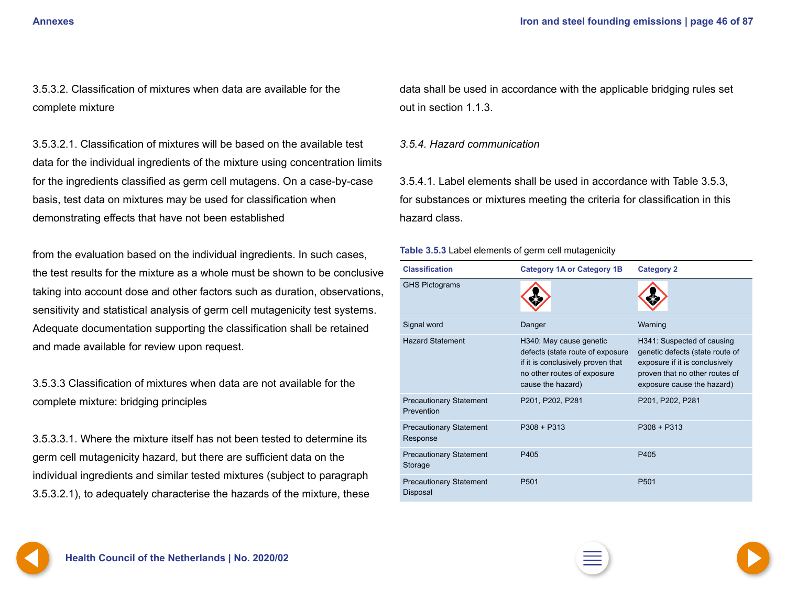<span id="page-45-0"></span>3.5.3.2. Classification of mixtures when data are available for the complete mixture

3.5.3.2.1. Classification of mixtures will be based on the available test data for the individual ingredients of the mixture using concentration limits for the ingredients classified as germ cell mutagens. On a case-by-case basis, test data on mixtures may be used for classification when demonstrating effects that have not been established

from the evaluation based on the individual ingredients. In such cases, the test results for the mixture as a whole must be shown to be conclusive taking into account dose and other factors such as duration, observations, sensitivity and statistical analysis of germ cell mutagenicity test systems. Adequate documentation supporting the classification shall be retained and made available for review upon request.

3.5.3.3 Classification of mixtures when data are not available for the complete mixture: bridging principles

3.5.3.3.1. Where the mixture itself has not been tested to determine its germ cell mutagenicity hazard, but there are sufficient data on the individual ingredients and similar tested mixtures (subject to paragraph 3.5.3.2.1), to adequately characterise the hazards of the mixture, these data shall be used in accordance with the applicable bridging rules set out in section 1.1.3.

#### *3.5.4. Hazard communication*

3.5.4.1. Label elements shall be used in accordance with Table 3.5.3, for substances or mixtures meeting the criteria for classification in this hazard class.

#### **Table 3.5.3** Label elements of germ cell mutagenicity

| <b>Classification</b>                        | <b>Category 1A or Category 1B</b>                                                                                                                    | <b>Category 2</b>                                                                                                                                               |
|----------------------------------------------|------------------------------------------------------------------------------------------------------------------------------------------------------|-----------------------------------------------------------------------------------------------------------------------------------------------------------------|
| <b>GHS Pictograms</b>                        |                                                                                                                                                      |                                                                                                                                                                 |
| Signal word                                  | Danger                                                                                                                                               | Warning                                                                                                                                                         |
| <b>Hazard Statement</b>                      | H340: May cause genetic<br>defects (state route of exposure<br>if it is conclusively proven that<br>no other routes of exposure<br>cause the hazard) | H341: Suspected of causing<br>genetic defects (state route of<br>exposure if it is conclusively<br>proven that no other routes of<br>exposure cause the hazard) |
| <b>Precautionary Statement</b><br>Prevention | P201, P202, P281                                                                                                                                     | P201, P202, P281                                                                                                                                                |
| <b>Precautionary Statement</b><br>Response   | $P308 + P313$                                                                                                                                        | $P308 + P313$                                                                                                                                                   |
| <b>Precautionary Statement</b><br>Storage    | P405                                                                                                                                                 | P405                                                                                                                                                            |
| <b>Precautionary Statement</b><br>Disposal   | P <sub>501</sub>                                                                                                                                     | P <sub>501</sub>                                                                                                                                                |

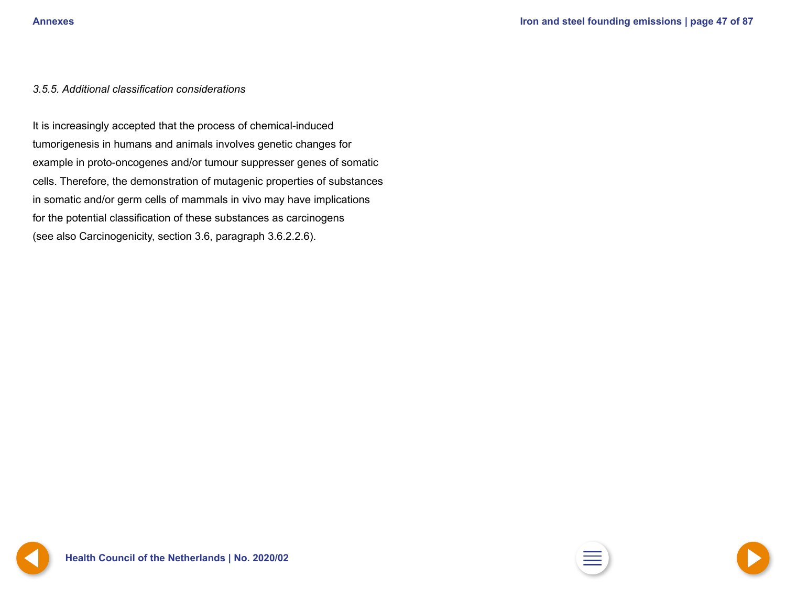#### <span id="page-46-0"></span>*3.5.5. Additional classification considerations*

It is increasingly accepted that the process of chemical-induced tumorigenesis in humans and animals involves genetic changes for example in proto-oncogenes and/or tumour suppresser genes of somatic cells. Therefore, the demonstration of mutagenic properties of substances in somatic and/or germ cells of mammals in vivo may have implications for the potential classification of these substances as carcinogens (see also Carcinogenicity, section 3.6, paragraph 3.6.2.2.6).





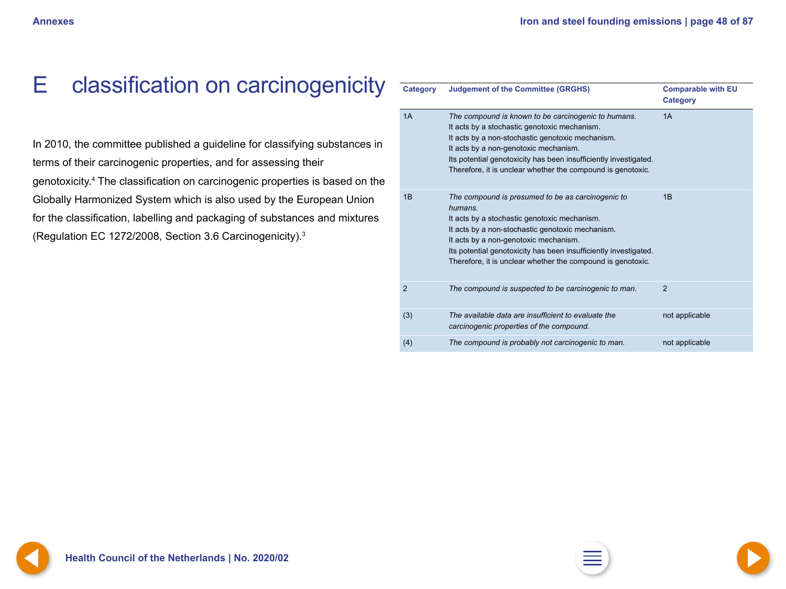# <span id="page-47-0"></span>E classification on carcinogenicity

In 2010, the committee published a guideline for classifying substances in terms of their carcinogenic properties, and for assessing their genotoxicity.4 The classification on carcinogenic properties is based on the Globally Harmonized System which is also used by the European Union for the classification, labelling and packaging of substances and mixtures (Regulation EC 1272/2008, Section 3.6 Carcinogenicity).3

| <b>Category</b> | <b>Judgement of the Committee (GRGHS)</b>                                                                                                                                                                                                                                                                                                    | <b>Comparable with EU</b><br><b>Category</b> |
|-----------------|----------------------------------------------------------------------------------------------------------------------------------------------------------------------------------------------------------------------------------------------------------------------------------------------------------------------------------------------|----------------------------------------------|
| 1A              | The compound is known to be carcinogenic to humans.<br>It acts by a stochastic genotoxic mechanism.<br>It acts by a non-stochastic genotoxic mechanism.<br>It acts by a non-genotoxic mechanism.<br>Its potential genotoxicity has been insufficiently investigated.<br>Therefore, it is unclear whether the compound is genotoxic.          | 1A                                           |
| 1B              | The compound is presumed to be as carcinogenic to<br>humans.<br>It acts by a stochastic genotoxic mechanism.<br>It acts by a non-stochastic genotoxic mechanism.<br>It acts by a non-genotoxic mechanism.<br>Its potential genotoxicity has been insufficiently investigated.<br>Therefore, it is unclear whether the compound is genotoxic. | 1B                                           |
| $\overline{2}$  | The compound is suspected to be carcinogenic to man.                                                                                                                                                                                                                                                                                         | $\overline{2}$                               |
| (3)             | The available data are insufficient to evaluate the<br>carcinogenic properties of the compound.                                                                                                                                                                                                                                              | not applicable                               |
| (4)             | The compound is probably not carcinogenic to man.                                                                                                                                                                                                                                                                                            | not applicable                               |



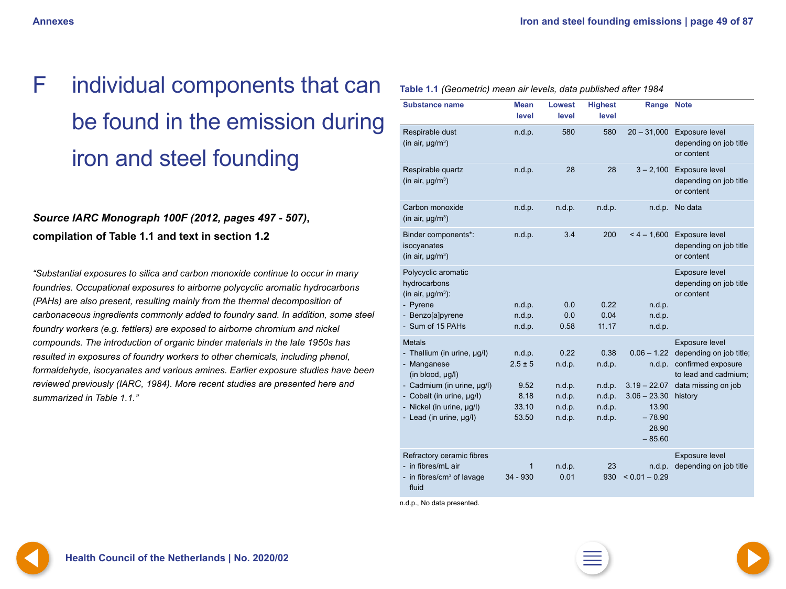# <span id="page-48-0"></span>F individual components that can be found in the emission during iron and steel founding

## *Source IARC Monograph 100F (2012, pages 497 - 507)***, compilation of Table 1.1 and text in section 1.2**

*"Substantial exposures to silica and carbon monoxide continue to occur in many foundries. Occupational exposures to airborne polycyclic aromatic hydrocarbons (PAHs) are also present, resulting mainly from the thermal decomposition of carbonaceous ingredients commonly added to foundry sand. In addition, some steel foundry workers (e.g. fettlers) are exposed to airborne chromium and nickel compounds. The introduction of organic binder materials in the late 1950s has resulted in exposures of foundry workers to other chemicals, including phenol, formaldehyde, isocyanates and various amines. Earlier exposure studies have been reviewed previously (IARC, 1984). More recent studies are presented here and summarized in Table 1.1."*

| <b>Substance name</b>                                                                                                                                                                              | <b>Mean</b><br>level                                    | <b>Lowest</b><br>level                                 | <b>Highest</b><br>level                                | <b>Range Note</b>                                                                                     |                                                                                                                           |
|----------------------------------------------------------------------------------------------------------------------------------------------------------------------------------------------------|---------------------------------------------------------|--------------------------------------------------------|--------------------------------------------------------|-------------------------------------------------------------------------------------------------------|---------------------------------------------------------------------------------------------------------------------------|
| Respirable dust<br>(in air, $\mu g/m^3$ )                                                                                                                                                          | n.d.p.                                                  | 580                                                    | 580                                                    | $20 - 31,000$                                                                                         | Exposure level<br>depending on job title<br>or content                                                                    |
| Respirable quartz<br>(in air, $\mu g/m^3$ )                                                                                                                                                        | n.d.p.                                                  | 28                                                     | 28                                                     | $3 - 2,100$                                                                                           | Exposure level<br>depending on job title<br>or content                                                                    |
| Carbon monoxide<br>(in air, $\mu g/m^3$ )                                                                                                                                                          | n.d.p.                                                  | n.d.p.                                                 | n.d.p.                                                 | n.d.p.                                                                                                | No data                                                                                                                   |
| Binder components*:<br>isocyanates<br>(in air, $\mu g/m^3$ )                                                                                                                                       | n.d.p.                                                  | 3.4                                                    | 200                                                    | $< 4 - 1,600$                                                                                         | Exposure level<br>depending on job title<br>or content                                                                    |
| Polycyclic aromatic<br>hydrocarbons<br>(in air, $\mu g/m^3$ ):                                                                                                                                     |                                                         |                                                        |                                                        |                                                                                                       | Exposure level<br>depending on job title<br>or content                                                                    |
| - Pyrene<br>- Benzo[a]pyrene<br>- Sum of 15 PAHs                                                                                                                                                   | n.d.p.<br>n.d.p.<br>n.d.p.                              | 0.0<br>0.0<br>0.58                                     | 0.22<br>0.04<br>11.17                                  | n.d.p.<br>n.d.p.<br>n.d.p.                                                                            |                                                                                                                           |
| <b>Metals</b><br>- Thallium (in urine, µg/l)<br>- Manganese<br>(in blood, µg/l)<br>- Cadmium (in urine, µg/l)<br>- Cobalt (in urine, µg/l)<br>- Nickel (in urine, µg/l)<br>- Lead (in urine, µg/l) | n.d.p.<br>$2.5 \pm 5$<br>9.52<br>8.18<br>33.10<br>53.50 | 0.22<br>n.d.p.<br>n.d.p.<br>n.d.p.<br>n.d.p.<br>n.d.p. | 0.38<br>n.d.p.<br>n.d.p.<br>n.d.p.<br>n.d.p.<br>n.d.p. | $0.06 - 1.22$<br>n.d.p.<br>$3.19 - 22.07$<br>$3.06 - 23.30$<br>13.90<br>$-78.90$<br>28.90<br>$-85.60$ | Exposure level<br>depending on job title;<br>confirmed exposure<br>to lead and cadmium;<br>data missing on job<br>history |
| Refractory ceramic fibres<br>- in fibres/mL air<br>- in fibres/ $cm3$ of lavage<br>fluid                                                                                                           | 1<br>34 - 930                                           | n.d.p.<br>0.01                                         | 23<br>930                                              | n.d.p.<br>$< 0.01 - 0.29$                                                                             | Exposure level<br>depending on job title                                                                                  |

**Table 1.1** *(Geometric) mean air levels, data published after 1984*

n.d.p., No data presented.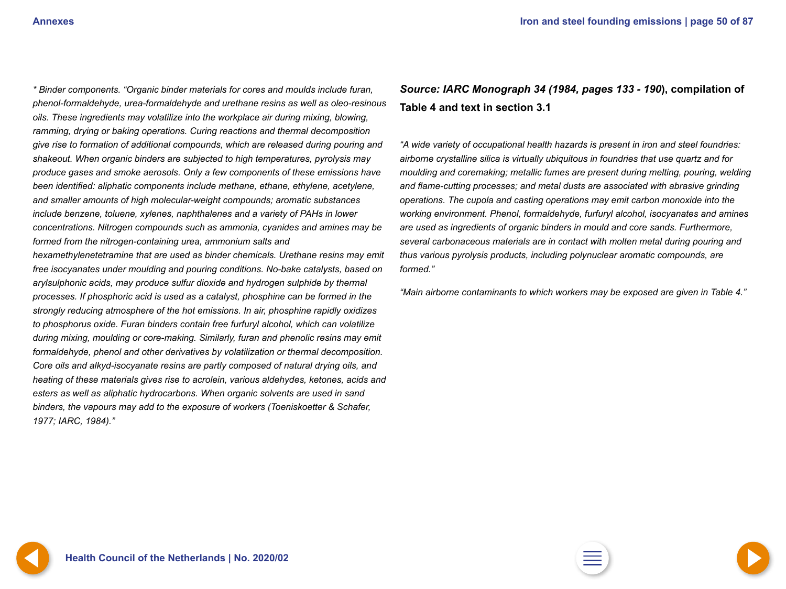*1977; IARC, 1984)."*

<span id="page-49-0"></span>*\* Binder components. "Organic binder materials for cores and moulds include furan, phenol-formaldehyde, urea-formaldehyde and urethane resins as well as oleo-resinous oils. These ingredients may volatilize into the workplace air during mixing, blowing, ramming, drying or baking operations. Curing reactions and thermal decomposition give rise to formation of additional compounds, which are released during pouring and shakeout. When organic binders are subjected to high temperatures, pyrolysis may produce gases and smoke aerosols. Only a few components of these emissions have been identified: aliphatic components include methane, ethane, ethylene, acetylene, and smaller amounts of high molecular-weight compounds; aromatic substances include benzene, toluene, xylenes, naphthalenes and a variety of PAHs in lower concentrations. Nitrogen compounds such as ammonia, cyanides and amines may be formed from the nitrogen-containing urea, ammonium salts and hexamethylenetetramine that are used as binder chemicals. Urethane resins may emit free isocyanates under moulding and pouring conditions. No-bake catalysts, based on arylsulphonic acids, may produce sulfur dioxide and hydrogen sulphide by thermal processes. If phosphoric acid is used as a catalyst, phosphine can be formed in the strongly reducing atmosphere of the hot emissions. In air, phosphine rapidly oxidizes to phosphorus oxide. Furan binders contain free furfuryl alcohol, which can volatilize during mixing, moulding or core-making. Similarly, furan and phenolic resins may emit formaldehyde, phenol and other derivatives by volatilization or thermal decomposition. Core oils and alkyd-isocyanate resins are partly composed of natural drying oils, and heating of these materials gives rise to acrolein, various aldehydes, ketones, acids and esters as well as aliphatic hydrocarbons. When organic solvents are used in sand binders, the vapours may add to the exposure of workers (Toeniskoetter & Schafer,* 

*Source: IARC Monograph 34 (1984, pages 133 - 190***), compilation of Table 4 and text in section 3.1**

*"A wide variety of occupational health hazards is present in iron and steel foundries: airborne crystalline silica is virtually ubiquitous in foundries that use quartz and for moulding and coremaking; metallic fumes are present during melting, pouring, welding and flame-cutting processes; and metal dusts are associated with abrasive grinding operations. The cupola and casting operations may emit carbon monoxide into the working environment. Phenol, formaldehyde, furfuryl alcohol, isocyanates and amines are used as ingredients of organic binders in mould and core sands. Furthermore, several carbonaceous materials are in contact with molten metal during pouring and thus various pyrolysis products, including polynuclear aromatic compounds, are formed."*

*"Main airborne contaminants to which workers may be exposed are given in Table 4."*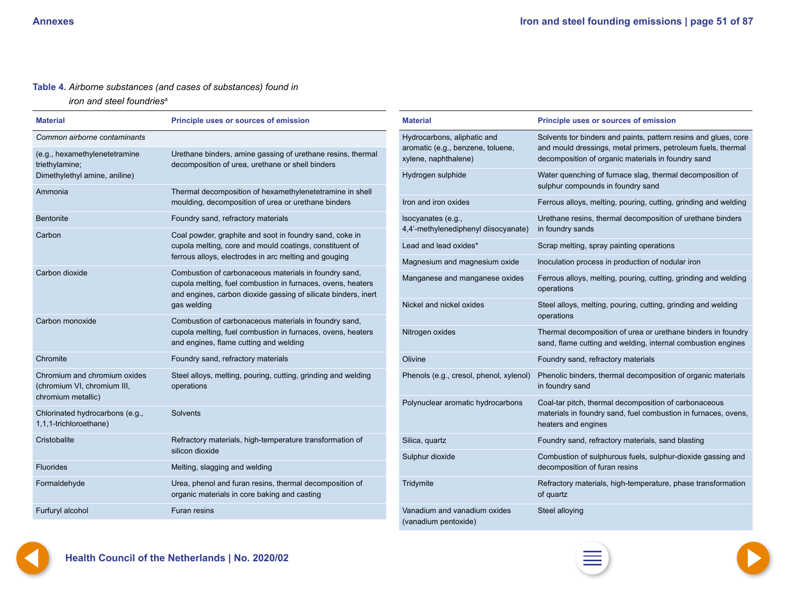#### <span id="page-50-0"></span>**Table 4.** *Airborne substances (and cases of substances) found in*

*iron and steel foundriesa*

| <b>Material</b>                                                                                                                                                                                          | Principle uses or sources of emission                                                                                             | <b>Material</b>                                                  | <b>Principle uses or sources of emission</b>                                                                                    |
|----------------------------------------------------------------------------------------------------------------------------------------------------------------------------------------------------------|-----------------------------------------------------------------------------------------------------------------------------------|------------------------------------------------------------------|---------------------------------------------------------------------------------------------------------------------------------|
| Common airborne contaminants                                                                                                                                                                             |                                                                                                                                   | Hydrocarbons, aliphatic and<br>aromatic (e.g., benzene, toluene, | Solvents tor binders and paints, pattern resins and glues, core<br>and mould dressings, metal primers, petroleum fuels, thermal |
| (e.g., hexamethylenetetramine                                                                                                                                                                            | Urethane binders, amine gassing of urethane resins, thermal<br>decomposition of urea, urethane or shell binders<br>triethylamine; |                                                                  | decomposition of organic materials in foundry sand                                                                              |
| Dimethylethyl amine, aniline)                                                                                                                                                                            |                                                                                                                                   | Hydrogen sulphide                                                | Water quenching of furnace slag, thermal decomposition of                                                                       |
| Ammonia                                                                                                                                                                                                  | Thermal decomposition of hexamethylenetetramine in shell<br>moulding, decomposition of urea or urethane binders                   | Iron and iron oxides                                             | sulphur compounds in foundry sand<br>Ferrous alloys, melting, pouring, cutting, grinding and welding                            |
| <b>Bentonite</b>                                                                                                                                                                                         | Foundry sand, refractory materials                                                                                                | Isocyanates (e.g.,                                               | Urethane resins, thermal decomposition of urethane binders                                                                      |
| Carbon                                                                                                                                                                                                   | Coal powder, graphite and soot in foundry sand, coke in                                                                           | 4,4'-methylenediphenyl diisocyanate)                             | in foundry sands                                                                                                                |
|                                                                                                                                                                                                          | cupola melting, core and mould coatings, constituent of                                                                           | Lead and lead oxides*                                            | Scrap melting, spray painting operations                                                                                        |
|                                                                                                                                                                                                          | ferrous alloys, electrodes in arc melting and gouging                                                                             | Magnesium and magnesium oxide                                    | Inoculation process in production of nodular iron                                                                               |
| Carbon dioxide<br>Combustion of carbonaceous materials in foundry sand,<br>cupola melting, fuel combustion in furnaces, ovens, heaters<br>and engines, carbon dioxide gassing of silicate binders, inert |                                                                                                                                   | Manganese and manganese oxides                                   | Ferrous alloys, melting, pouring, cutting, grinding and welding<br>operations                                                   |
|                                                                                                                                                                                                          | gas welding                                                                                                                       | Nickel and nickel oxides                                         | Steel alloys, melting, pouring, cutting, grinding and welding<br>operations                                                     |
| Carbon monoxide                                                                                                                                                                                          | Combustion of carbonaceous materials in foundry sand,<br>cupola melting, fuel combustion in furnaces, ovens, heaters              | Nitrogen oxides                                                  | Thermal decomposition of urea or urethane binders in foundry                                                                    |
|                                                                                                                                                                                                          | and engines, flame cutting and welding                                                                                            |                                                                  | sand, flame cutting and welding, internal combustion engines                                                                    |
| Chromite                                                                                                                                                                                                 | Foundry sand, refractory materials                                                                                                | Olivine                                                          | Foundry sand, refractory materials                                                                                              |
| Chromium and chromium oxides<br>(chromium VI, chromium III,                                                                                                                                              | Steel alloys, melting, pouring, cutting, grinding and welding<br>operations                                                       | Phenols (e.g., cresol, phenol, xylenol)                          | Phenolic binders, thermal decomposition of organic materials<br>in foundry sand                                                 |
| chromium metallic)                                                                                                                                                                                       |                                                                                                                                   | Polynuclear aromatic hydrocarbons                                | Coal-tar pitch, thermal decomposition of carbonaceous                                                                           |
| Chlorinated hydrocarbons (e.g.,<br>1,1,1-trichloroethane)                                                                                                                                                | Solvents                                                                                                                          |                                                                  | materials in foundry sand, fuel combustion in furnaces, ovens,<br>heaters and engines                                           |
| Cristobalite                                                                                                                                                                                             | Refractory materials, high-temperature transformation of                                                                          | Silica, quartz                                                   | Foundry sand, refractory materials, sand blasting                                                                               |
| silicon dioxide                                                                                                                                                                                          |                                                                                                                                   | Sulphur dioxide                                                  | Combustion of sulphurous fuels, sulphur-dioxide gassing and                                                                     |
| Fluorides                                                                                                                                                                                                | Melting, slagging and welding                                                                                                     |                                                                  | decomposition of furan resins                                                                                                   |
| Formaldehyde                                                                                                                                                                                             | Urea, phenol and furan resins, thermal decomposition of<br>organic materials in core baking and casting                           | Tridymite                                                        | Refractory materials, high-temperature, phase transformation<br>of quartz                                                       |
| Furfuryl alcohol                                                                                                                                                                                         | Furan resins                                                                                                                      | Vanadium and vanadium oxides<br>(vanadium pentoxide)             | Steel alloying                                                                                                                  |



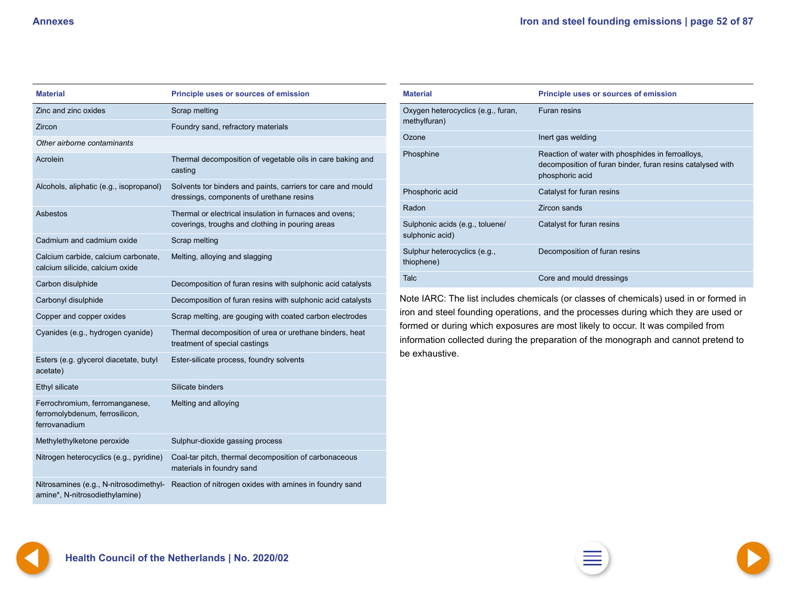<span id="page-51-0"></span>

| <b>Material</b>                                                                   | <b>Principle uses or sources of emission</b>                                                                |
|-----------------------------------------------------------------------------------|-------------------------------------------------------------------------------------------------------------|
| Zinc and zinc oxides                                                              | Scrap melting                                                                                               |
| Zircon                                                                            | Foundry sand, refractory materials                                                                          |
| Other airborne contaminants                                                       |                                                                                                             |
| Acrolein                                                                          | Thermal decomposition of vegetable oils in care baking and<br>casting                                       |
| Alcohols, aliphatic (e.g., isopropanol)                                           | Solvents tor binders and paints, carriers tor care and mould<br>dressings, components of urethane resins    |
| Asbestos                                                                          | Thermal or electrical insulation in furnaces and ovens;<br>coverings, troughs and clothing in pouring areas |
| Cadmium and cadmium oxide                                                         | Scrap melting                                                                                               |
| Calcium carbide, calcium carbonate,<br>calcium silicide, calcium oxide            | Melting, alloying and slagging                                                                              |
| Carbon disulphide                                                                 | Decomposition of furan resins with sulphonic acid catalysts                                                 |
| Carbonyl disulphide                                                               | Decomposition of furan resins with sulphonic acid catalysts                                                 |
| Copper and copper oxides                                                          | Scrap melting, are gouging with coated carbon electrodes                                                    |
| Cyanides (e.g., hydrogen cyanide)                                                 | Thermal decomposition of urea or urethane binders, heat<br>treatment of special castings                    |
| Esters (e.g. glycerol diacetate, butyl<br>acetate)                                | Ester-silicate process, foundry solvents                                                                    |
| Ethyl silicate                                                                    | Silicate binders                                                                                            |
| Ferrochromium, ferromanganese,<br>ferromolybdenum, ferrosilicon,<br>ferrovanadium | Melting and alloying                                                                                        |
| Methylethylketone peroxide                                                        | Sulphur-dioxide gassing process                                                                             |
| Nitrogen heterocyclics (e.g., pyridine)                                           | Coal-tar pitch, thermal decomposition of carbonaceous<br>materials in foundry sand                          |
| Nitrosamines (e.g., N-nitrosodimethyl-<br>amine*, N-nitrosodiethylamine)          | Reaction of nitrogen oxides with amines in foundry sand                                                     |

| <b>Material</b>                                    | <b>Principle uses or sources of emission</b>                                                                                       |
|----------------------------------------------------|------------------------------------------------------------------------------------------------------------------------------------|
| Oxygen heterocyclics (e.g., furan,<br>methylfuran) | <b>Furan resins</b>                                                                                                                |
| Ozone                                              | Inert gas welding                                                                                                                  |
| Phosphine                                          | Reaction of water with phosphides in ferroalloys,<br>decomposition of furan binder, furan resins catalysed with<br>phosphoric acid |
| Phosphoric acid                                    | Catalyst for furan resins                                                                                                          |
| Radon                                              | Zircon sands                                                                                                                       |
| Sulphonic acids (e.g., toluene/<br>sulphonic acid) | Catalyst for furan resins                                                                                                          |
| Sulphur heterocyclics (e.g.,<br>thiophene)         | Decomposition of furan resins                                                                                                      |
| Talc                                               | Core and mould dressings                                                                                                           |

Note IARC: The list includes chemicals (or classes of chemicals) used in or formed in iron and steel founding operations, and the processes during which they are used or formed or during which exposures are most likely to occur. It was compiled from information collected during the preparation of the monograph and cannot pretend to be exhaustive.

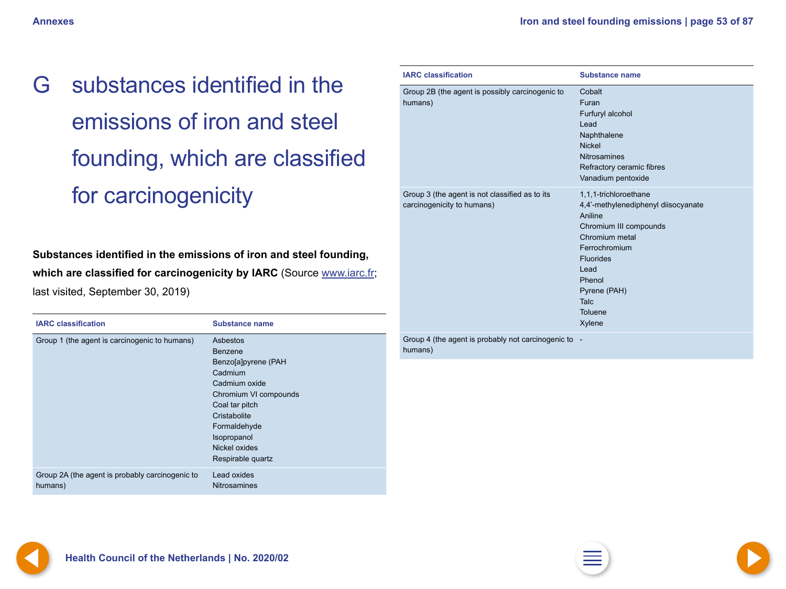<span id="page-52-0"></span>G substances identified in the emissions of iron and steel founding, which are classified for carcinogenicity

**Substances identified in the emissions of iron and steel founding,**  which are classified for carcinogenicity by IARC (Source [www.iarc.fr;](http://www.iarc.fr) last visited, September 30, 2019)

| <b>IARC</b> classification                                 | <b>Substance name</b>                                                                                                                                                                                         |
|------------------------------------------------------------|---------------------------------------------------------------------------------------------------------------------------------------------------------------------------------------------------------------|
| Group 1 (the agent is carcinogenic to humans)              | Asbestos<br><b>Benzene</b><br>Benzo[a]pyrene (PAH<br>Cadmium<br>Cadmium oxide<br>Chromium VI compounds<br>Coal tar pitch<br>Cristabolite<br>Formaldehyde<br>Isopropanol<br>Nickel oxides<br>Respirable quartz |
| Group 2A (the agent is probably carcinogenic to<br>humans) | Lead oxides<br><b>Nitrosamines</b>                                                                                                                                                                            |

| <b>IARC classification</b>                                                   | <b>Substance name</b>                                                                                                                                                                                                                        |
|------------------------------------------------------------------------------|----------------------------------------------------------------------------------------------------------------------------------------------------------------------------------------------------------------------------------------------|
| Group 2B (the agent is possibly carcinogenic to<br>humans)                   | Cobalt<br>Furan<br>Furfuryl alcohol<br>Lead<br>Naphthalene<br><b>Nickel</b><br><b>Nitrosamines</b><br>Refractory ceramic fibres<br>Vanadium pentoxide                                                                                        |
| Group 3 (the agent is not classified as to its<br>carcinogenicity to humans) | 1,1,1-trichloroethane<br>4,4'-methylenediphenyl diisocyanate<br>Aniline<br>Chromium III compounds<br>Chromium metal<br>Ferrochromium<br><b>Fluorides</b><br>Lead<br>Phenol<br>Pyrene (PAH)<br><b>Talc</b><br><b>Toluene</b><br><b>Xylene</b> |

Group 4 (the agent is probably not carcinogenic to humans)



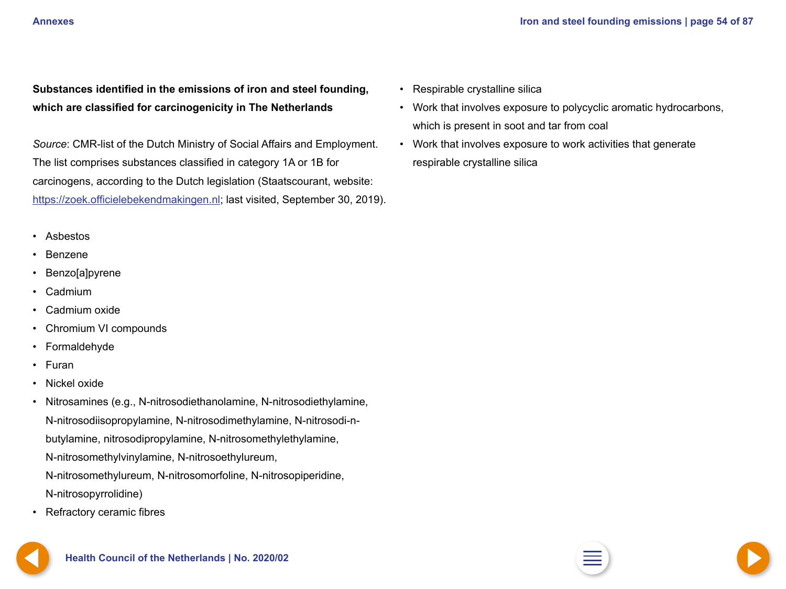<span id="page-53-0"></span>

**Substances identified in the emissions of iron and steel founding, which are classified for carcinogenicity in The Netherlands**

*Source*: CMR-list of the Dutch Ministry of Social Affairs and Employment. The list comprises substances classified in category 1A or 1B for carcinogens, according to the Dutch legislation (Staatscourant, website: <https://zoek.officielebekendmakingen.nl>; last visited, September 30, 2019).

- Asbestos
- Benzene
- Benzo[a]pyrene
- Cadmium
- Cadmium oxide
- Chromium VI compounds
- **Formaldehyde**
- Furan
- Nickel oxide
- Nitrosamines (e.g., N-nitrosodiethanolamine, N-nitrosodiethylamine, N-nitrosodiisopropylamine, N-nitrosodimethylamine, N-nitrosodi-nbutylamine, nitrosodipropylamine, N-nitrosomethylethylamine, N-nitrosomethylvinylamine, N-nitrosoethylureum, N-nitrosomethylureum, N-nitrosomorfoline, N-nitrosopiperidine, N-nitrosopyrrolidine)
- Refractory ceramic fibres

• Respirable crystalline silica

- Work that involves exposure to polycyclic aromatic hydrocarbons, which is present in soot and tar from coal
- Work that involves exposure to work activities that generate respirable crystalline silica



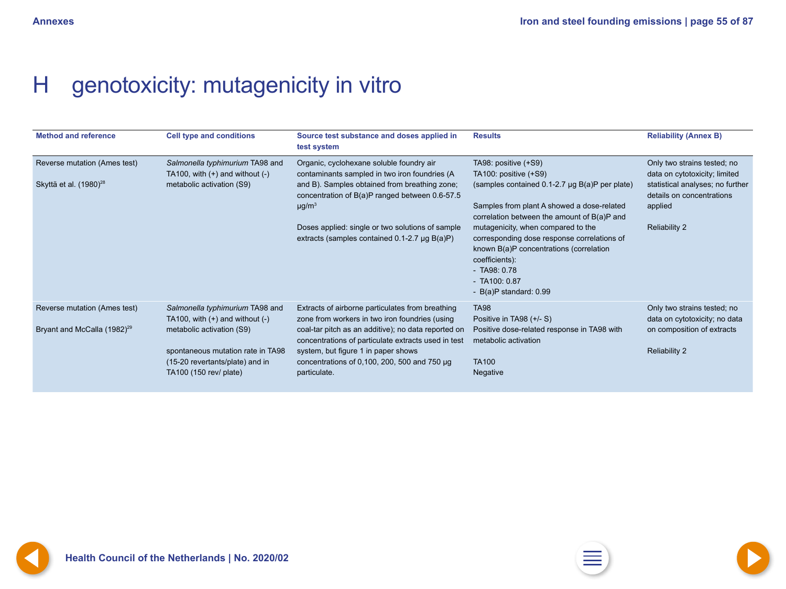# <span id="page-54-0"></span>H genotoxicity: mutagenicity in vitro

| <b>Method and reference</b>                                             | <b>Cell type and conditions</b>                                                                                                                                                                       | Source test substance and doses applied in<br>test system                                                                                                                                                                                                                                                                    | <b>Results</b>                                                                                                                                                                                                                                                                                                                                                                                                    | <b>Reliability (Annex B)</b>                                                                                                                                     |
|-------------------------------------------------------------------------|-------------------------------------------------------------------------------------------------------------------------------------------------------------------------------------------------------|------------------------------------------------------------------------------------------------------------------------------------------------------------------------------------------------------------------------------------------------------------------------------------------------------------------------------|-------------------------------------------------------------------------------------------------------------------------------------------------------------------------------------------------------------------------------------------------------------------------------------------------------------------------------------------------------------------------------------------------------------------|------------------------------------------------------------------------------------------------------------------------------------------------------------------|
| Reverse mutation (Ames test)<br>Skyttä et al. (1980) <sup>28</sup>      | Salmonella typhimurium TA98 and<br>TA100, with $(+)$ and without $(-)$<br>metabolic activation (S9)                                                                                                   | Organic, cyclohexane soluble foundry air<br>contaminants sampled in two iron foundries (A<br>and B). Samples obtained from breathing zone;<br>concentration of B(a)P ranged between 0.6-57.5<br>$\mu$ g/m <sup>3</sup><br>Doses applied: single or two solutions of sample<br>extracts (samples contained 0.1-2.7 µg B(a)P)  | TA98: positive (+S9)<br>TA100: positive (+S9)<br>(samples contained 0.1-2.7 µg B(a)P per plate)<br>Samples from plant A showed a dose-related<br>correlation between the amount of B(a)P and<br>mutagenicity, when compared to the<br>corresponding dose response correlations of<br>known B(a)P concentrations (correlation<br>coefficients):<br>$-$ TA98: 0.78<br>$-$ TA100: 0.87<br>- $B(a)P$ standard: $0.99$ | Only two strains tested; no<br>data on cytotoxicity; limited<br>statistical analyses; no further<br>details on concentrations<br>applied<br><b>Reliability 2</b> |
| Reverse mutation (Ames test)<br>Bryant and McCalla (1982) <sup>29</sup> | Salmonella typhimurium TA98 and<br>TA100, with $(+)$ and without $(-)$<br>metabolic activation (S9)<br>spontaneous mutation rate in TA98<br>(15-20 revertants/plate) and in<br>TA100 (150 rev/ plate) | Extracts of airborne particulates from breathing<br>zone from workers in two iron foundries (using<br>coal-tar pitch as an additive); no data reported on<br>concentrations of particulate extracts used in test<br>system, but figure 1 in paper shows<br>concentrations of 0,100, 200, 500 and 750 $\mu$ g<br>particulate. | <b>TA98</b><br>Positive in TA98 (+/- S)<br>Positive dose-related response in TA98 with<br>metabolic activation<br><b>TA100</b><br>Negative                                                                                                                                                                                                                                                                        | Only two strains tested; no<br>data on cytotoxicity; no data<br>on composition of extracts<br><b>Reliability 2</b>                                               |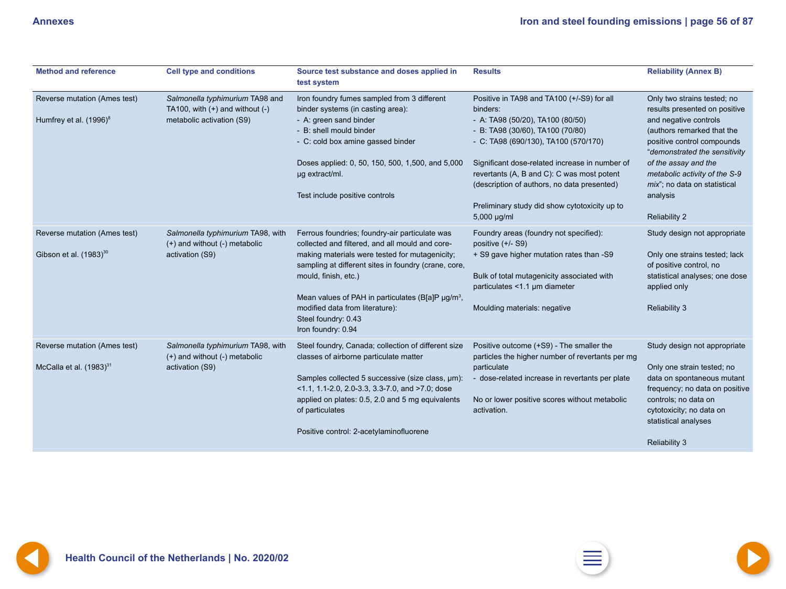<span id="page-55-0"></span>

| <b>Method and reference</b>                                  | <b>Cell type and conditions</b>                                                                     | Source test substance and doses applied in<br>test system                                                                                                                                                                                                                                                                                                                            | <b>Results</b>                                                                                                                                                                                                                                                                                                                                                                        | <b>Reliability (Annex B)</b>                                                                                                                                                                                                                                                                                    |
|--------------------------------------------------------------|-----------------------------------------------------------------------------------------------------|--------------------------------------------------------------------------------------------------------------------------------------------------------------------------------------------------------------------------------------------------------------------------------------------------------------------------------------------------------------------------------------|---------------------------------------------------------------------------------------------------------------------------------------------------------------------------------------------------------------------------------------------------------------------------------------------------------------------------------------------------------------------------------------|-----------------------------------------------------------------------------------------------------------------------------------------------------------------------------------------------------------------------------------------------------------------------------------------------------------------|
| Reverse mutation (Ames test)<br>Humfrey et al. $(1996)^8$    | Salmonella typhimurium TA98 and<br>TA100, with $(+)$ and without $(-)$<br>metabolic activation (S9) | Iron foundry fumes sampled from 3 different<br>binder systems (in casting area):<br>- A: green sand binder<br>- B: shell mould binder<br>- C: cold box amine gassed binder<br>Doses applied: 0, 50, 150, 500, 1,500, and 5,000<br>µg extract/ml.<br>Test include positive controls                                                                                                   | Positive in TA98 and TA100 (+/-S9) for all<br>binders:<br>- A: TA98 (50/20), TA100 (80/50)<br>- B: TA98 (30/60), TA100 (70/80)<br>- C: TA98 (690/130), TA100 (570/170)<br>Significant dose-related increase in number of<br>revertants (A, B and C): C was most potent<br>(description of authors, no data presented)<br>Preliminary study did show cytotoxicity up to<br>5,000 µg/ml | Only two strains tested; no<br>results presented on positive<br>and negative controls<br>(authors remarked that the<br>positive control compounds<br>"demonstrated the sensitivity<br>of the assay and the<br>metabolic activity of the S-9<br>mix"; no data on statistical<br>analysis<br><b>Reliability 2</b> |
| Reverse mutation (Ames test)<br>Gibson et al. $(1983)^{30}$  | Salmonella typhimurium TA98, with<br>(+) and without (-) metabolic<br>activation (S9)               | Ferrous foundries; foundry-air particulate was<br>collected and filtered, and all mould and core-<br>making materials were tested for mutagenicity;<br>sampling at different sites in foundry (crane, core,<br>mould, finish, etc.)<br>Mean values of PAH in particulates (B[a]P µg/m <sup>3</sup> ,<br>modified data from literature):<br>Steel foundry: 0.43<br>Iron foundry: 0.94 | Foundry areas (foundry not specified):<br>positive (+/- S9)<br>+ S9 gave higher mutation rates than -S9<br>Bulk of total mutagenicity associated with<br>particulates <1.1 µm diameter<br>Moulding materials: negative                                                                                                                                                                | Study design not appropriate<br>Only one strains tested; lack<br>of positive control, no<br>statistical analyses; one dose<br>applied only<br><b>Reliability 3</b>                                                                                                                                              |
| Reverse mutation (Ames test)<br>McCalla et al. $(1983)^{31}$ | Salmonella typhimurium TA98, with<br>(+) and without (-) metabolic<br>activation (S9)               | Steel foundry, Canada; collection of different size<br>classes of airborne particulate matter<br>Samples collected 5 successive (size class, µm):<br>$\leq$ 1.1, 1.1-2.0, 2.0-3.3, 3.3-7.0, and $\geq$ 7.0; dose<br>applied on plates: 0.5, 2.0 and 5 mg equivalents<br>of particulates<br>Positive control: 2-acetylaminofluorene                                                   | Positive outcome (+S9) - The smaller the<br>particles the higher number of revertants per mg<br>particulate<br>- dose-related increase in revertants per plate<br>No or lower positive scores without metabolic<br>activation.                                                                                                                                                        | Study design not appropriate<br>Only one strain tested; no<br>data on spontaneous mutant<br>frequency; no data on positive<br>controls; no data on<br>cytotoxicity; no data on<br>statistical analyses<br><b>Reliability 3</b>                                                                                  |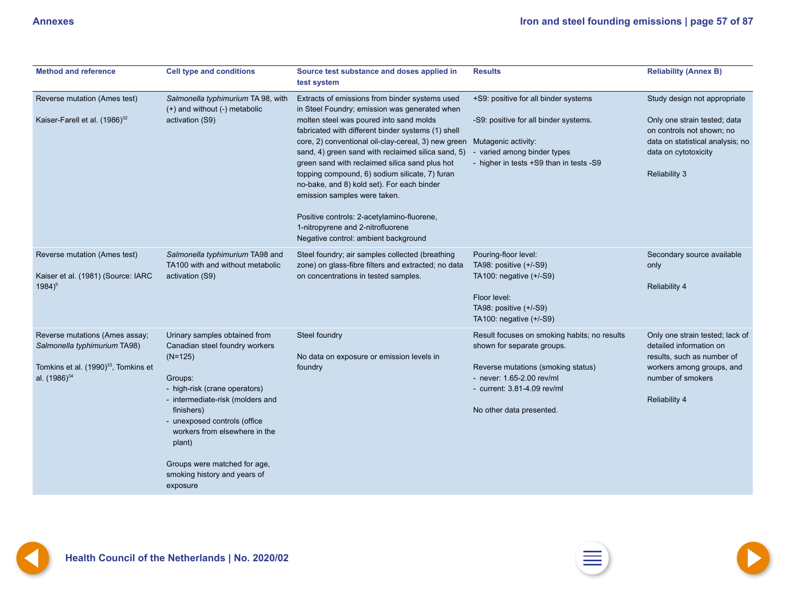<span id="page-56-0"></span>

| <b>Method and reference</b>                                                                                                                    | <b>Cell type and conditions</b>                                                                                                                                                                                                                                                                                                   | Source test substance and doses applied in<br>test system                                                                                                                                                                                                                                                                                                                                                                                                                                                                                                                                                                  | <b>Results</b>                                                                                                                                                                                           | <b>Reliability (Annex B)</b>                                                                                                                                                  |
|------------------------------------------------------------------------------------------------------------------------------------------------|-----------------------------------------------------------------------------------------------------------------------------------------------------------------------------------------------------------------------------------------------------------------------------------------------------------------------------------|----------------------------------------------------------------------------------------------------------------------------------------------------------------------------------------------------------------------------------------------------------------------------------------------------------------------------------------------------------------------------------------------------------------------------------------------------------------------------------------------------------------------------------------------------------------------------------------------------------------------------|----------------------------------------------------------------------------------------------------------------------------------------------------------------------------------------------------------|-------------------------------------------------------------------------------------------------------------------------------------------------------------------------------|
| Reverse mutation (Ames test)<br>Kaiser-Farell et al. (1986) <sup>32</sup>                                                                      | Salmonella typhimurium TA 98, with<br>(+) and without (-) metabolic<br>activation (S9)                                                                                                                                                                                                                                            | Extracts of emissions from binder systems used<br>in Steel Foundry; emission was generated when<br>molten steel was poured into sand molds<br>fabricated with different binder systems (1) shell<br>core, 2) conventional oil-clay-cereal, 3) new green<br>sand, 4) green sand with reclaimed silica sand, 5)<br>green sand with reclaimed silica sand plus hot<br>topping compound, 6) sodium silicate, 7) furan<br>no-bake, and 8) kold set). For each binder<br>emission samples were taken.<br>Positive controls: 2-acetylamino-fluorene,<br>1-nitropyrene and 2-nitrofluorene<br>Negative control: ambient background | +S9: positive for all binder systems<br>-S9: positive for all binder systems.<br>Mutagenic activity:<br>varied among binder types<br>- higher in tests +S9 than in tests -S9                             | Study design not appropriate<br>Only one strain tested; data<br>on controls not shown; no<br>data on statistical analysis; no<br>data on cytotoxicity<br><b>Reliability 3</b> |
| Reverse mutation (Ames test)<br>Kaiser et al. (1981) (Source: IARC<br>$1984)^5$                                                                | Salmonella typhimurium TA98 and<br>TA100 with and without metabolic<br>activation (S9)                                                                                                                                                                                                                                            | Steel foundry; air samples collected (breathing<br>zone) on glass-fibre filters and extracted; no data<br>on concentrations in tested samples.                                                                                                                                                                                                                                                                                                                                                                                                                                                                             | Pouring-floor level:<br>TA98: positive (+/-S9)<br>TA100: negative (+/-S9)<br>Floor level:<br>TA98: positive (+/-S9)<br>TA100: negative (+/-S9)                                                           | Secondary source available<br>only<br><b>Reliability 4</b>                                                                                                                    |
| Reverse mutations (Ames assay;<br>Salmonella typhimurium TA98)<br>Tomkins et al. (1990) <sup>33</sup> , Tomkins et<br>al. (1986) <sup>34</sup> | Urinary samples obtained from<br>Canadian steel foundry workers<br>$(N=125)$<br>Groups:<br>- high-risk (crane operators)<br>- intermediate-risk (molders and<br>finishers)<br>- unexposed controls (office<br>workers from elsewhere in the<br>plant)<br>Groups were matched for age,<br>smoking history and years of<br>exposure | Steel foundry<br>No data on exposure or emission levels in<br>foundry                                                                                                                                                                                                                                                                                                                                                                                                                                                                                                                                                      | Result focuses on smoking habits; no results<br>shown for separate groups.<br>Reverse mutations (smoking status)<br>- never: 1.65-2.00 rev/ml<br>- current: 3.81-4.09 rev/ml<br>No other data presented. | Only one strain tested; lack of<br>detailed information on<br>results, such as number of<br>workers among groups, and<br>number of smokers<br><b>Reliability 4</b>            |

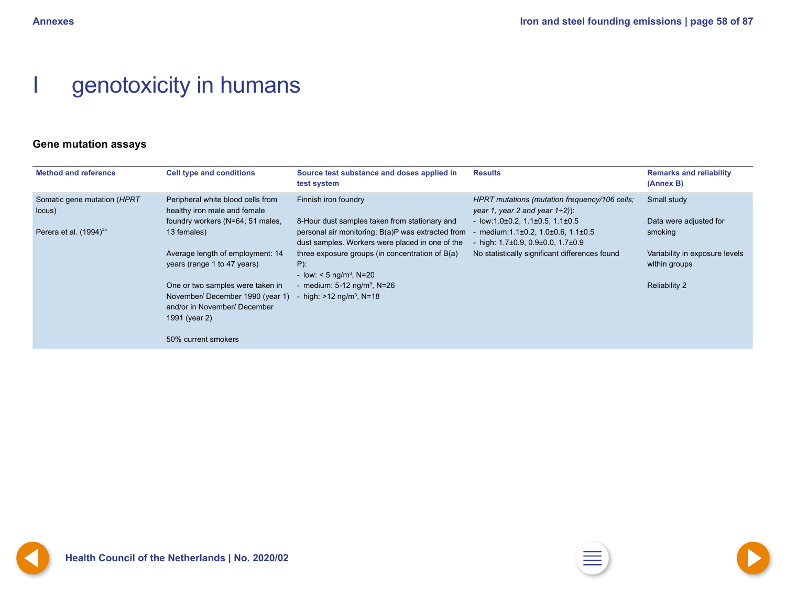# <span id="page-57-0"></span>genotoxicity in humans

### **Gene mutation assays**

| <b>Method and reference</b>           | <b>Cell type and conditions</b>                                                                                      | Source test substance and doses applied in<br>test system                                                                                             | <b>Results</b>                                                                                                                 | <b>Remarks and reliability</b><br>(Annex B)     |
|---------------------------------------|----------------------------------------------------------------------------------------------------------------------|-------------------------------------------------------------------------------------------------------------------------------------------------------|--------------------------------------------------------------------------------------------------------------------------------|-------------------------------------------------|
| Somatic gene mutation (HPRT<br>locus) | Peripheral white blood cells from<br>healthy iron male and female                                                    | Finnish iron foundry                                                                                                                                  | HPRT mutations (mutation frequency/106 cells;<br>year 1, year 2 and year $1+2$ ):                                              | Small study                                     |
| Perera et al. $(1994)^{35}$           | foundry workers (N=64; 51 males,<br>13 females)                                                                      | 8-Hour dust samples taken from stationary and<br>personal air monitoring; B(a)P was extracted from<br>dust samples. Workers were placed in one of the | - $low:1.0\pm0.2, 1.1\pm0.5, 1.1\pm0.5$<br>medium:1.1±0.2, 1.0±0.6, 1.1±0.5<br>- high: $1.7\pm0.9$ , $0.9\pm0.0$ , $1.7\pm0.9$ | Data were adjusted for<br>smoking               |
|                                       | Average length of employment: 14<br>years (range 1 to 47 years)                                                      | three exposure groups (in concentration of B(a)<br>$P$ ):<br>- low: $<$ 5 ng/m <sup>3</sup> , N=20                                                    | No statistically significant differences found                                                                                 | Variability in exposure levels<br>within groups |
|                                       | One or two samples were taken in<br>November/December 1990 (year 1)<br>and/or in November/ December<br>1991 (year 2) | - medium: $5-12$ ng/m <sup>3</sup> , N=26<br>- high: $>12$ ng/m <sup>3</sup> , N=18                                                                   |                                                                                                                                | <b>Reliability 2</b>                            |
|                                       | 50% current smokers                                                                                                  |                                                                                                                                                       |                                                                                                                                |                                                 |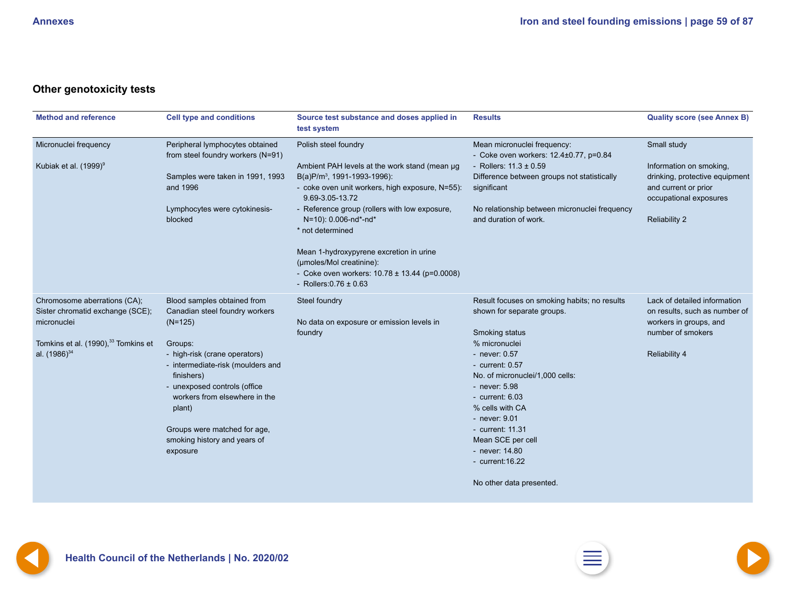## <span id="page-58-0"></span>**Other genotoxicity tests**

| <b>Method and reference</b>                                                                                                                             | <b>Cell type and conditions</b>                                                                                                                                                                                                                                                                                                  | Source test substance and doses applied in<br>test system                                                                                                                                                                                                                                                                                                                                                                                     | <b>Results</b>                                                                                                                                                                                                                                                                                                                                                               | <b>Quality score (see Annex B)</b>                                                                                                                 |
|---------------------------------------------------------------------------------------------------------------------------------------------------------|----------------------------------------------------------------------------------------------------------------------------------------------------------------------------------------------------------------------------------------------------------------------------------------------------------------------------------|-----------------------------------------------------------------------------------------------------------------------------------------------------------------------------------------------------------------------------------------------------------------------------------------------------------------------------------------------------------------------------------------------------------------------------------------------|------------------------------------------------------------------------------------------------------------------------------------------------------------------------------------------------------------------------------------------------------------------------------------------------------------------------------------------------------------------------------|----------------------------------------------------------------------------------------------------------------------------------------------------|
| Micronuclei frequency<br>Kubiak et al. (1999) <sup>9</sup>                                                                                              | Peripheral lymphocytes obtained<br>from steel foundry workers (N=91)<br>Samples were taken in 1991, 1993<br>and 1996<br>Lymphocytes were cytokinesis-<br>blocked                                                                                                                                                                 | Polish steel foundry<br>Ambient PAH levels at the work stand (mean µg<br>B(a)P/m <sup>3</sup> , 1991-1993-1996):<br>- coke oven unit workers, high exposure, N=55):<br>9.69-3.05-13.72<br>- Reference group (rollers with low exposure,<br>N=10): 0.006-nd*-nd*<br>* not determined<br>Mean 1-hydroxypyrene excretion in urine<br>(µmoles/Mol creatinine):<br>- Coke oven workers: $10.78 \pm 13.44$ (p=0.0008)<br>- Rollers: $0.76 \pm 0.63$ | Mean micronuclei frequency:<br>- Coke oven workers: 12.4±0.77, p=0.84<br>- Rollers: $11.3 \pm 0.59$<br>Difference between groups not statistically<br>significant<br>No relationship between micronuclei frequency<br>and duration of work.                                                                                                                                  | Small study<br>Information on smoking,<br>drinking, protective equipment<br>and current or prior<br>occupational exposures<br><b>Reliability 2</b> |
| Chromosome aberrations (CA);<br>Sister chromatid exchange (SCE);<br>micronuclei<br>Tomkins et al. (1990), <sup>33</sup> Tomkins et<br>al. $(1986)^{34}$ | Blood samples obtained from<br>Canadian steel foundry workers<br>$(N=125)$<br>Groups:<br>- high-risk (crane operators)<br>- intermediate-risk (moulders and<br>finishers)<br>- unexposed controls (office<br>workers from elsewhere in the<br>plant)<br>Groups were matched for age,<br>smoking history and years of<br>exposure | Steel foundry<br>No data on exposure or emission levels in<br>foundry                                                                                                                                                                                                                                                                                                                                                                         | Result focuses on smoking habits; no results<br>shown for separate groups.<br>Smoking status<br>% micronuclei<br>- never: 0.57<br>- current: $0.57$<br>No. of micronuclei/1,000 cells:<br>- never: 5.98<br>- current: $6.03$<br>% cells with CA<br>- never: 9.01<br>- current: 11.31<br>Mean SCE per cell<br>- never: 14.80<br>- $current:16.22$<br>No other data presented. | Lack of detailed information<br>on results, such as number of<br>workers in groups, and<br>number of smokers<br><b>Reliability 4</b>               |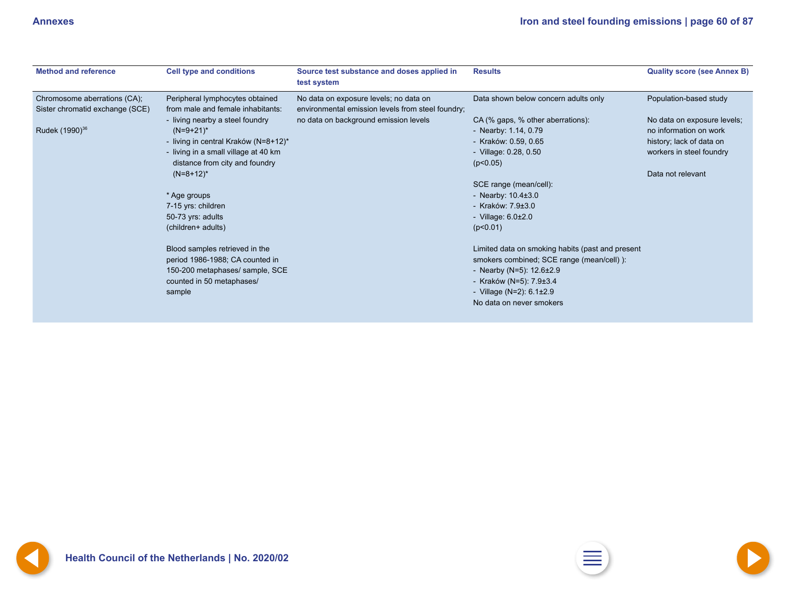<span id="page-59-0"></span>

| <b>Method and reference</b>                                     | <b>Cell type and conditions</b>                                      | Source test substance and doses applied in<br>test system                                   | <b>Results</b>                                   | <b>Quality score (see Annex B)</b> |
|-----------------------------------------------------------------|----------------------------------------------------------------------|---------------------------------------------------------------------------------------------|--------------------------------------------------|------------------------------------|
| Chromosome aberrations (CA);<br>Sister chromatid exchange (SCE) | Peripheral lymphocytes obtained<br>from male and female inhabitants: | No data on exposure levels; no data on<br>environmental emission levels from steel foundry; | Data shown below concern adults only             | Population-based study             |
|                                                                 | - living nearby a steel foundry                                      | no data on background emission levels                                                       | CA (% gaps, % other aberrations):                | No data on exposure levels;        |
| Rudek (1990) <sup>36</sup>                                      | $(N=9+21)^*$                                                         |                                                                                             | - Nearby: 1.14, 0.79                             | no information on work             |
|                                                                 | - living in central Kraków (N=8+12)*                                 |                                                                                             | - Kraków: 0.59, 0.65                             | history; lack of data on           |
|                                                                 | - living in a small village at 40 km                                 |                                                                                             | - Village: 0.28, 0.50                            | workers in steel foundry           |
|                                                                 | distance from city and foundry                                       |                                                                                             | (p<0.05)                                         |                                    |
|                                                                 | $(N=8+12)^*$                                                         |                                                                                             |                                                  | Data not relevant                  |
|                                                                 |                                                                      |                                                                                             | SCE range (mean/cell):                           |                                    |
|                                                                 | * Age groups                                                         |                                                                                             | - Nearby: $10.4\pm3.0$                           |                                    |
|                                                                 | 7-15 yrs: children                                                   |                                                                                             | - Kraków: $7.9 \pm 3.0$                          |                                    |
|                                                                 | 50-73 yrs: adults                                                    |                                                                                             | - Village: $6.0\pm2.0$                           |                                    |
|                                                                 | (children+ adults)                                                   |                                                                                             | (p<0.01)                                         |                                    |
|                                                                 | Blood samples retrieved in the                                       |                                                                                             | Limited data on smoking habits (past and present |                                    |
|                                                                 | period 1986-1988; CA counted in                                      |                                                                                             | smokers combined; SCE range (mean/cell) ):       |                                    |
|                                                                 | 150-200 metaphases/ sample, SCE                                      |                                                                                             | - Nearby (N=5): $12.6 \pm 2.9$                   |                                    |
|                                                                 | counted in 50 metaphases/                                            |                                                                                             | - Kraków (N=5): 7.9±3.4                          |                                    |
|                                                                 | sample                                                               |                                                                                             | - Village (N=2): $6.1 \pm 2.9$                   |                                    |
|                                                                 |                                                                      |                                                                                             | No data on never smokers                         |                                    |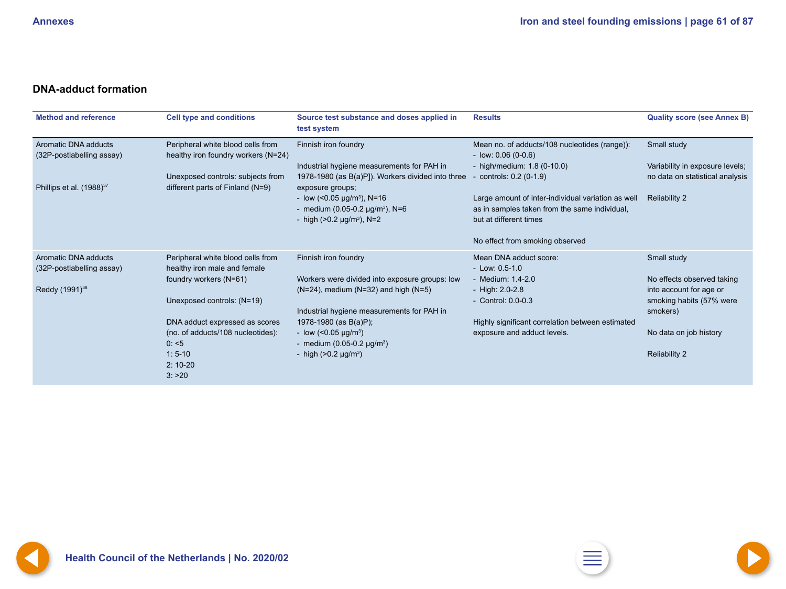### <span id="page-60-0"></span>**DNA-adduct formation**

| <b>Method and reference</b>                       | <b>Cell type and conditions</b>                                          | Source test substance and doses applied in<br>test system                                                                     | <b>Results</b>                                                                                                                | <b>Quality score (see Annex B)</b>                              |
|---------------------------------------------------|--------------------------------------------------------------------------|-------------------------------------------------------------------------------------------------------------------------------|-------------------------------------------------------------------------------------------------------------------------------|-----------------------------------------------------------------|
| Aromatic DNA adducts<br>(32P-postlabelling assay) | Peripheral white blood cells from<br>healthy iron foundry workers (N=24) | Finnish iron foundry                                                                                                          | Mean no. of adducts/108 nucleotides (range)):<br>$-$ low: 0.06 (0-0.6)                                                        | Small study                                                     |
|                                                   |                                                                          | Industrial hygiene measurements for PAH in                                                                                    | - high/medium: $1.8(0-10.0)$                                                                                                  | Variability in exposure levels;                                 |
| Phillips et al. (1988) <sup>37</sup>              | Unexposed controls: subjects from<br>different parts of Finland (N=9)    | 1978-1980 (as B(a)P]). Workers divided into three<br>exposure groups;                                                         | controls: 0.2 (0-1.9)                                                                                                         | no data on statistical analysis                                 |
|                                                   |                                                                          | - low (< $0.05 \mu g/m^3$ ), N=16<br>- medium (0.05-0.2 $\mu$ g/m <sup>3</sup> ), N=6<br>- high $(>0.2 \text{ µg/m}^3)$ , N=2 | Large amount of inter-individual variation as well<br>as in samples taken from the same individual,<br>but at different times | <b>Reliability 2</b>                                            |
|                                                   |                                                                          |                                                                                                                               | No effect from smoking observed                                                                                               |                                                                 |
| Aromatic DNA adducts<br>(32P-postlabelling assay) | Peripheral white blood cells from<br>healthy iron male and female        | Finnish iron foundry                                                                                                          | Mean DNA adduct score:<br>$-Low: 0.5-1.0$                                                                                     | Small study                                                     |
|                                                   | foundry workers (N=61)                                                   | Workers were divided into exposure groups: low                                                                                | - Medium: 1.4-2.0                                                                                                             | No effects observed taking                                      |
| Reddy $(1991)^{38}$                               | Unexposed controls: (N=19)                                               | $(N=24)$ , medium $(N=32)$ and high $(N=5)$<br>Industrial hygiene measurements for PAH in                                     | - High: 2.0-2.8<br>- Control: 0.0-0.3                                                                                         | into account for age or<br>smoking habits (57% were<br>smokers) |
|                                                   | DNA adduct expressed as scores                                           | 1978-1980 (as B(a)P);                                                                                                         | Highly significant correlation between estimated                                                                              |                                                                 |
|                                                   | (no. of adducts/108 nucleotides):                                        | - low $(<0.05 \text{ }\mu\text{g/m}^3)$                                                                                       | exposure and adduct levels.                                                                                                   | No data on job history                                          |
|                                                   | 0: 5                                                                     | - medium $(0.05-0.2 \text{ µg/m}^3)$                                                                                          |                                                                                                                               |                                                                 |
|                                                   | $1:5-10$                                                                 | - high $(>0.2 \mu g/m^3)$                                                                                                     |                                                                                                                               | <b>Reliability 2</b>                                            |
|                                                   | $2:10-20$                                                                |                                                                                                                               |                                                                                                                               |                                                                 |
|                                                   | 3: >20                                                                   |                                                                                                                               |                                                                                                                               |                                                                 |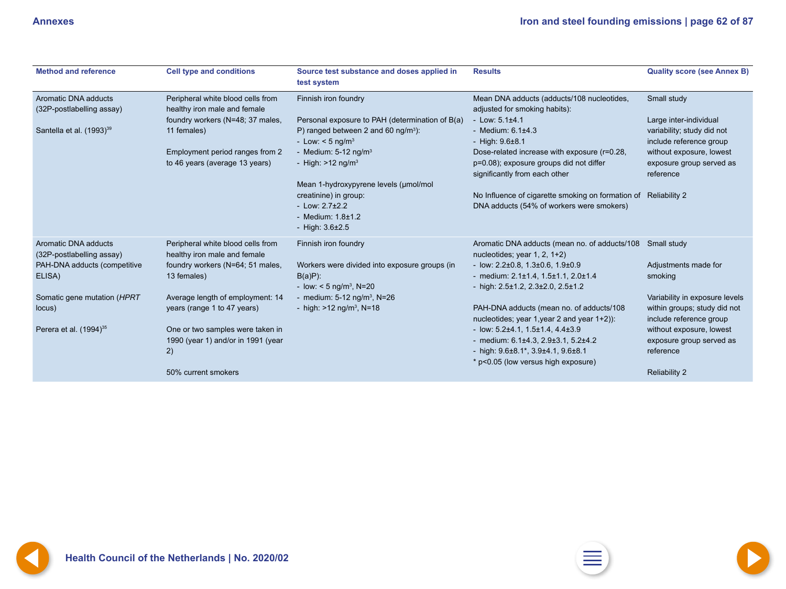<span id="page-61-0"></span>

| <b>Method and reference</b>                       | <b>Cell type and conditions</b>                                              | Source test substance and doses applied in<br>test system                                                                            | <b>Results</b>                                                                                                                                                                   | <b>Quality score (see Annex B)</b>                                                        |
|---------------------------------------------------|------------------------------------------------------------------------------|--------------------------------------------------------------------------------------------------------------------------------------|----------------------------------------------------------------------------------------------------------------------------------------------------------------------------------|-------------------------------------------------------------------------------------------|
| Aromatic DNA adducts<br>(32P-postlabelling assay) | Peripheral white blood cells from<br>healthy iron male and female            | Finnish iron foundry                                                                                                                 | Mean DNA adducts (adducts/108 nucleotides,<br>adjusted for smoking habits):                                                                                                      | Small study                                                                               |
| Santella et al. (1993) <sup>39</sup>              | foundry workers (N=48; 37 males,<br>11 females)                              | Personal exposure to PAH (determination of B(a)<br>P) ranged between 2 and 60 ng/m <sup>3</sup> ):<br>- Low: $< 5$ ng/m <sup>3</sup> | - Low: $5.1\pm4.1$<br>- Medium: $6.1\pm4.3$<br>- High: $9.6 \pm 8.1$                                                                                                             | Large inter-individual<br>variability; study did not<br>include reference group           |
|                                                   | Employment period ranges from 2<br>to 46 years (average 13 years)            | - Medium: $5-12$ ng/m <sup>3</sup><br>- High: $>12$ ng/m <sup>3</sup><br>Mean 1-hydroxypyrene levels (µmol/mol                       | Dose-related increase with exposure (r=0.28,<br>p=0.08); exposure groups did not differ<br>significantly from each other                                                         | without exposure, lowest<br>exposure group served as<br>reference                         |
|                                                   |                                                                              | creatinine) in group:<br>$-Low: 2.7±2.2$<br>- Medium: $1.8 \pm 1.2$<br>- High: $3.6 \pm 2.5$                                         | No Influence of cigarette smoking on formation of Reliability 2<br>DNA adducts (54% of workers were smokers)                                                                     |                                                                                           |
| Aromatic DNA adducts<br>(32P-postlabelling assay) | Peripheral white blood cells from<br>healthy iron male and female            | Finnish iron foundry                                                                                                                 | Aromatic DNA adducts (mean no. of adducts/108<br>nucleotides; year $1, 2, 1+2$ )                                                                                                 | Small study                                                                               |
| PAH-DNA adducts (competitive<br>ELISA)            | foundry workers (N=64; 51 males,<br>13 females)                              | Workers were divided into exposure groups (in<br>$B(a)P$ :<br>- low: $<$ 5 ng/m <sup>3</sup> , N=20                                  | - low: $2.2\pm0.8$ , $1.3\pm0.6$ , $1.9\pm0.9$<br>- medium: $2.1 \pm 1.4$ , $1.5 \pm 1.1$ , $2.0 \pm 1.4$<br>- high: $2.5 \pm 1.2$ , $2.3 \pm 2.0$ , $2.5 \pm 1.2$               | Adjustments made for<br>smoking                                                           |
| Somatic gene mutation (HPRT<br>locus)             | Average length of employment: 14<br>years (range 1 to 47 years)              | - medium: $5-12$ ng/m <sup>3</sup> , N=26<br>- high: $>12$ ng/m <sup>3</sup> , N=18                                                  | PAH-DNA adducts (mean no. of adducts/108<br>nucleotides; year 1, year 2 and year 1+2)):                                                                                          | Variability in exposure levels<br>within groups; study did not<br>include reference group |
| Perera et al. $(1994)^{35}$                       | One or two samples were taken in<br>1990 (year 1) and/or in 1991 (year<br>2) |                                                                                                                                      | - low: $5.2\pm4.1$ , $1.5\pm1.4$ , $4.4\pm3.9$<br>- medium: $6.1\pm4.3$ , $2.9\pm3.1$ , $5.2\pm4.2$<br>- high: 9.6±8.1*, 3.9±4.1, 9.6±8.1<br>* p<0.05 (low versus high exposure) | without exposure, lowest<br>exposure group served as<br>reference                         |
|                                                   | 50% current smokers                                                          |                                                                                                                                      |                                                                                                                                                                                  | <b>Reliability 2</b>                                                                      |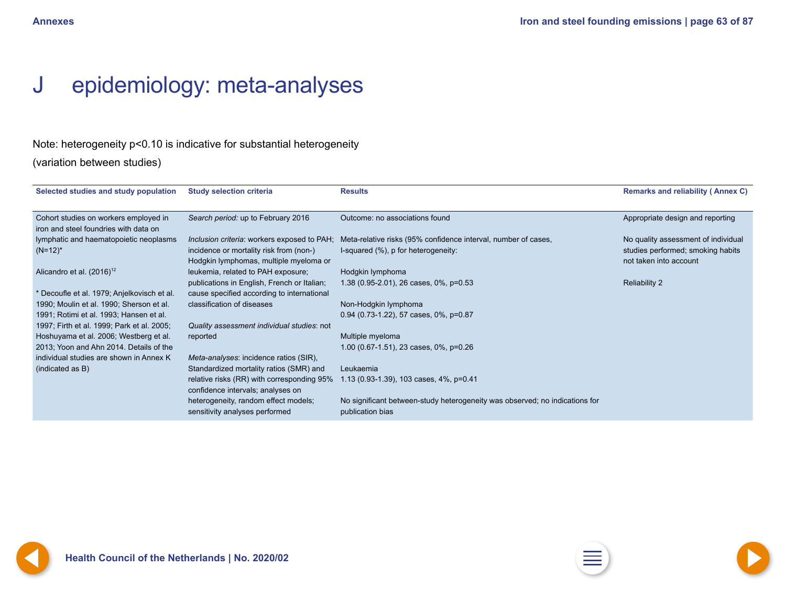## <span id="page-62-0"></span>J epidemiology: meta-analyses

## Note: heterogeneity p<0.10 is indicative for substantial heterogeneity

(variation between studies)

| Selected studies and study population       | <b>Study selection criteria</b>             | <b>Results</b>                                                              | <b>Remarks and reliability (Annex C)</b> |
|---------------------------------------------|---------------------------------------------|-----------------------------------------------------------------------------|------------------------------------------|
|                                             |                                             |                                                                             |                                          |
| Cohort studies on workers employed in       | Search period: up to February 2016          | Outcome: no associations found                                              | Appropriate design and reporting         |
| iron and steel foundries with data on       |                                             |                                                                             |                                          |
| lymphatic and haematopoietic neoplasms      | Inclusion criteria: workers exposed to PAH; | Meta-relative risks (95% confidence interval, number of cases,              | No quality assessment of individual      |
| $(N=12)^{*}$                                | incidence or mortality risk from (non-)     | I-squared (%), p for heterogeneity:                                         | studies performed; smoking habits        |
|                                             | Hodgkin lymphomas, multiple myeloma or      |                                                                             | not taken into account                   |
| Alicandro et al. $(2016)^{12}$              | leukemia, related to PAH exposure;          | Hodgkin lymphoma                                                            |                                          |
|                                             | publications in English, French or Italian; | 1.38 (0.95-2.01), 26 cases, 0%, p=0.53                                      | <b>Reliability 2</b>                     |
| * Decoufle et al. 1979; Anjelkovisch et al. | cause specified according to international  |                                                                             |                                          |
| 1990; Moulin et al. 1990; Sherson et al.    | classification of diseases                  | Non-Hodgkin lymphoma                                                        |                                          |
| 1991; Rotimi et al. 1993; Hansen et al.     |                                             | 0.94 (0.73-1.22), 57 cases, 0%, p=0.87                                      |                                          |
| 1997; Firth et al. 1999; Park et al. 2005;  | Quality assessment individual studies: not  |                                                                             |                                          |
| Hoshuyama et al. 2006; Westberg et al.      | reported                                    | Multiple myeloma                                                            |                                          |
| 2013; Yoon and Ahn 2014. Details of the     |                                             | 1.00 (0.67-1.51), 23 cases, 0%, p=0.26                                      |                                          |
| individual studies are shown in Annex K     | Meta-analyses: incidence ratios (SIR),      |                                                                             |                                          |
| (indicated as B)                            | Standardized mortality ratios (SMR) and     | Leukaemia                                                                   |                                          |
|                                             | relative risks (RR) with corresponding 95%  | 1.13 (0.93-1.39), 103 cases, 4%, p=0.41                                     |                                          |
|                                             | confidence intervals; analyses on           |                                                                             |                                          |
|                                             | heterogeneity, random effect models;        | No significant between-study heterogeneity was observed; no indications for |                                          |
|                                             | sensitivity analyses performed              | publication bias                                                            |                                          |
|                                             |                                             |                                                                             |                                          |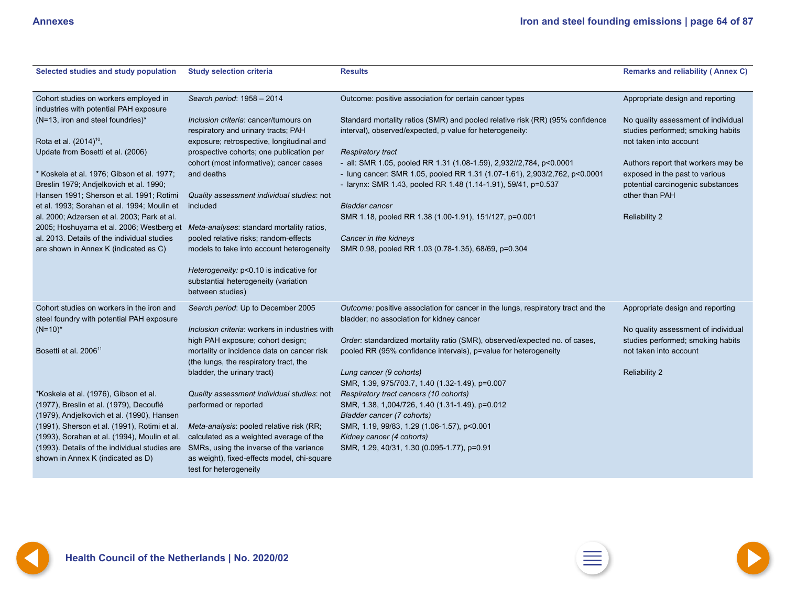<span id="page-63-0"></span>

| Selected studies and study population                                                                                                                                      | <b>Study selection criteria</b>                                                                                  | <b>Results</b>                                                                                                                                | <b>Remarks and reliability (Annex C)</b>                                 |
|----------------------------------------------------------------------------------------------------------------------------------------------------------------------------|------------------------------------------------------------------------------------------------------------------|-----------------------------------------------------------------------------------------------------------------------------------------------|--------------------------------------------------------------------------|
| Cohort studies on workers employed in<br>industries with potential PAH exposure                                                                                            | Search period: 1958 - 2014                                                                                       | Outcome: positive association for certain cancer types                                                                                        | Appropriate design and reporting                                         |
| (N=13, iron and steel foundries)*                                                                                                                                          | Inclusion criteria: cancer/tumours on<br>respiratory and urinary tracts; PAH                                     | Standard mortality ratios (SMR) and pooled relative risk (RR) (95% confidence<br>interval), observed/expected, p value for heterogeneity:     | No quality assessment of individual<br>studies performed; smoking habits |
| Rota et al. (2014) <sup>10</sup> ,<br>Update from Bosetti et al. (2006)                                                                                                    | exposure; retrospective, longitudinal and<br>prospective cohorts; one publication per                            | <b>Respiratory tract</b>                                                                                                                      | not taken into account                                                   |
|                                                                                                                                                                            | cohort (most informative); cancer cases                                                                          | - all: SMR 1.05, pooled RR 1.31 (1.08-1.59), 2,932//2,784, p<0.0001                                                                           | Authors report that workers may be                                       |
| * Koskela et al. 1976; Gibson et al. 1977;<br>Breslin 1979; Andjelkovich et al. 1990;                                                                                      | and deaths                                                                                                       | - lung cancer: SMR 1.05, pooled RR 1.31 (1.07-1.61), 2,903/2,762, p<0.0001<br>- larynx: SMR 1.43, pooled RR 1.48 (1.14-1.91), 59/41, p=0.537  | exposed in the past to various<br>potential carcinogenic substances      |
| Hansen 1991; Sherson et al. 1991; Rotimi<br>et al. 1993; Sorahan et al. 1994; Moulin et                                                                                    | Quality assessment individual studies: not<br>included                                                           | <b>Bladder cancer</b>                                                                                                                         | other than PAH                                                           |
| al. 2000; Adzersen et al. 2003; Park et al.                                                                                                                                |                                                                                                                  | SMR 1.18, pooled RR 1.38 (1.00-1.91), 151/127, p=0.001                                                                                        | <b>Reliability 2</b>                                                     |
| 2005; Hoshuyama et al. 2006; Westberg et<br>al. 2013. Details of the individual studies                                                                                    | Meta-analyses: standard mortality ratios,<br>pooled relative risks; random-effects                               | Cancer in the kidneys                                                                                                                         |                                                                          |
| are shown in Annex K (indicated as C)                                                                                                                                      | models to take into account heterogeneity                                                                        | SMR 0.98, pooled RR 1.03 (0.78-1.35), 68/69, p=0.304                                                                                          |                                                                          |
|                                                                                                                                                                            | Heterogeneity: p<0.10 is indicative for<br>substantial heterogeneity (variation<br>between studies)              |                                                                                                                                               |                                                                          |
| Cohort studies on workers in the iron and<br>steel foundry with potential PAH exposure                                                                                     | Search period: Up to December 2005                                                                               | Outcome: positive association for cancer in the lungs, respiratory tract and the<br>bladder; no association for kidney cancer                 | Appropriate design and reporting                                         |
| $(N=10)^*$                                                                                                                                                                 | Inclusion criteria: workers in industries with                                                                   |                                                                                                                                               | No quality assessment of individual                                      |
| Bosetti et al. 2006 <sup>11</sup>                                                                                                                                          | high PAH exposure; cohort design;<br>mortality or incidence data on cancer risk                                  | Order: standardized mortality ratio (SMR), observed/expected no. of cases,<br>pooled RR (95% confidence intervals), p=value for heterogeneity | studies performed; smoking habits<br>not taken into account              |
|                                                                                                                                                                            | (the lungs, the respiratory tract, the<br>bladder, the urinary tract)                                            | Lung cancer (9 cohorts)<br>SMR, 1.39, 975/703.7, 1.40 (1.32-1.49), p=0.007                                                                    | <b>Reliability 2</b>                                                     |
| *Koskela et al. (1976), Gibson et al.<br>(1977), Breslin et al. (1979), Decouflé<br>(1979), Andjelkovich et al. (1990), Hansen                                             | Quality assessment individual studies: not<br>performed or reported                                              | Respiratory tract cancers (10 cohorts)<br>SMR, 1.38, 1,004/726, 1.40 (1.31-1.49), p=0.012<br>Bladder cancer (7 cohorts)                       |                                                                          |
| (1991), Sherson et al. (1991), Rotimi et al.                                                                                                                               | Meta-analysis: pooled relative risk (RR;                                                                         | SMR, 1.19, 99/83, 1.29 (1.06-1.57), p<0.001                                                                                                   |                                                                          |
| (1993), Sorahan et al. (1994), Moulin et al.<br>(1993). Details of the individual studies are SMRs, using the inverse of the variance<br>shown in Annex K (indicated as D) | calculated as a weighted average of the<br>as weight), fixed-effects model, chi-square<br>test for heterogeneity | Kidney cancer (4 cohorts)<br>SMR, 1.29, 40/31, 1.30 (0.095-1.77), p=0.91                                                                      |                                                                          |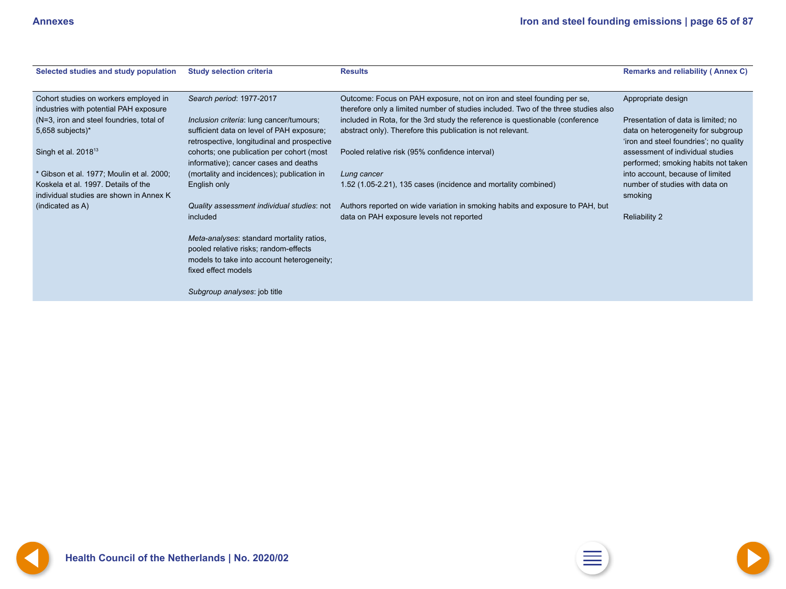<span id="page-64-0"></span>

| Selected studies and study population     | <b>Study selection criteria</b>             | <b>Results</b>                                                                     | <b>Remarks and reliability (Annex C)</b> |
|-------------------------------------------|---------------------------------------------|------------------------------------------------------------------------------------|------------------------------------------|
|                                           |                                             |                                                                                    |                                          |
| Cohort studies on workers employed in     | Search period: 1977-2017                    | Outcome: Focus on PAH exposure, not on iron and steel founding per se,             | Appropriate design                       |
| industries with potential PAH exposure    |                                             | therefore only a limited number of studies included. Two of the three studies also |                                          |
| (N=3, iron and steel foundries, total of  | Inclusion criteria: lung cancer/tumours;    | included in Rota, for the 3rd study the reference is questionable (conference)     | Presentation of data is limited; no      |
| 5,658 subjects)*                          | sufficient data on level of PAH exposure;   | abstract only). Therefore this publication is not relevant.                        | data on heterogeneity for subgroup       |
|                                           | retrospective, longitudinal and prospective |                                                                                    | 'iron and steel foundries'; no quality   |
| Singh et al. 2018 <sup>13</sup>           | cohorts; one publication per cohort (most   | Pooled relative risk (95% confidence interval)                                     | assessment of individual studies         |
|                                           | informative); cancer cases and deaths       |                                                                                    | performed; smoking habits not taken      |
| * Gibson et al. 1977; Moulin et al. 2000; | (mortality and incidences); publication in  | Lung cancer                                                                        | into account, because of limited         |
| Koskela et al. 1997. Details of the       | English only                                | 1.52 (1.05-2.21), 135 cases (incidence and mortality combined)                     | number of studies with data on           |
| individual studies are shown in Annex K   |                                             |                                                                                    | smoking                                  |
| (indicated as A)                          | Quality assessment individual studies: not  | Authors reported on wide variation in smoking habits and exposure to PAH, but      |                                          |
|                                           | included                                    | data on PAH exposure levels not reported                                           | <b>Reliability 2</b>                     |
|                                           | Meta-analyses: standard mortality ratios,   |                                                                                    |                                          |
|                                           | pooled relative risks; random-effects       |                                                                                    |                                          |
|                                           | models to take into account heterogeneity;  |                                                                                    |                                          |
|                                           | fixed effect models                         |                                                                                    |                                          |
|                                           |                                             |                                                                                    |                                          |
|                                           | Subgroup analyses: job title                |                                                                                    |                                          |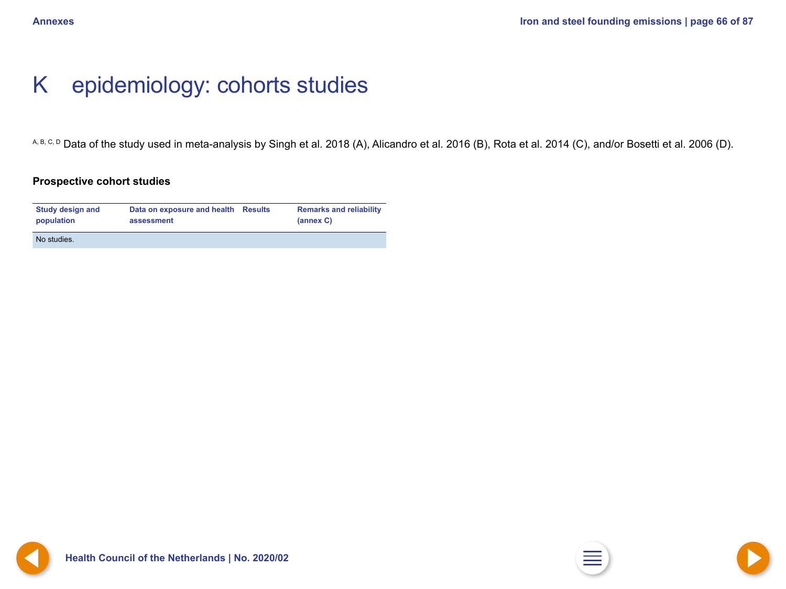## <span id="page-65-0"></span>K epidemiology: cohorts studies

A, B, C, D Data of the study used in meta-analysis by Singh et al. 2018 (A), Alicandro et al. 2016 (B), Rota et al. 2014 (C), and/or Bosetti et al. 2006 (D).

### **Prospective cohort studies**

| <b>Study design and</b> | Data on exposure and health Results | <b>Remarks and reliability</b> |
|-------------------------|-------------------------------------|--------------------------------|
| population              | assessment                          | (annex C)                      |
| No studies.             |                                     |                                |

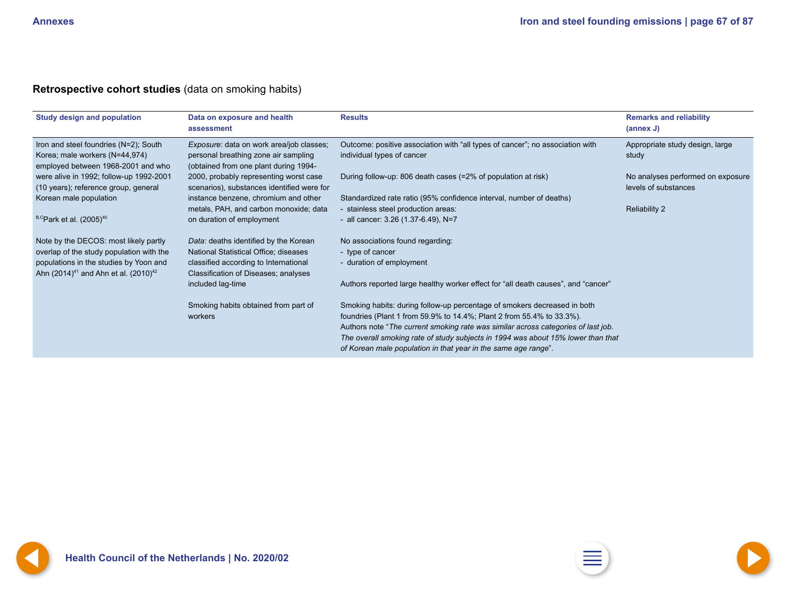## <span id="page-66-0"></span>**Retrospective cohort studies** (data on smoking habits)

| <b>Study design and population</b>                                                                                                                                            | Data on exposure and health<br>assessment                                                                                                                       | <b>Results</b>                                                                                                                                                                                                                                                                                                                                                                               | <b>Remarks and reliability</b><br>(annex J)               |
|-------------------------------------------------------------------------------------------------------------------------------------------------------------------------------|-----------------------------------------------------------------------------------------------------------------------------------------------------------------|----------------------------------------------------------------------------------------------------------------------------------------------------------------------------------------------------------------------------------------------------------------------------------------------------------------------------------------------------------------------------------------------|-----------------------------------------------------------|
| Iron and steel foundries (N=2); South<br>Korea; male workers (N=44,974)<br>employed between 1968-2001 and who                                                                 | Exposure: data on work area/job classes;<br>personal breathing zone air sampling<br>(obtained from one plant during 1994-                                       | Outcome: positive association with "all types of cancer"; no association with<br>individual types of cancer                                                                                                                                                                                                                                                                                  | Appropriate study design, large<br>study                  |
| were alive in 1992; follow-up 1992-2001<br>(10 years); reference group, general                                                                                               | 2000, probably representing worst case<br>scenarios), substances identified were for                                                                            | During follow-up: 806 death cases (=2% of population at risk)                                                                                                                                                                                                                                                                                                                                | No analyses performed on exposure<br>levels of substances |
| Korean male population                                                                                                                                                        | instance benzene, chromium and other<br>metals, PAH, and carbon monoxide; data                                                                                  | Standardized rate ratio (95% confidence interval, number of deaths)<br>- stainless steel production areas:                                                                                                                                                                                                                                                                                   | <b>Reliability 2</b>                                      |
| $B, C$ Park et al. (2005) <sup>40</sup>                                                                                                                                       | on duration of employment                                                                                                                                       | - all cancer: $3.26$ (1.37-6.49), N=7                                                                                                                                                                                                                                                                                                                                                        |                                                           |
| Note by the DECOS: most likely partly<br>overlap of the study population with the<br>populations in the studies by Yoon and<br>Ahn $(2014)^{41}$ and Ahn et al. $(2010)^{42}$ | Data: deaths identified by the Korean<br>National Statistical Office; diseases<br>classified according to International<br>Classification of Diseases; analyses | No associations found regarding:<br>- type of cancer<br>- duration of employment                                                                                                                                                                                                                                                                                                             |                                                           |
|                                                                                                                                                                               | included lag-time                                                                                                                                               | Authors reported large healthy worker effect for "all death causes", and "cancer"                                                                                                                                                                                                                                                                                                            |                                                           |
|                                                                                                                                                                               | Smoking habits obtained from part of<br>workers                                                                                                                 | Smoking habits: during follow-up percentage of smokers decreased in both<br>foundries (Plant 1 from 59.9% to 14.4%; Plant 2 from 55.4% to 33.3%).<br>Authors note "The current smoking rate was similar across categories of last job.<br>The overall smoking rate of study subjects in 1994 was about 15% lower than that<br>of Korean male population in that year in the same age range". |                                                           |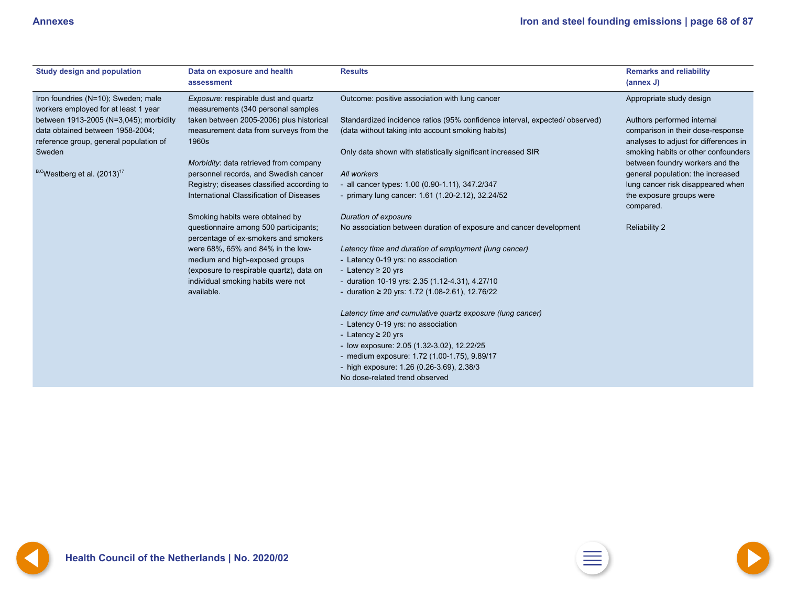<span id="page-67-0"></span>

| <b>Study design and population</b>                                          | Data on exposure and health<br>assessment                                     | <b>Results</b>                                                             | <b>Remarks and reliability</b><br>(annex J) |
|-----------------------------------------------------------------------------|-------------------------------------------------------------------------------|----------------------------------------------------------------------------|---------------------------------------------|
| Iron foundries (N=10); Sweden; male<br>workers employed for at least 1 year | Exposure: respirable dust and quartz<br>measurements (340 personal samples    | Outcome: positive association with lung cancer                             | Appropriate study design                    |
| between 1913-2005 (N=3,045); morbidity                                      | taken between 2005-2006) plus historical                                      | Standardized incidence ratios (95% confidence interval, expected/observed) | Authors performed internal                  |
| data obtained between 1958-2004;                                            | measurement data from surveys from the                                        | (data without taking into account smoking habits)                          | comparison in their dose-response           |
| reference group, general population of                                      | 1960s                                                                         |                                                                            | analyses to adjust for differences in       |
| Sweden                                                                      |                                                                               | Only data shown with statistically significant increased SIR               | smoking habits or other confounders         |
|                                                                             | Morbidity: data retrieved from company                                        |                                                                            | between foundry workers and the             |
| <sup>B,C</sup> Westberg et al. (2013) <sup>17</sup>                         | personnel records, and Swedish cancer                                         | All workers                                                                | general population: the increased           |
|                                                                             | Registry; diseases classified according to                                    | - all cancer types: 1.00 (0.90-1.11), 347.2/347                            | lung cancer risk disappeared when           |
|                                                                             | International Classification of Diseases                                      | - primary lung cancer: 1.61 (1.20-2.12), 32.24/52                          | the exposure groups were                    |
|                                                                             |                                                                               |                                                                            | compared.                                   |
|                                                                             | Smoking habits were obtained by                                               | Duration of exposure                                                       |                                             |
|                                                                             | questionnaire among 500 participants;<br>percentage of ex-smokers and smokers | No association between duration of exposure and cancer development         | <b>Reliability 2</b>                        |
|                                                                             | were 68%, 65% and 84% in the low-                                             | Latency time and duration of employment (lung cancer)                      |                                             |
|                                                                             | medium and high-exposed groups                                                | - Latency 0-19 yrs: no association                                         |                                             |
|                                                                             | (exposure to respirable quartz), data on                                      | - Latency $\geq 20$ yrs                                                    |                                             |
|                                                                             | individual smoking habits were not                                            | - duration 10-19 yrs: 2.35 (1.12-4.31), 4.27/10                            |                                             |
|                                                                             | available.                                                                    | - duration $\geq 20$ yrs: 1.72 (1.08-2.61), 12.76/22                       |                                             |
|                                                                             |                                                                               | Latency time and cumulative quartz exposure (lung cancer)                  |                                             |
|                                                                             |                                                                               | - Latency 0-19 yrs: no association                                         |                                             |
|                                                                             |                                                                               | - Latency $\geq 20$ yrs                                                    |                                             |
|                                                                             |                                                                               | - low exposure: 2.05 (1.32-3.02), 12.22/25                                 |                                             |
|                                                                             |                                                                               | - medium exposure: 1.72 (1.00-1.75), 9.89/17                               |                                             |
|                                                                             |                                                                               | - high exposure: 1.26 (0.26-3.69), 2.38/3                                  |                                             |
|                                                                             |                                                                               | No dose-related trend observed                                             |                                             |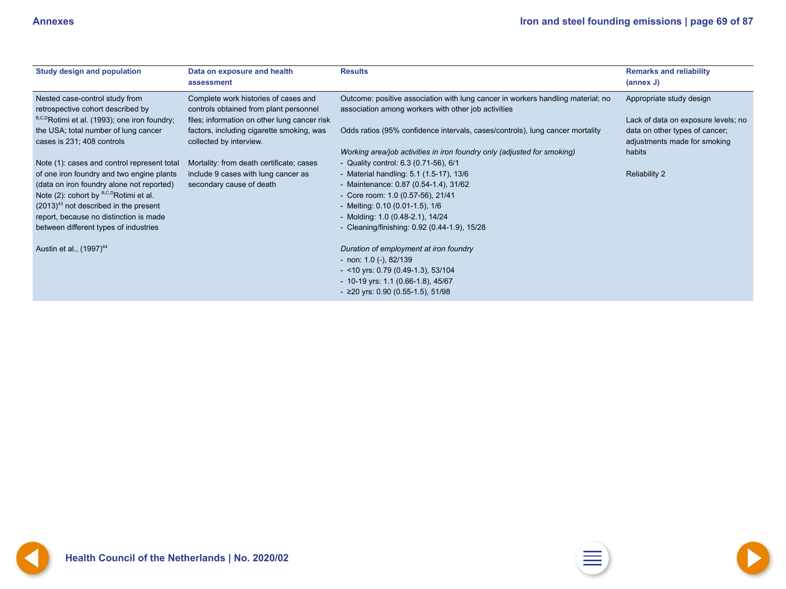<span id="page-68-0"></span>

| <b>Study design and population</b>                                  | Data on exposure and health<br>assessment                                      | <b>Results</b>                                                                                                                         | <b>Remarks and reliability</b><br>(annex J)                    |
|---------------------------------------------------------------------|--------------------------------------------------------------------------------|----------------------------------------------------------------------------------------------------------------------------------------|----------------------------------------------------------------|
| Nested case-control study from<br>retrospective cohort described by | Complete work histories of cases and<br>controls obtained from plant personnel | Outcome: positive association with lung cancer in workers handling material; no<br>association among workers with other job activities | Appropriate study design                                       |
| B,C,DRotimi et al. (1993); one iron foundry;                        | files; information on other lung cancer risk                                   |                                                                                                                                        | Lack of data on exposure levels; no                            |
| the USA; total number of lung cancer<br>cases is 231; 408 controls  | factors, including cigarette smoking, was<br>collected by interview.           | Odds ratios (95% confidence intervals, cases/controls), lung cancer mortality                                                          | data on other types of cancer;<br>adjustments made for smoking |
| Note (1): cases and control represent total                         | Mortality: from death certificate; cases                                       | Working area/job activities in iron foundry only (adjusted for smoking)<br>- Quality control: 6.3 (0.71-56), 6/1                       | habits                                                         |
| of one iron foundry and two engine plants                           | include 9 cases with lung cancer as                                            | - Material handling: 5.1 (1.5-17), 13/6                                                                                                | <b>Reliability 2</b>                                           |
| (data on iron foundry alone not reported)                           | secondary cause of death                                                       | - Maintenance: 0.87 (0.54-1.4), 31/62                                                                                                  |                                                                |
| Note (2): cohort by <sup>B,C,D</sup> Rotimi et al.                  |                                                                                | - Core room: 1.0 (0.57-56), 21/41                                                                                                      |                                                                |
| $(2013)^{43}$ not described in the present                          |                                                                                | - Melting: 0.10 (0.01-1.5), 1/6                                                                                                        |                                                                |
| report, because no distinction is made                              |                                                                                | - Molding: 1.0 (0.48-2.1), 14/24                                                                                                       |                                                                |
| between different types of industries                               |                                                                                | - Cleaning/finishing: 0.92 (0.44-1.9), 15/28                                                                                           |                                                                |
| Austin et al., (1997) <sup>44</sup>                                 |                                                                                | Duration of employment at iron foundry                                                                                                 |                                                                |
|                                                                     |                                                                                | - non: $1.0$ (-), $82/139$                                                                                                             |                                                                |
|                                                                     |                                                                                | $-$ <10 yrs: 0.79 (0.49-1.3), 53/104                                                                                                   |                                                                |
|                                                                     |                                                                                | - 10-19 yrs: 1.1 (0.66-1.8), 45/67                                                                                                     |                                                                |
|                                                                     |                                                                                | - ≥20 yrs: 0.90 (0.55-1.5), 51/98                                                                                                      |                                                                |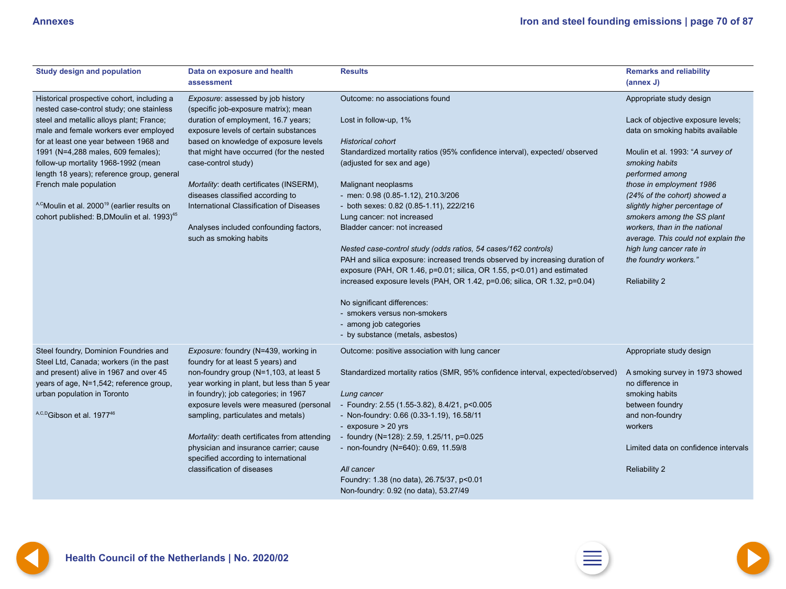<span id="page-69-0"></span>

| <b>Study design and population</b>                                                                                      | Data on exposure and health<br>assessment                                             | <b>Results</b>                                                                                                                                 | <b>Remarks and reliability</b><br>(annex J)                            |
|-------------------------------------------------------------------------------------------------------------------------|---------------------------------------------------------------------------------------|------------------------------------------------------------------------------------------------------------------------------------------------|------------------------------------------------------------------------|
| Historical prospective cohort, including a<br>nested case-control study; one stainless                                  | Exposure: assessed by job history<br>(specific job-exposure matrix); mean             | Outcome: no associations found                                                                                                                 | Appropriate study design                                               |
| steel and metallic alloys plant; France;<br>male and female workers ever employed                                       | duration of employment, 16.7 years;<br>exposure levels of certain substances          | Lost in follow-up, 1%                                                                                                                          | Lack of objective exposure levels;<br>data on smoking habits available |
| for at least one year between 1968 and                                                                                  | based on knowledge of exposure levels                                                 | <b>Historical cohort</b>                                                                                                                       |                                                                        |
| 1991 (N=4,288 males, 609 females);<br>follow-up mortality 1968-1992 (mean<br>length 18 years); reference group, general | that might have occurred (for the nested<br>case-control study)                       | Standardized mortality ratios (95% confidence interval), expected/observed<br>(adjusted for sex and age)                                       | Moulin et al. 1993: "A survey of<br>smoking habits<br>performed among  |
| French male population                                                                                                  | Mortality: death certificates (INSERM),                                               | Malignant neoplasms                                                                                                                            | those in employment 1986                                               |
|                                                                                                                         | diseases classified according to                                                      | - men: 0.98 (0.85-1.12), 210.3/206                                                                                                             | (24% of the cohort) showed a                                           |
| A,CMoulin et al. 2000 <sup>19</sup> (earlier results on                                                                 | International Classification of Diseases                                              | - both sexes: 0.82 (0.85-1.11), 222/216                                                                                                        | slightly higher percentage of                                          |
| cohort published: B, DMoulin et al. 1993) <sup>45</sup>                                                                 |                                                                                       | Lung cancer: not increased                                                                                                                     | smokers among the SS plant                                             |
|                                                                                                                         | Analyses included confounding factors,                                                | Bladder cancer: not increased                                                                                                                  | workers, than in the national                                          |
|                                                                                                                         | such as smoking habits                                                                |                                                                                                                                                | average. This could not explain the                                    |
|                                                                                                                         |                                                                                       | Nested case-control study (odds ratios, 54 cases/162 controls)<br>PAH and silica exposure: increased trends observed by increasing duration of | high lung cancer rate in<br>the foundry workers."                      |
|                                                                                                                         |                                                                                       | exposure (PAH, OR 1.46, p=0.01; silica, OR 1.55, p<0.01) and estimated                                                                         |                                                                        |
|                                                                                                                         |                                                                                       | increased exposure levels (PAH, OR 1.42, p=0.06; silica, OR 1.32, p=0.04)                                                                      | <b>Reliability 2</b>                                                   |
|                                                                                                                         |                                                                                       | No significant differences:                                                                                                                    |                                                                        |
|                                                                                                                         |                                                                                       | - smokers versus non-smokers                                                                                                                   |                                                                        |
|                                                                                                                         |                                                                                       | - among job categories                                                                                                                         |                                                                        |
|                                                                                                                         |                                                                                       | - by substance (metals, asbestos)                                                                                                              |                                                                        |
| Steel foundry, Dominion Foundries and<br>Steel Ltd, Canada; workers (in the past                                        | Exposure: foundry (N=439, working in<br>foundry for at least 5 years) and             | Outcome: positive association with lung cancer                                                                                                 | Appropriate study design                                               |
| and present) alive in 1967 and over 45<br>years of age, N=1,542; reference group,                                       | non-foundry group (N=1,103, at least 5<br>year working in plant, but less than 5 year | Standardized mortality ratios (SMR, 95% confidence interval, expected/observed)                                                                | A smoking survey in 1973 showed<br>no difference in                    |
| urban population in Toronto                                                                                             | in foundry); job categories; in 1967                                                  | Lung cancer                                                                                                                                    | smoking habits                                                         |
|                                                                                                                         | exposure levels were measured (personal                                               | - Foundry: 2.55 (1.55-3.82), 8.4/21, p<0.005                                                                                                   | between foundry                                                        |
| A,C,DGibson et al. 1977 <sup>46</sup>                                                                                   | sampling, particulates and metals)                                                    | - Non-foundry: 0.66 (0.33-1.19), 16.58/11                                                                                                      | and non-foundry                                                        |
|                                                                                                                         |                                                                                       | - exposure > 20 yrs                                                                                                                            | workers                                                                |
|                                                                                                                         | Mortality: death certificates from attending                                          | - foundry (N=128): 2.59, 1.25/11, p=0.025                                                                                                      |                                                                        |
|                                                                                                                         | physician and insurance carrier; cause<br>specified according to international        | - non-foundry (N=640): 0.69, 11.59/8                                                                                                           | Limited data on confidence intervals                                   |
|                                                                                                                         | classification of diseases                                                            | All cancer                                                                                                                                     | <b>Reliability 2</b>                                                   |
|                                                                                                                         |                                                                                       | Foundry: 1.38 (no data), 26.75/37, p<0.01                                                                                                      |                                                                        |
|                                                                                                                         |                                                                                       | Non-foundry: 0.92 (no data), 53.27/49                                                                                                          |                                                                        |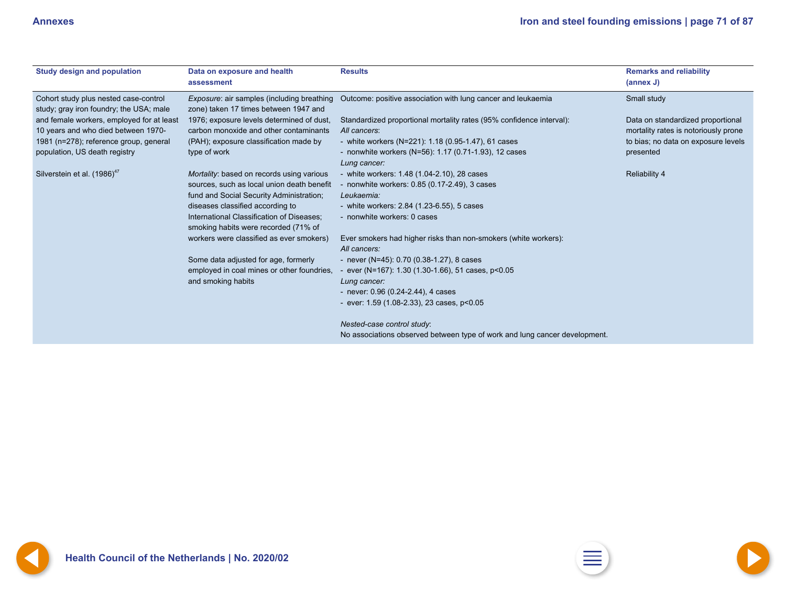<span id="page-70-0"></span>

| <b>Study design and population</b>                                               | Data on exposure and health<br>assessment                                                                                                                               | <b>Results</b>                                                                                                                                             | <b>Remarks and reliability</b><br>$(\text{annex } J)$                     |
|----------------------------------------------------------------------------------|-------------------------------------------------------------------------------------------------------------------------------------------------------------------------|------------------------------------------------------------------------------------------------------------------------------------------------------------|---------------------------------------------------------------------------|
| Cohort study plus nested case-control<br>study; gray iron foundry; the USA; male | <i>Exposure:</i> air samples (including breathing<br>zone) taken 17 times between 1947 and                                                                              | Outcome: positive association with lung cancer and leukaemia                                                                                               | Small study                                                               |
| and female workers, employed for at least<br>10 years and who died between 1970- | 1976; exposure levels determined of dust,<br>carbon monoxide and other contaminants                                                                                     | Standardized proportional mortality rates (95% confidence interval):<br>All cancers:                                                                       | Data on standardized proportional<br>mortality rates is notoriously prone |
| 1981 (n=278); reference group, general                                           | (PAH); exposure classification made by                                                                                                                                  | - white workers (N=221): $1.18$ (0.95-1.47), 61 cases                                                                                                      | to bias; no data on exposure levels                                       |
| population, US death registry                                                    | type of work                                                                                                                                                            | - nonwhite workers (N=56): 1.17 (0.71-1.93), 12 cases<br>Lung cancer:                                                                                      | presented                                                                 |
| Silverstein et al. (1986) <sup>47</sup>                                          | Mortality: based on records using various<br>sources, such as local union death benefit<br>fund and Social Security Administration;<br>diseases classified according to | - white workers: 1.48 (1.04-2.10), 28 cases<br>- nonwhite workers: $0.85$ (0.17-2.49), 3 cases<br>Leukaemia:<br>- white workers: 2.84 (1.23-6.55), 5 cases | <b>Reliability 4</b>                                                      |
|                                                                                  | International Classification of Diseases;<br>smoking habits were recorded (71% of                                                                                       | - nonwhite workers: 0 cases                                                                                                                                |                                                                           |
|                                                                                  | workers were classified as ever smokers)                                                                                                                                | Ever smokers had higher risks than non-smokers (white workers):<br>All cancers:                                                                            |                                                                           |
|                                                                                  | Some data adjusted for age, formerly                                                                                                                                    | - never (N=45): $0.70$ (0.38-1.27), 8 cases                                                                                                                |                                                                           |
|                                                                                  | employed in coal mines or other foundries,                                                                                                                              | - ever (N=167): $1.30$ (1.30-1.66), 51 cases, $p<0.05$                                                                                                     |                                                                           |
|                                                                                  | and smoking habits                                                                                                                                                      | Lung cancer:                                                                                                                                               |                                                                           |
|                                                                                  |                                                                                                                                                                         | - never: $0.96$ (0.24-2.44), 4 cases<br>- ever: $1.59$ (1.08-2.33), 23 cases, $p<0.05$                                                                     |                                                                           |
|                                                                                  |                                                                                                                                                                         | Nested-case control study:<br>No associations observed between type of work and lung cancer development.                                                   |                                                                           |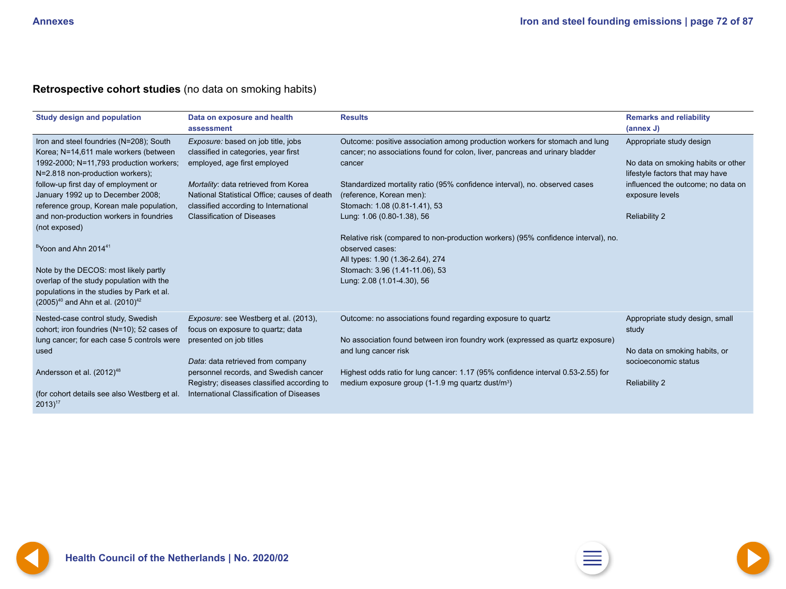### <span id="page-71-0"></span>**Retrospective cohort studies** (no data on smoking habits)

| <b>Study design and population</b>           | Data on exposure and health                  | <b>Results</b>                                                                    | <b>Remarks and reliability</b>     |
|----------------------------------------------|----------------------------------------------|-----------------------------------------------------------------------------------|------------------------------------|
|                                              | assessment                                   |                                                                                   | $(\text{annex } J)$                |
| Iron and steel foundries (N=208); South      | Exposure: based on job title, jobs           | Outcome: positive association among production workers for stomach and lung       | Appropriate study design           |
| Korea; N=14,611 male workers (between        | classified in categories, year first         | cancer; no associations found for colon, liver, pancreas and urinary bladder      |                                    |
| 1992-2000; N=11,793 production workers;      | employed, age first employed                 | cancer                                                                            | No data on smoking habits or other |
| N=2.818 non-production workers);             |                                              |                                                                                   | lifestyle factors that may have    |
| follow-up first day of employment or         | Mortality: data retrieved from Korea         | Standardized mortality ratio (95% confidence interval), no. observed cases        | influenced the outcome; no data on |
| January 1992 up to December 2008;            | National Statistical Office; causes of death | (reference, Korean men):                                                          | exposure levels                    |
| reference group, Korean male population,     | classified according to International        | Stomach: 1.08 (0.81-1.41), 53                                                     |                                    |
| and non-production workers in foundries      | <b>Classification of Diseases</b>            | Lung: 1.06 (0.80-1.38), 56                                                        | <b>Reliability 2</b>               |
| (not exposed)                                |                                              |                                                                                   |                                    |
|                                              |                                              | Relative risk (compared to non-production workers) (95% confidence interval), no. |                                    |
| <sup>B</sup> Yoon and Ahn 2014 <sup>41</sup> |                                              | observed cases:                                                                   |                                    |
|                                              |                                              | All types: 1.90 (1.36-2.64), 274                                                  |                                    |
| Note by the DECOS: most likely partly        |                                              | Stomach: 3.96 (1.41-11.06), 53                                                    |                                    |
| overlap of the study population with the     |                                              | Lung: 2.08 (1.01-4.30), 56                                                        |                                    |
| populations in the studies by Park et al.    |                                              |                                                                                   |                                    |
| $(2005)^{40}$ and Ahn et al. $(2010)^{42}$   |                                              |                                                                                   |                                    |
| Nested-case control study, Swedish           | Exposure: see Westberg et al. (2013),        | Outcome: no associations found regarding exposure to quartz                       | Appropriate study design, small    |
| cohort; iron foundries (N=10); 52 cases of   | focus on exposure to quartz; data            |                                                                                   | study                              |
| lung cancer; for each case 5 controls were   | presented on job titles                      | No association found between iron foundry work (expressed as quartz exposure)     |                                    |
| used                                         |                                              | and lung cancer risk                                                              | No data on smoking habits, or      |
|                                              | Data: data retrieved from company            |                                                                                   | socioeconomic status               |
| Andersson et al. (2012) <sup>48</sup>        | personnel records, and Swedish cancer        | Highest odds ratio for lung cancer: 1.17 (95% confidence interval 0.53-2.55) for  |                                    |
|                                              | Registry; diseases classified according to   | medium exposure group (1-1.9 mg quartz dust/m <sup>3</sup> )                      | <b>Reliability 2</b>               |
| (for cohort details see also Westberg et al. | International Classification of Diseases     |                                                                                   |                                    |
| $2013$ <sup>17</sup>                         |                                              |                                                                                   |                                    |



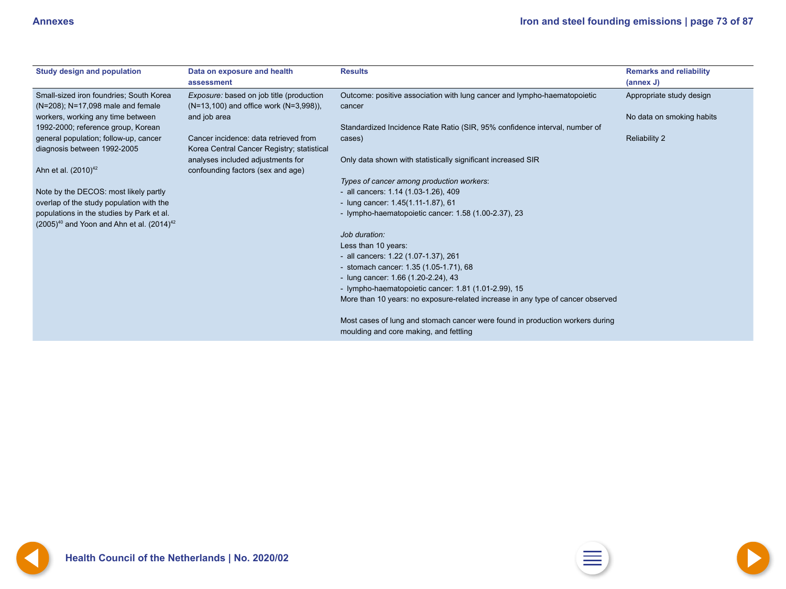<span id="page-72-0"></span>

| <b>Study design and population</b>                                                               | Data on exposure and health<br>assessment                                           | <b>Results</b>                                                                                                          | <b>Remarks and reliability</b><br>(annex J) |
|--------------------------------------------------------------------------------------------------|-------------------------------------------------------------------------------------|-------------------------------------------------------------------------------------------------------------------------|---------------------------------------------|
| Small-sized iron foundries; South Korea<br>(N=208); N=17,098 male and female                     | Exposure: based on job title (production<br>(N=13,100) and office work (N=3,998)),  | Outcome: positive association with lung cancer and lympho-haematopoietic<br>cancer                                      | Appropriate study design                    |
| workers, working any time between                                                                | and job area                                                                        |                                                                                                                         | No data on smoking habits                   |
| 1992-2000; reference group, Korean                                                               |                                                                                     | Standardized Incidence Rate Ratio (SIR, 95% confidence interval, number of                                              |                                             |
| general population; follow-up, cancer<br>diagnosis between 1992-2005                             | Cancer incidence: data retrieved from<br>Korea Central Cancer Registry; statistical | cases)                                                                                                                  | <b>Reliability 2</b>                        |
| Ahn et al. $(2010)^{42}$                                                                         | analyses included adjustments for<br>confounding factors (sex and age)              | Only data shown with statistically significant increased SIR                                                            |                                             |
|                                                                                                  |                                                                                     | Types of cancer among production workers:                                                                               |                                             |
| Note by the DECOS: most likely partly                                                            |                                                                                     | - all cancers: 1.14 (1.03-1.26), 409                                                                                    |                                             |
| overlap of the study population with the                                                         |                                                                                     | - lung cancer: 1.45(1.11-1.87), 61                                                                                      |                                             |
| populations in the studies by Park et al.<br>$(2005)^{40}$ and Yoon and Ahn et al. $(2014)^{42}$ |                                                                                     | - lympho-haematopoietic cancer: 1.58 (1.00-2.37), 23                                                                    |                                             |
|                                                                                                  |                                                                                     | Job duration:                                                                                                           |                                             |
|                                                                                                  |                                                                                     | Less than 10 years:                                                                                                     |                                             |
|                                                                                                  |                                                                                     | - all cancers: 1.22 (1.07-1.37), 261                                                                                    |                                             |
|                                                                                                  |                                                                                     | - stomach cancer: 1.35 (1.05-1.71), 68                                                                                  |                                             |
|                                                                                                  |                                                                                     | - lung cancer: 1.66 (1.20-2.24), 43                                                                                     |                                             |
|                                                                                                  |                                                                                     | - lympho-haematopoietic cancer: 1.81 (1.01-2.99), 15                                                                    |                                             |
|                                                                                                  |                                                                                     | More than 10 years: no exposure-related increase in any type of cancer observed                                         |                                             |
|                                                                                                  |                                                                                     | Most cases of lung and stomach cancer were found in production workers during<br>moulding and core making, and fettling |                                             |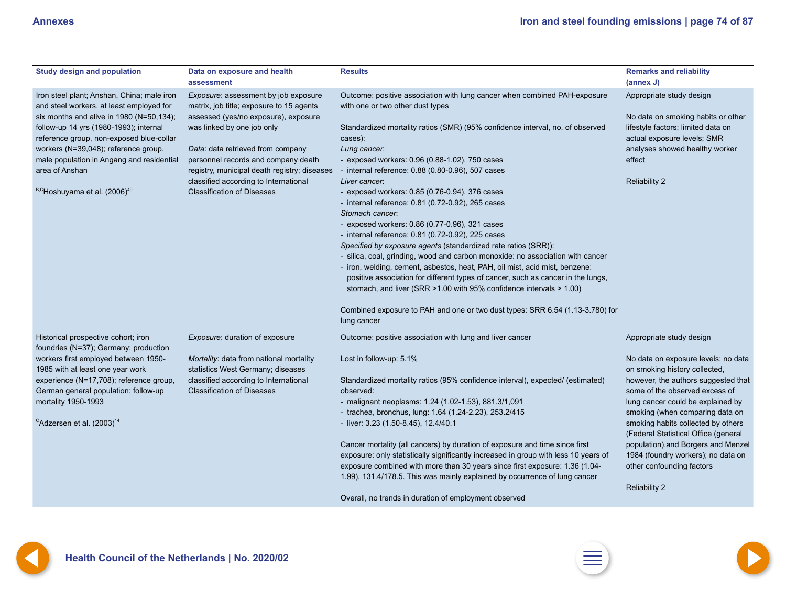<span id="page-73-0"></span>

| <b>Study design and population</b>                                                                                                                                                                                                                                                                                                                                          | Data on exposure and health<br>assessment                                                                                                                                                                                                                                                                                                                        | <b>Results</b>                                                                                                                                                                                                                                                                                                                                                                                                                                                                                                                                                                                                                                                                                                                                                                                                                                                                                                                                                                                                                                                                    | <b>Remarks and reliability</b><br>(annex J)                                                                                                                                                                                                                                                                                                                                                                                                                       |
|-----------------------------------------------------------------------------------------------------------------------------------------------------------------------------------------------------------------------------------------------------------------------------------------------------------------------------------------------------------------------------|------------------------------------------------------------------------------------------------------------------------------------------------------------------------------------------------------------------------------------------------------------------------------------------------------------------------------------------------------------------|-----------------------------------------------------------------------------------------------------------------------------------------------------------------------------------------------------------------------------------------------------------------------------------------------------------------------------------------------------------------------------------------------------------------------------------------------------------------------------------------------------------------------------------------------------------------------------------------------------------------------------------------------------------------------------------------------------------------------------------------------------------------------------------------------------------------------------------------------------------------------------------------------------------------------------------------------------------------------------------------------------------------------------------------------------------------------------------|-------------------------------------------------------------------------------------------------------------------------------------------------------------------------------------------------------------------------------------------------------------------------------------------------------------------------------------------------------------------------------------------------------------------------------------------------------------------|
| Iron steel plant; Anshan, China; male iron<br>and steel workers, at least employed for<br>six months and alive in 1980 (N=50,134);<br>follow-up 14 yrs (1980-1993); internal<br>reference group, non-exposed blue-collar<br>workers (N=39,048); reference group,<br>male population in Angang and residential<br>area of Anshan<br>B,CHoshuyama et al. (2006) <sup>49</sup> | Exposure: assessment by job exposure<br>matrix, job title; exposure to 15 agents<br>assessed (yes/no exposure), exposure<br>was linked by one job only<br>Data: data retrieved from company<br>personnel records and company death<br>registry, municipal death registry; diseases<br>classified according to International<br><b>Classification of Diseases</b> | Outcome: positive association with lung cancer when combined PAH-exposure<br>with one or two other dust types<br>Standardized mortality ratios (SMR) (95% confidence interval, no. of observed<br>cases):<br>Lung cancer.<br>- exposed workers: 0.96 (0.88-1.02), 750 cases<br>- internal reference: 0.88 (0.80-0.96), 507 cases<br>Liver cancer.<br>- exposed workers: 0.85 (0.76-0.94), 376 cases<br>- internal reference: 0.81 (0.72-0.92), 265 cases<br>Stomach cancer:<br>- exposed workers: 0.86 (0.77-0.96), 321 cases<br>- internal reference: 0.81 (0.72-0.92), 225 cases<br>Specified by exposure agents (standardized rate ratios (SRR)):<br>- silica, coal, grinding, wood and carbon monoxide: no association with cancer<br>- iron, welding, cement, asbestos, heat, PAH, oil mist, acid mist, benzene:<br>positive association for different types of cancer, such as cancer in the lungs,<br>stomach, and liver (SRR > 1.00 with 95% confidence intervals > 1.00)<br>Combined exposure to PAH and one or two dust types: SRR 6.54 (1.13-3.780) for<br>lung cancer | Appropriate study design<br>No data on smoking habits or other<br>lifestyle factors; limited data on<br>actual exposure levels; SMR<br>analyses showed healthy worker<br>effect<br><b>Reliability 2</b>                                                                                                                                                                                                                                                           |
| Historical prospective cohort; iron<br>foundries (N=37); Germany; production<br>workers first employed between 1950-<br>1985 with at least one year work<br>experience (N=17,708); reference group,<br>German general population; follow-up<br>mortality 1950-1993<br><sup>C</sup> Adzersen et al. $(2003)^{14}$                                                            | Exposure: duration of exposure<br>Mortality: data from national mortality<br>statistics West Germany; diseases<br>classified according to International<br><b>Classification of Diseases</b>                                                                                                                                                                     | Outcome: positive association with lung and liver cancer<br>Lost in follow-up: 5.1%<br>Standardized mortality ratios (95% confidence interval), expected/ (estimated)<br>observed:<br>- malignant neoplasms: 1.24 (1.02-1.53), 881.3/1,091<br>- trachea, bronchus, lung: 1.64 (1.24-2.23), 253.2/415<br>- liver: 3.23 (1.50-8.45), 12.4/40.1<br>Cancer mortality (all cancers) by duration of exposure and time since first<br>exposure: only statistically significantly increased in group with less 10 years of<br>exposure combined with more than 30 years since first exposure: 1.36 (1.04-<br>1.99), 131.4/178.5. This was mainly explained by occurrence of lung cancer<br>Overall, no trends in duration of employment observed                                                                                                                                                                                                                                                                                                                                          | Appropriate study design<br>No data on exposure levels; no data<br>on smoking history collected,<br>however, the authors suggested that<br>some of the observed excess of<br>lung cancer could be explained by<br>smoking (when comparing data on<br>smoking habits collected by others<br>(Federal Statistical Office (general<br>population), and Borgers and Menzel<br>1984 (foundry workers); no data on<br>other confounding factors<br><b>Reliability 2</b> |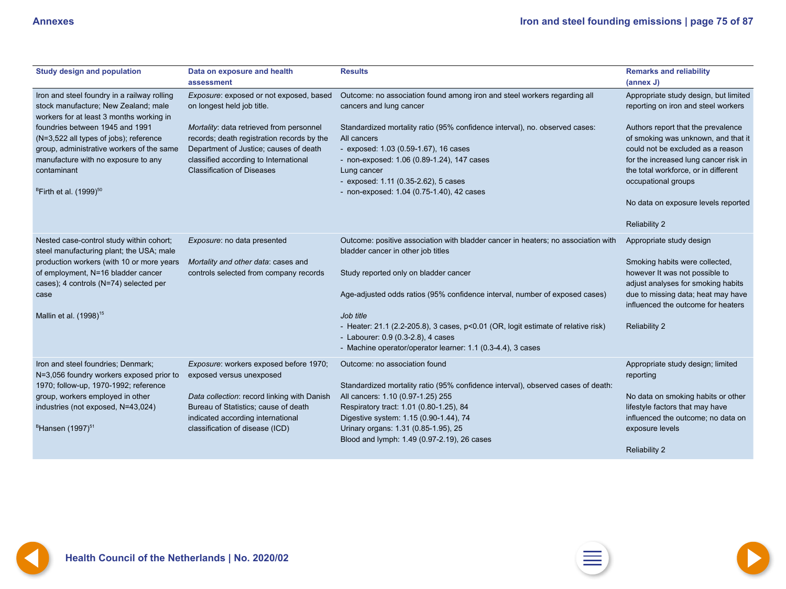<span id="page-74-0"></span>

| <b>Study design and population</b>                                                                                                                                                                                    | Data on exposure and health<br>assessment                                                                                                                                                                      | <b>Results</b>                                                                                                                                                                                                                                                                        | <b>Remarks and reliability</b><br>(annex J)                                                                                                                                                                                                                   |
|-----------------------------------------------------------------------------------------------------------------------------------------------------------------------------------------------------------------------|----------------------------------------------------------------------------------------------------------------------------------------------------------------------------------------------------------------|---------------------------------------------------------------------------------------------------------------------------------------------------------------------------------------------------------------------------------------------------------------------------------------|---------------------------------------------------------------------------------------------------------------------------------------------------------------------------------------------------------------------------------------------------------------|
| Iron and steel foundry in a railway rolling<br>stock manufacture; New Zealand; male<br>workers for at least 3 months working in                                                                                       | Exposure: exposed or not exposed, based<br>on longest held job title.                                                                                                                                          | Outcome: no association found among iron and steel workers regarding all<br>cancers and lung cancer                                                                                                                                                                                   | Appropriate study design, but limited<br>reporting on iron and steel workers                                                                                                                                                                                  |
| foundries between 1945 and 1991<br>(N=3,522 all types of jobs); reference<br>group, administrative workers of the same<br>manufacture with no exposure to any<br>contaminant<br>$B$ Firth et al. (1999) <sup>50</sup> | Mortality: data retrieved from personnel<br>records; death registration records by the<br>Department of Justice; causes of death<br>classified according to International<br><b>Classification of Diseases</b> | Standardized mortality ratio (95% confidence interval), no. observed cases:<br>All cancers<br>- exposed: 1.03 (0.59-1.67), 16 cases<br>- non-exposed: 1.06 (0.89-1.24), 147 cases<br>Lung cancer<br>- exposed: 1.11 (0.35-2.62), 5 cases<br>- non-exposed: 1.04 (0.75-1.40), 42 cases | Authors report that the prevalence<br>of smoking was unknown, and that it<br>could not be excluded as a reason<br>for the increased lung cancer risk in<br>the total workforce, or in different<br>occupational groups<br>No data on exposure levels reported |
|                                                                                                                                                                                                                       |                                                                                                                                                                                                                |                                                                                                                                                                                                                                                                                       | <b>Reliability 2</b>                                                                                                                                                                                                                                          |
| Nested case-control study within cohort;<br>steel manufacturing plant; the USA; male                                                                                                                                  | Exposure: no data presented                                                                                                                                                                                    | Outcome: positive association with bladder cancer in heaters; no association with<br>bladder cancer in other job titles                                                                                                                                                               | Appropriate study design                                                                                                                                                                                                                                      |
| production workers (with 10 or more years<br>of employment, N=16 bladder cancer<br>cases); 4 controls (N=74) selected per                                                                                             | Mortality and other data: cases and<br>controls selected from company records                                                                                                                                  | Study reported only on bladder cancer                                                                                                                                                                                                                                                 | Smoking habits were collected,<br>however It was not possible to<br>adjust analyses for smoking habits                                                                                                                                                        |
| case                                                                                                                                                                                                                  |                                                                                                                                                                                                                | Age-adjusted odds ratios (95% confidence interval, number of exposed cases)                                                                                                                                                                                                           | due to missing data; heat may have<br>influenced the outcome for heaters                                                                                                                                                                                      |
| Mallin et al. (1998) <sup>15</sup>                                                                                                                                                                                    |                                                                                                                                                                                                                | Job title<br>- Heater: 21.1 (2.2-205.8), 3 cases, p<0.01 (OR, logit estimate of relative risk)<br>- Labourer: 0.9 (0.3-2.8), 4 cases<br>- Machine operator/operator learner: 1.1 (0.3-4.4), 3 cases                                                                                   | <b>Reliability 2</b>                                                                                                                                                                                                                                          |
| Iron and steel foundries; Denmark;<br>N=3,056 foundry workers exposed prior to                                                                                                                                        | Exposure: workers exposed before 1970;<br>exposed versus unexposed                                                                                                                                             | Outcome: no association found                                                                                                                                                                                                                                                         | Appropriate study design; limited<br>reporting                                                                                                                                                                                                                |
| 1970; follow-up, 1970-1992; reference<br>group, workers employed in other<br>industries (not exposed, N=43,024)                                                                                                       | Data collection: record linking with Danish<br>Bureau of Statistics; cause of death<br>indicated according international                                                                                       | Standardized mortality ratio (95% confidence interval), observed cases of death:<br>All cancers: 1.10 (0.97-1.25) 255<br>Respiratory tract: 1.01 (0.80-1.25), 84<br>Digestive system: 1.15 (0.90-1.44), 74                                                                            | No data on smoking habits or other<br>lifestyle factors that may have<br>influenced the outcome; no data on                                                                                                                                                   |
| $B$ Hansen (1997) <sup>51</sup>                                                                                                                                                                                       | classification of disease (ICD)                                                                                                                                                                                | Urinary organs: 1.31 (0.85-1.95), 25<br>Blood and lymph: 1.49 (0.97-2.19), 26 cases                                                                                                                                                                                                   | exposure levels<br><b>Reliability 2</b>                                                                                                                                                                                                                       |





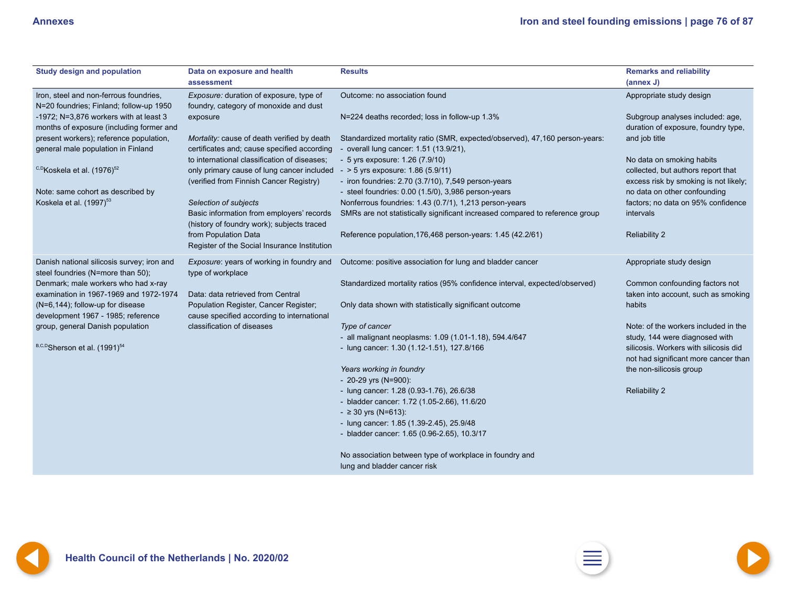<span id="page-75-0"></span>

| <b>Study design and population</b>                                                   | Data on exposure and health<br>assessment                                                  | <b>Results</b>                                                                                                        | <b>Remarks and reliability</b><br>(annex J)                             |
|--------------------------------------------------------------------------------------|--------------------------------------------------------------------------------------------|-----------------------------------------------------------------------------------------------------------------------|-------------------------------------------------------------------------|
| Iron, steel and non-ferrous foundries,<br>N=20 foundries; Finland; follow-up 1950    | Exposure: duration of exposure, type of<br>foundry, category of monoxide and dust          | Outcome: no association found                                                                                         | Appropriate study design                                                |
| -1972; $N=3,876$ workers with at least 3<br>months of exposure (including former and | exposure                                                                                   | N=224 deaths recorded; loss in follow-up 1.3%                                                                         | Subgroup analyses included: age,<br>duration of exposure, foundry type, |
| present workers); reference population,<br>general male population in Finland        | Mortality: cause of death verified by death<br>certificates and; cause specified according | Standardized mortality ratio (SMR, expected/observed), 47,160 person-years:<br>- overall lung cancer: 1.51 (13.9/21), | and job title                                                           |
|                                                                                      | to international classification of diseases;                                               | - 5 yrs exposure: 1.26 (7.9/10)                                                                                       | No data on smoking habits                                               |
| <sup>C,D</sup> Koskela et al. (1976) <sup>52</sup>                                   | only primary cause of lung cancer included                                                 | $-$ > 5 yrs exposure: 1.86 (5.9/11)                                                                                   | collected, but authors report that                                      |
| Note: same cohort as described by                                                    | (verified from Finnish Cancer Registry)                                                    | - iron foundries: $2.70$ (3.7/10), $7,549$ person-years<br>- steel foundries: 0.00 (1.5/0), 3,986 person-years        | excess risk by smoking is not likely;<br>no data on other confounding   |
| Koskela et al. $(1997)^{53}$                                                         | Selection of subjects                                                                      | Nonferrous foundries: 1.43 (0.7/1), 1,213 person-years                                                                | factors; no data on 95% confidence                                      |
|                                                                                      | Basic information from employers' records<br>(history of foundry work); subjects traced    | SMRs are not statistically significant increased compared to reference group                                          | intervals                                                               |
|                                                                                      | from Population Data<br>Register of the Social Insurance Institution                       | Reference population, 176, 468 person-years: 1.45 (42.2/61)                                                           | <b>Reliability 2</b>                                                    |
| Danish national silicosis survey; iron and<br>steel foundries (N=more than 50);      | Exposure: years of working in foundry and<br>type of workplace                             | Outcome: positive association for lung and bladder cancer                                                             | Appropriate study design                                                |
| Denmark; male workers who had x-ray<br>examination in 1967-1969 and 1972-1974        | Data: data retrieved from Central                                                          | Standardized mortality ratios (95% confidence interval, expected/observed)                                            | Common confounding factors not<br>taken into account, such as smoking   |
| (N=6,144); follow-up for disease<br>development 1967 - 1985; reference               | Population Register, Cancer Register;<br>cause specified according to international        | Only data shown with statistically significant outcome                                                                | habits                                                                  |
| group, general Danish population                                                     | classification of diseases                                                                 | Type of cancer                                                                                                        | Note: of the workers included in the                                    |
|                                                                                      |                                                                                            | - all malignant neoplasms: 1.09 (1.01-1.18), 594.4/647                                                                | study, 144 were diagnosed with                                          |
| B,C,D Sherson et al. (1991) <sup>54</sup>                                            |                                                                                            | - lung cancer: 1.30 (1.12-1.51), 127.8/166                                                                            | silicosis. Workers with silicosis did                                   |
|                                                                                      |                                                                                            |                                                                                                                       | not had significant more cancer than                                    |
|                                                                                      |                                                                                            | Years working in foundry<br>- 20-29 yrs (N=900):                                                                      | the non-silicosis group                                                 |
|                                                                                      |                                                                                            | - lung cancer: 1.28 (0.93-1.76), 26.6/38                                                                              | <b>Reliability 2</b>                                                    |
|                                                                                      |                                                                                            | - bladder cancer: 1.72 (1.05-2.66), 11.6/20                                                                           |                                                                         |
|                                                                                      |                                                                                            | $-$ 2 30 yrs (N=613):                                                                                                 |                                                                         |
|                                                                                      |                                                                                            | - lung cancer: 1.85 (1.39-2.45), 25.9/48                                                                              |                                                                         |
|                                                                                      |                                                                                            | - bladder cancer: 1.65 (0.96-2.65), 10.3/17                                                                           |                                                                         |
|                                                                                      |                                                                                            | No association between type of workplace in foundry and                                                               |                                                                         |
|                                                                                      |                                                                                            | lung and bladder cancer risk                                                                                          |                                                                         |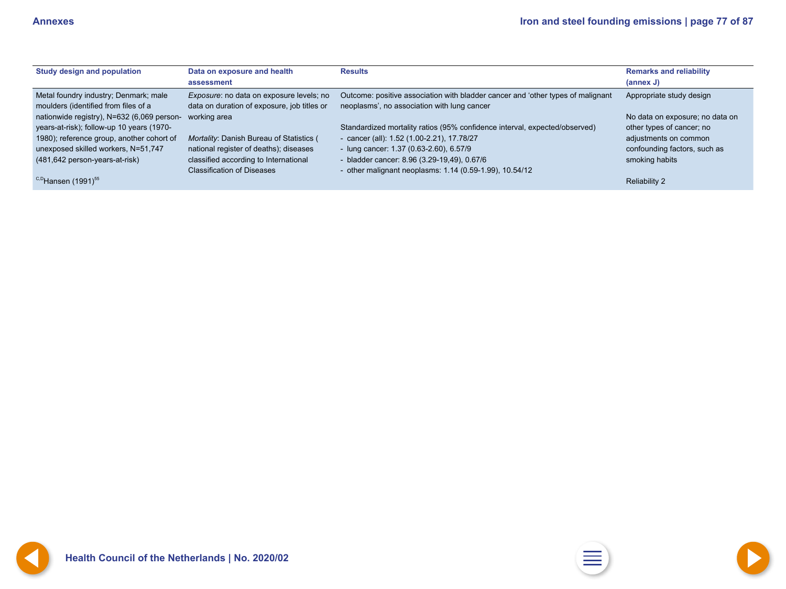<span id="page-76-0"></span>

| <b>Study design and population</b>                                                      | Data on exposure and health<br>assessment                                                                            | <b>Results</b>                                                                                                                                      | <b>Remarks and reliability</b><br>(annex J)                  |
|-----------------------------------------------------------------------------------------|----------------------------------------------------------------------------------------------------------------------|-----------------------------------------------------------------------------------------------------------------------------------------------------|--------------------------------------------------------------|
| Metal foundry industry; Denmark; male<br>moulders (identified from files of a           | Exposure: no data on exposure levels; no<br>data on duration of exposure, job titles or                              | Outcome: positive association with bladder cancer and 'other types of malignant<br>neoplasms', no association with lung cancer                      | Appropriate study design                                     |
| nationwide registry), N=632 (6,069 person-<br>years-at-risk); follow-up 10 years (1970- | working area                                                                                                         | Standardized mortality ratios (95% confidence interval, expected/observed)                                                                          | No data on exposure; no data on<br>other types of cancer; no |
| 1980); reference group, another cohort of                                               | Mortality: Danish Bureau of Statistics (                                                                             | - cancer (all): $1.52$ (1.00-2.21), $17.78/27$                                                                                                      | adjustments on common                                        |
| unexposed skilled workers, N=51,747<br>(481,642 person-years-at-risk)                   | national register of deaths); diseases<br>classified according to International<br><b>Classification of Diseases</b> | - lung cancer: $1.37$ (0.63-2.60), 6.57/9<br>- bladder cancer: 8.96 (3.29-19,49), 0.67/6<br>- other malignant neoplasms: 1.14 (0.59-1.99), 10.54/12 | confounding factors, such as<br>smoking habits               |
| <sup>C,D</sup> Hansen (1991) <sup>55</sup>                                              |                                                                                                                      |                                                                                                                                                     | <b>Reliability 2</b>                                         |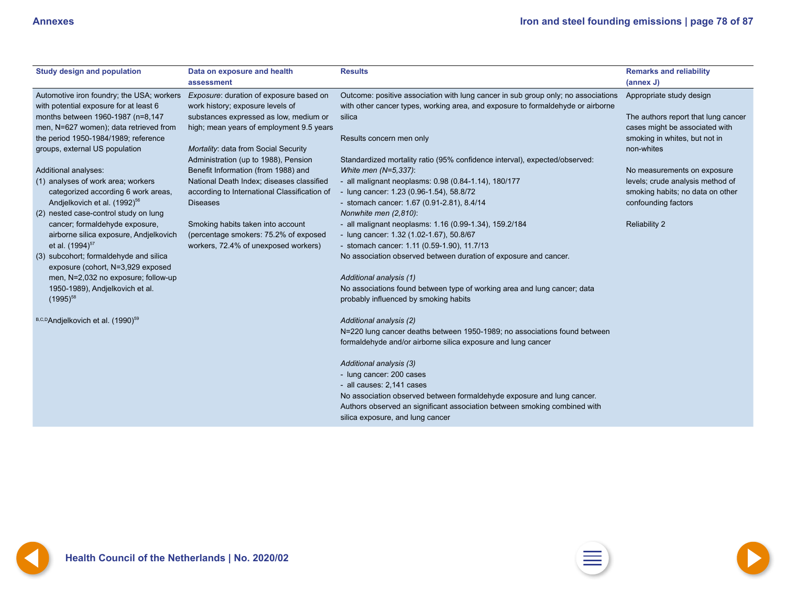<span id="page-77-0"></span>

| <b>Study design and population</b>                                                  | Data on exposure and health                                                 | <b>Results</b>                                                                                                                                                       | <b>Remarks and reliability</b>      |
|-------------------------------------------------------------------------------------|-----------------------------------------------------------------------------|----------------------------------------------------------------------------------------------------------------------------------------------------------------------|-------------------------------------|
|                                                                                     | assessment                                                                  |                                                                                                                                                                      | (annex J)                           |
| Automotive iron foundry; the USA; workers<br>with potential exposure for at least 6 | Exposure: duration of exposure based on<br>work history; exposure levels of | Outcome: positive association with lung cancer in sub group only; no associations<br>with other cancer types, working area, and exposure to formaldehyde or airborne | Appropriate study design            |
| months between 1960-1987 (n=8,147                                                   | substances expressed as low, medium or                                      | silica                                                                                                                                                               | The authors report that lung cancer |
| men, N=627 women); data retrieved from                                              | high; mean years of employment 9.5 years                                    |                                                                                                                                                                      | cases might be associated with      |
| the period 1950-1984/1989; reference                                                |                                                                             | Results concern men only                                                                                                                                             | smoking in whites, but not in       |
| groups, external US population                                                      | Mortality: data from Social Security                                        |                                                                                                                                                                      | non-whites                          |
|                                                                                     | Administration (up to 1988), Pension                                        | Standardized mortality ratio (95% confidence interval), expected/observed:                                                                                           |                                     |
| Additional analyses:                                                                | Benefit Information (from 1988) and                                         | White men (N=5,337):                                                                                                                                                 | No measurements on exposure         |
| (1) analyses of work area; workers                                                  | National Death Index; diseases classified                                   | - all malignant neoplasms: 0.98 (0.84-1.14), 180/177                                                                                                                 | levels; crude analysis method of    |
| categorized according 6 work areas,                                                 | according to International Classification of                                | - lung cancer: 1.23 (0.96-1.54), 58.8/72                                                                                                                             | smoking habits; no data on other    |
| Andjelkovich et al. (1992) <sup>56</sup>                                            | <b>Diseases</b>                                                             | - stomach cancer: 1.67 (0.91-2.81), 8.4/14                                                                                                                           | confounding factors                 |
| (2) nested case-control study on lung                                               |                                                                             | Nonwhite men (2,810):                                                                                                                                                |                                     |
| cancer; formaldehyde exposure,                                                      | Smoking habits taken into account                                           | - all malignant neoplasms: 1.16 (0.99-1.34), 159.2/184                                                                                                               | <b>Reliability 2</b>                |
| airborne silica exposure, Andjelkovich                                              | (percentage smokers: 75.2% of exposed                                       | - lung cancer: 1.32 (1.02-1.67), 50.8/67                                                                                                                             |                                     |
| et al. (1994) <sup>57</sup>                                                         | workers, 72.4% of unexposed workers)                                        | - stomach cancer: 1.11 (0.59-1.90), 11.7/13                                                                                                                          |                                     |
| (3) subcohort; formaldehyde and silica                                              |                                                                             | No association observed between duration of exposure and cancer.                                                                                                     |                                     |
| exposure (cohort, N=3,929 exposed                                                   |                                                                             |                                                                                                                                                                      |                                     |
| men, N=2,032 no exposure; follow-up                                                 |                                                                             | Additional analysis (1)                                                                                                                                              |                                     |
| 1950-1989), Andjelkovich et al.                                                     |                                                                             | No associations found between type of working area and lung cancer; data                                                                                             |                                     |
| $(1995)^{58}$                                                                       |                                                                             | probably influenced by smoking habits                                                                                                                                |                                     |
|                                                                                     |                                                                             |                                                                                                                                                                      |                                     |
| B,C,DAndjelkovich et al. (1990) <sup>59</sup>                                       |                                                                             | Additional analysis (2)                                                                                                                                              |                                     |
|                                                                                     |                                                                             | N=220 lung cancer deaths between 1950-1989; no associations found between                                                                                            |                                     |
|                                                                                     |                                                                             | formaldehyde and/or airborne silica exposure and lung cancer                                                                                                         |                                     |
|                                                                                     |                                                                             |                                                                                                                                                                      |                                     |
|                                                                                     |                                                                             | Additional analysis (3)                                                                                                                                              |                                     |
|                                                                                     |                                                                             | - lung cancer: 200 cases                                                                                                                                             |                                     |
|                                                                                     |                                                                             | - all causes: 2,141 cases                                                                                                                                            |                                     |
|                                                                                     |                                                                             | No association observed between formaldehyde exposure and lung cancer.                                                                                               |                                     |
|                                                                                     |                                                                             | Authors observed an significant association between smoking combined with                                                                                            |                                     |
|                                                                                     |                                                                             | silica exposure, and lung cancer                                                                                                                                     |                                     |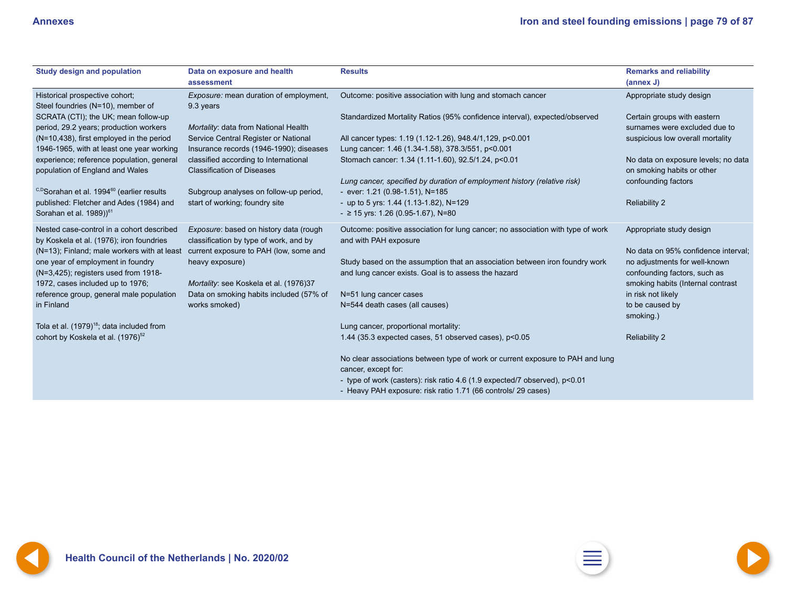<span id="page-78-0"></span>

| <b>Study design and population</b>                                                    | Data on exposure and health<br>assessment                                        | <b>Results</b>                                                                                              | <b>Remarks and reliability</b><br>(annex J)                       |
|---------------------------------------------------------------------------------------|----------------------------------------------------------------------------------|-------------------------------------------------------------------------------------------------------------|-------------------------------------------------------------------|
| Historical prospective cohort;<br>Steel foundries (N=10), member of                   | Exposure: mean duration of employment,<br>9.3 years                              | Outcome: positive association with lung and stomach cancer                                                  | Appropriate study design                                          |
| SCRATA (CTI); the UK; mean follow-up                                                  |                                                                                  | Standardized Mortality Ratios (95% confidence interval), expected/observed                                  | Certain groups with eastern                                       |
| period, 29.2 years; production workers                                                | Mortality: data from National Health                                             |                                                                                                             | surnames were excluded due to                                     |
| (N=10,438), first employed in the period                                              | Service Central Register or National                                             | All cancer types: 1.19 (1.12-1.26), 948.4/1, 129, p<0.001                                                   | suspicious low overall mortality                                  |
| 1946-1965, with at least one year working                                             | Insurance records (1946-1990); diseases                                          | Lung cancer: 1.46 (1.34-1.58), 378.3/551, p<0.001                                                           |                                                                   |
| experience; reference population, general<br>population of England and Wales          | classified according to International<br><b>Classification of Diseases</b>       | Stomach cancer: 1.34 (1.11-1.60), 92.5/1.24, p<0.01                                                         | No data on exposure levels; no data<br>on smoking habits or other |
| <sup>C,D</sup> Sorahan et al. 1994 <sup>60</sup> (earlier results                     | Subgroup analyses on follow-up period,                                           | Lung cancer, specified by duration of employment history (relative risk)<br>- ever: 1.21 (0.98-1.51), N=185 | confounding factors                                               |
| published: Fletcher and Ades (1984) and                                               | start of working; foundry site                                                   | - up to 5 yrs: $1.44$ (1.13-1.82), N=129                                                                    | <b>Reliability 2</b>                                              |
| Sorahan et al. $1989)$ <sup>61</sup>                                                  |                                                                                  | $-$ 2 15 yrs: 1.26 (0.95-1.67), N=80                                                                        |                                                                   |
| Nested case-control in a cohort described<br>by Koskela et al. (1976); iron foundries | Exposure: based on history data (rough<br>classification by type of work, and by | Outcome: positive association for lung cancer; no association with type of work<br>and with PAH exposure    | Appropriate study design                                          |
| (N=13); Finland; male workers with at least                                           | current exposure to PAH (low, some and                                           |                                                                                                             | No data on 95% confidence interval;                               |
| one year of employment in foundry                                                     | heavy exposure)                                                                  | Study based on the assumption that an association between iron foundry work                                 | no adjustments for well-known                                     |
| (N=3,425); registers used from 1918-                                                  |                                                                                  | and lung cancer exists. Goal is to assess the hazard                                                        | confounding factors, such as                                      |
| 1972, cases included up to 1976;                                                      | Mortality: see Koskela et al. (1976)37                                           |                                                                                                             | smoking habits (Internal contrast                                 |
| reference group, general male population                                              | Data on smoking habits included (57% of                                          | N=51 lung cancer cases                                                                                      | in risk not likely                                                |
| in Finland                                                                            | works smoked)                                                                    | N=544 death cases (all causes)                                                                              | to be caused by<br>smoking.)                                      |
| Tola et al. (1979) <sup>18</sup> ; data included from                                 |                                                                                  | Lung cancer, proportional mortality:                                                                        |                                                                   |
| cohort by Koskela et al. (1976) <sup>52</sup>                                         |                                                                                  | 1.44 (35.3 expected cases, 51 observed cases), p<0.05                                                       | <b>Reliability 2</b>                                              |
|                                                                                       |                                                                                  | No clear associations between type of work or current exposure to PAH and lung                              |                                                                   |
|                                                                                       |                                                                                  | cancer, except for:                                                                                         |                                                                   |
|                                                                                       |                                                                                  | - type of work (casters): risk ratio 4.6 (1.9 expected/7 observed), p<0.01                                  |                                                                   |
|                                                                                       |                                                                                  | - Heavy PAH exposure: risk ratio 1.71 (66 controls/ 29 cases)                                               |                                                                   |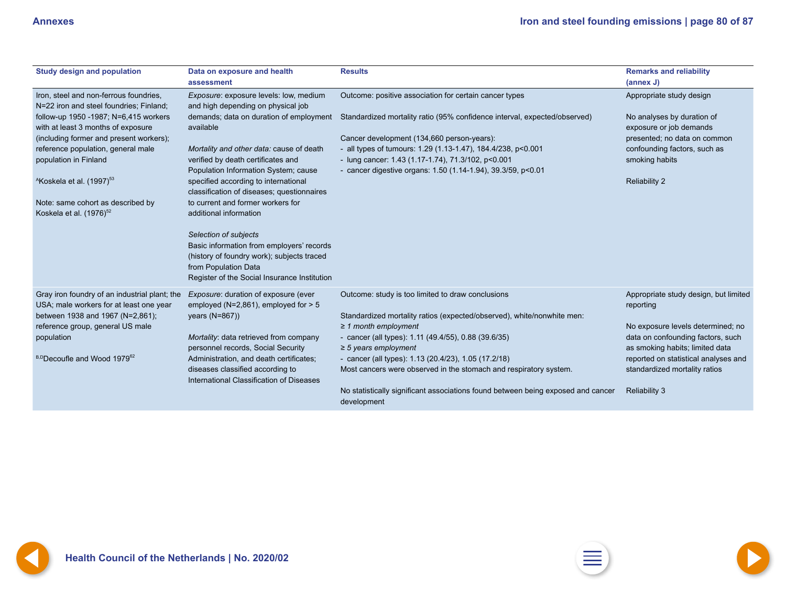<span id="page-79-0"></span>

| <b>Study design and population</b>                                                                     | Data on exposure and health<br>assessment                                                                                                                                                | <b>Results</b>                                                                                                                                                                                                                   | <b>Remarks and reliability</b><br>(annex J)                                    |
|--------------------------------------------------------------------------------------------------------|------------------------------------------------------------------------------------------------------------------------------------------------------------------------------------------|----------------------------------------------------------------------------------------------------------------------------------------------------------------------------------------------------------------------------------|--------------------------------------------------------------------------------|
| Iron, steel and non-ferrous foundries,<br>N=22 iron and steel foundries; Finland;                      | Exposure: exposure levels: low, medium<br>and high depending on physical job                                                                                                             | Outcome: positive association for certain cancer types                                                                                                                                                                           | Appropriate study design                                                       |
| follow-up 1950 - 1987; N=6,415 workers<br>with at least 3 months of exposure                           | demands; data on duration of employment<br>available                                                                                                                                     | Standardized mortality ratio (95% confidence interval, expected/observed)                                                                                                                                                        | No analyses by duration of<br>exposure or job demands                          |
| (including former and present workers);<br>reference population, general male<br>population in Finland | Mortality and other data: cause of death<br>verified by death certificates and<br>Population Information System; cause                                                                   | Cancer development (134,660 person-years):<br>- all types of tumours: 1.29 (1.13-1.47), 184.4/238, p<0.001<br>- lung cancer: 1.43 (1.17-1.74), 71.3/102, p<0.001<br>- cancer digestive organs: 1.50 (1.14-1.94), 39.3/59, p<0.01 | presented; no data on common<br>confounding factors, such as<br>smoking habits |
| <sup>A</sup> Koskela et al. $(1997)^{53}$                                                              | specified according to international<br>classification of diseases; questionnaires                                                                                                       |                                                                                                                                                                                                                                  | <b>Reliability 2</b>                                                           |
| Note: same cohort as described by<br>Koskela et al. (1976) <sup>52</sup>                               | to current and former workers for<br>additional information                                                                                                                              |                                                                                                                                                                                                                                  |                                                                                |
|                                                                                                        | Selection of subjects<br>Basic information from employers' records<br>(history of foundry work); subjects traced<br>from Population Data<br>Register of the Social Insurance Institution |                                                                                                                                                                                                                                  |                                                                                |
| Gray iron foundry of an industrial plant; the<br>USA; male workers for at least one year               | Exposure: duration of exposure (ever<br>employed ( $N=2,861$ ), employed for $> 5$                                                                                                       | Outcome: study is too limited to draw conclusions                                                                                                                                                                                | Appropriate study design, but limited<br>reporting                             |
| between 1938 and 1967 (N=2,861);<br>reference group, general US male                                   | years (N=867))                                                                                                                                                                           | Standardized mortality ratios (expected/observed), white/nonwhite men:<br>$\geq$ 1 month employment                                                                                                                              | No exposure levels determined; no                                              |
| population                                                                                             | Mortality: data retrieved from company<br>personnel records, Social Security                                                                                                             | - cancer (all types): $1.11$ (49.4/55), 0.88 (39.6/35)<br>$\geq$ 5 years employment                                                                                                                                              | data on confounding factors, such<br>as smoking habits; limited data           |
| B,DDecoufle and Wood 197962                                                                            | Administration, and death certificates;<br>diseases classified according to<br>International Classification of Diseases                                                                  | - cancer (all types): $1.13$ (20.4/23), $1.05$ (17.2/18)<br>Most cancers were observed in the stomach and respiratory system.                                                                                                    | reported on statistical analyses and<br>standardized mortality ratios          |
|                                                                                                        |                                                                                                                                                                                          | No statistically significant associations found between being exposed and cancer<br>development                                                                                                                                  | <b>Reliability 3</b>                                                           |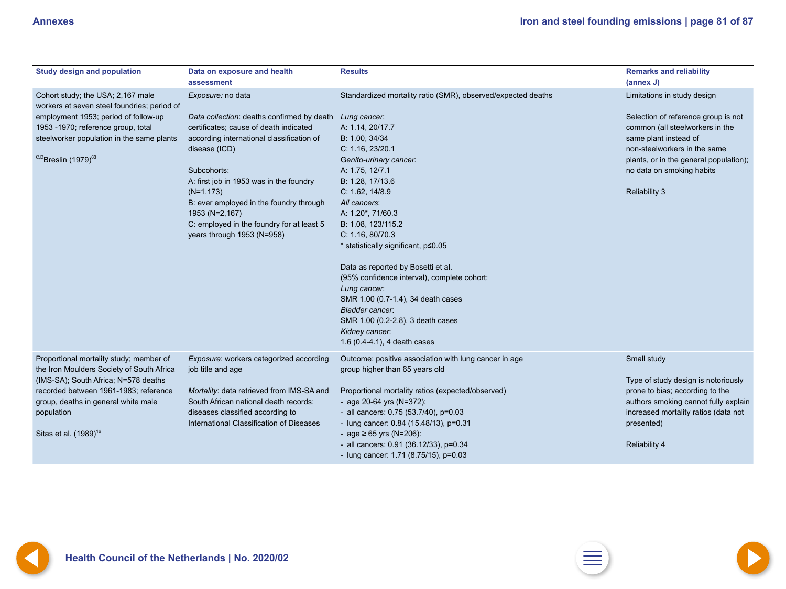<span id="page-80-0"></span>

| <b>Study design and population</b>                                                                                           | Data on exposure and health<br>assessment                    | <b>Results</b>                                                                                                                                                                                                                                           | <b>Remarks and reliability</b><br>(annex J)        |
|------------------------------------------------------------------------------------------------------------------------------|--------------------------------------------------------------|----------------------------------------------------------------------------------------------------------------------------------------------------------------------------------------------------------------------------------------------------------|----------------------------------------------------|
| Cohort study; the USA; 2,167 male<br>workers at seven steel foundries; period of                                             | Exposure: no data                                            | Standardized mortality ratio (SMR), observed/expected deaths                                                                                                                                                                                             | Limitations in study design                        |
| employment 1953; period of follow-up                                                                                         | Data collection: deaths confirmed by death                   | Lung cancer.                                                                                                                                                                                                                                             | Selection of reference group is not                |
| 1953 -1970; reference group, total                                                                                           | certificates; cause of death indicated                       | A: 1.14, 20/17.7                                                                                                                                                                                                                                         | common (all steelworkers in the                    |
| steelworker population in the same plants                                                                                    | according international classification of                    | B: 1.00, 34/34                                                                                                                                                                                                                                           | same plant instead of                              |
|                                                                                                                              | disease (ICD)                                                | C: 1.16, 23/20.1                                                                                                                                                                                                                                         | non-steelworkers in the same                       |
| <sup>C,D</sup> Breslin (1979) <sup>63</sup>                                                                                  |                                                              | Genito-urinary cancer:                                                                                                                                                                                                                                   | plants, or in the general population);             |
|                                                                                                                              | Subcohorts:                                                  | A: 1.75, 12/7.1                                                                                                                                                                                                                                          | no data on smoking habits                          |
|                                                                                                                              | A: first job in 1953 was in the foundry                      | B: 1.28, 17/13.6                                                                                                                                                                                                                                         |                                                    |
|                                                                                                                              | $(N=1, 173)$                                                 | C: 1.62, 14/8.9                                                                                                                                                                                                                                          | <b>Reliability 3</b>                               |
|                                                                                                                              | B: ever employed in the foundry through                      | All cancers:                                                                                                                                                                                                                                             |                                                    |
|                                                                                                                              | 1953 (N=2,167)                                               | A: 1.20*, 71/60.3                                                                                                                                                                                                                                        |                                                    |
|                                                                                                                              | C: employed in the foundry for at least 5                    | B: 1.08, 123/115.2                                                                                                                                                                                                                                       |                                                    |
|                                                                                                                              | years through 1953 (N=958)                                   | C: 1.16, 80/70.3                                                                                                                                                                                                                                         |                                                    |
|                                                                                                                              |                                                              | * statistically significant, p < 0.05                                                                                                                                                                                                                    |                                                    |
|                                                                                                                              |                                                              | Data as reported by Bosetti et al.<br>(95% confidence interval), complete cohort:<br>Lung cancer.<br>SMR 1.00 (0.7-1.4), 34 death cases<br><b>Bladder cancer:</b><br>SMR 1.00 (0.2-2.8), 3 death cases<br>Kidney cancer.<br>1.6 (0.4-4.1), 4 death cases |                                                    |
| Proportional mortality study; member of<br>the Iron Moulders Society of South Africa<br>(IMS-SA); South Africa; N=578 deaths | Exposure: workers categorized according<br>job title and age | Outcome: positive association with lung cancer in age<br>group higher than 65 years old                                                                                                                                                                  | Small study<br>Type of study design is notoriously |
| recorded between 1961-1983; reference<br>group, deaths in general white male                                                 | Mortality: data retrieved from IMS-SA and                    | Proportional mortality ratios (expected/observed)                                                                                                                                                                                                        | prone to bias; according to the                    |
|                                                                                                                              | South African national death records;                        | - age 20-64 yrs (N=372):                                                                                                                                                                                                                                 | authors smoking cannot fully explain               |
| population                                                                                                                   | diseases classified according to                             | - all cancers: 0.75 (53.7/40), p=0.03                                                                                                                                                                                                                    | increased mortality ratios (data not               |
|                                                                                                                              | International Classification of Diseases                     | - lung cancer: 0.84 (15.48/13), p=0.31                                                                                                                                                                                                                   | presented)                                         |
| Sitas et al. (1989) <sup>16</sup>                                                                                            |                                                              | - age $\geq 65$ yrs (N=206):                                                                                                                                                                                                                             |                                                    |
|                                                                                                                              |                                                              | - all cancers: 0.91 (36.12/33), p=0.34<br>- lung cancer: 1.71 (8.75/15), p=0.03                                                                                                                                                                          | <b>Reliability 4</b>                               |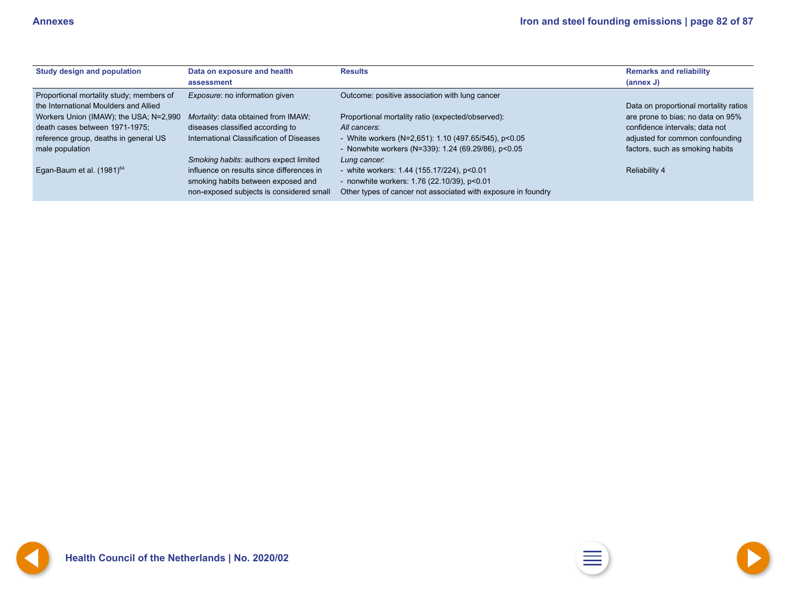<span id="page-81-0"></span>

| <b>Study design and population</b>       | Data on exposure and health<br>assessment | <b>Results</b>                                                | <b>Remarks and reliability</b><br>(annex J) |
|------------------------------------------|-------------------------------------------|---------------------------------------------------------------|---------------------------------------------|
| Proportional mortality study; members of | <i>Exposure:</i> no information given     | Outcome: positive association with lung cancer                |                                             |
| the International Moulders and Allied    |                                           |                                                               | Data on proportional mortality ratios       |
| Workers Union (IMAW); the USA; N=2,990   | Mortality: data obtained from IMAW;       | Proportional mortality ratio (expected/observed):             | are prone to bias; no data on 95%           |
| death cases between 1971-1975;           | diseases classified according to          | All cancers:                                                  | confidence intervals; data not              |
| reference group, deaths in general US    | International Classification of Diseases  | - White workers (N=2,651): $1.10$ (497.65/545), p<0.05        | adjusted for common confounding             |
| male population                          |                                           | - Nonwhite workers (N=339): $1.24$ (69.29/86), p<0.05         | factors, such as smoking habits             |
|                                          | Smoking habits: authors expect limited    | Lung cancer.                                                  |                                             |
| Egan-Baum et al. (1981) <sup>64</sup>    | influence on results since differences in | - white workers: 1.44 (155.17/224), p<0.01                    | <b>Reliability 4</b>                        |
|                                          | smoking habits between exposed and        | - nonwhite workers: 1.76 (22.10/39), p<0.01                   |                                             |
|                                          | non-exposed subjects is considered small  | Other types of cancer not associated with exposure in foundry |                                             |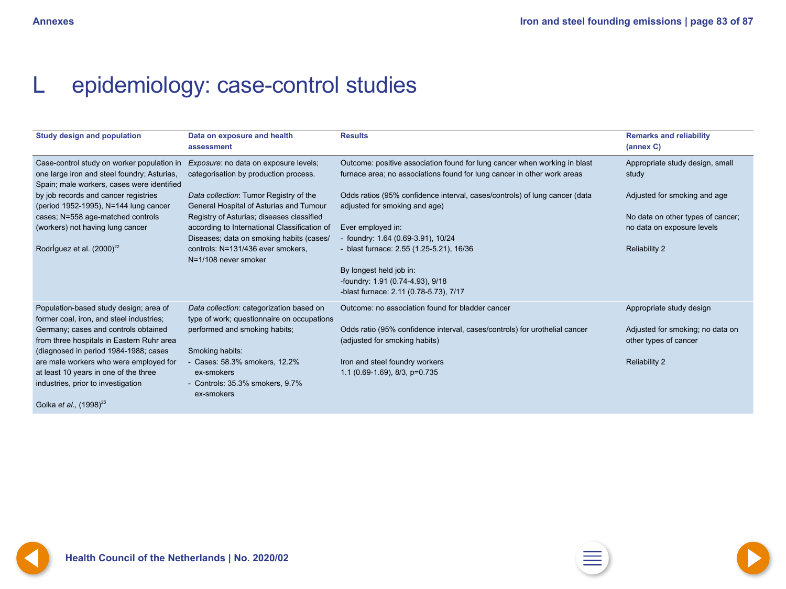# <span id="page-82-0"></span>L epidemiology: case-control studies

| <b>Study design and population</b>                                                                                                                          | Data on exposure and health<br>assessment                                                                                                                                                          | <b>Results</b>                                                                                                                                       | <b>Remarks and reliability</b><br>(annex C)                                             |
|-------------------------------------------------------------------------------------------------------------------------------------------------------------|----------------------------------------------------------------------------------------------------------------------------------------------------------------------------------------------------|------------------------------------------------------------------------------------------------------------------------------------------------------|-----------------------------------------------------------------------------------------|
| Case-control study on worker population in<br>one large iron and steel foundry; Asturias,<br>Spain; male workers, cases were identified                     | Exposure: no data on exposure levels;<br>categorisation by production process.                                                                                                                     | Outcome: positive association found for lung cancer when working in blast<br>furnace area; no associations found for lung cancer in other work areas | Appropriate study design, small<br>study                                                |
| by job records and cancer registries<br>(period 1952-1995), N=144 lung cancer                                                                               | Data collection: Tumor Registry of the<br>General Hospital of Asturias and Tumour                                                                                                                  | Odds ratios (95% confidence interval, cases/controls) of lung cancer (data<br>adjusted for smoking and age)                                          | Adjusted for smoking and age                                                            |
| cases; N=558 age-matched controls<br>(workers) not having lung cancer<br>Rodríguez et al. (2000) <sup>22</sup>                                              | Registry of Asturias; diseases classified<br>according to International Classification of<br>Diseases; data on smoking habits (cases/<br>controls: N=131/436 ever smokers,<br>N=1/108 never smoker | Ever employed in:<br>foundry: 1.64 (0.69-3.91), 10/24<br>- blast furnace: 2.55 (1.25-5.21), 16/36                                                    | No data on other types of cancer;<br>no data on exposure levels<br><b>Reliability 2</b> |
|                                                                                                                                                             |                                                                                                                                                                                                    | By longest held job in:<br>-foundry: 1.91 (0.74-4.93), 9/18<br>-blast furnace: 2.11 (0.78-5.73), 7/17                                                |                                                                                         |
| Population-based study design; area of<br>former coal, iron, and steel industries;                                                                          | Data collection: categorization based on<br>type of work; questionnaire on occupations                                                                                                             | Outcome: no association found for bladder cancer                                                                                                     | Appropriate study design                                                                |
| Germany; cases and controls obtained<br>from three hospitals in Eastern Ruhr area<br>(diagnosed in period 1984-1988; cases                                  | performed and smoking habits;<br>Smoking habits:                                                                                                                                                   | Odds ratio (95% confidence interval, cases/controls) for urothelial cancer<br>(adjusted for smoking habits)                                          | Adjusted for smoking; no data on<br>other types of cancer                               |
| are male workers who were employed for<br>at least 10 years in one of the three<br>industries, prior to investigation<br>Golka et al., (1998) <sup>26</sup> | Cases: 58.3% smokers, 12.2%<br>ex-smokers<br>- Controls: 35.3% smokers, 9.7%<br>ex-smokers                                                                                                         | Iron and steel foundry workers<br>1.1 (0.69-1.69), 8/3, p=0.735                                                                                      | <b>Reliability 2</b>                                                                    |

Golka *et al.,* (1998)<sup>26</sup>

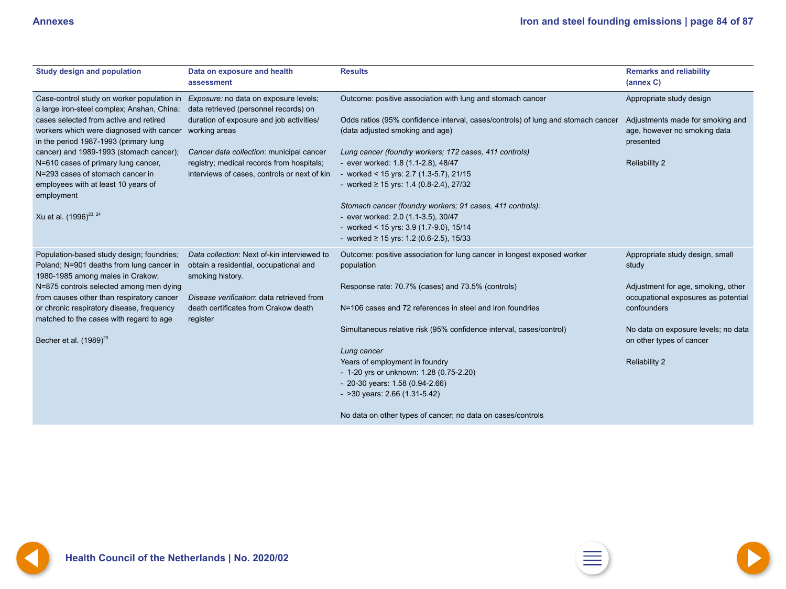<span id="page-83-0"></span>

| <b>Study design and population</b>                                                                                             | Data on exposure and health<br>assessment                                                                 | <b>Results</b>                                                                                                      | <b>Remarks and reliability</b><br>(annex C)                                   |
|--------------------------------------------------------------------------------------------------------------------------------|-----------------------------------------------------------------------------------------------------------|---------------------------------------------------------------------------------------------------------------------|-------------------------------------------------------------------------------|
| Case-control study on worker population in Exposure: no data on exposure levels;<br>a large iron-steel complex; Anshan, China; | data retrieved (personnel records) on                                                                     | Outcome: positive association with lung and stomach cancer                                                          | Appropriate study design                                                      |
| cases selected from active and retired<br>workers which were diagnosed with cancer<br>in the period 1987-1993 (primary lung    | duration of exposure and job activities/<br>working areas                                                 | Odds ratios (95% confidence interval, cases/controls) of lung and stomach cancer<br>(data adjusted smoking and age) | Adjustments made for smoking and<br>age, however no smoking data<br>presented |
| cancer) and 1989-1993 (stomach cancer);                                                                                        | Cancer data collection: municipal cancer                                                                  | Lung cancer (foundry workers; 172 cases, 411 controls)                                                              |                                                                               |
| N=610 cases of primary lung cancer,                                                                                            | registry; medical records from hospitals;                                                                 | - ever worked: 1.8 (1.1-2.8), 48/47                                                                                 | <b>Reliability 2</b>                                                          |
| N=293 cases of stomach cancer in                                                                                               | interviews of cases, controls or next of kin                                                              | - worked < $15$ yrs: 2.7 (1.3-5.7), 21/15                                                                           |                                                                               |
| employees with at least 10 years of<br>employment                                                                              |                                                                                                           | - worked $\geq$ 15 yrs: 1.4 (0.8-2.4), 27/32                                                                        |                                                                               |
|                                                                                                                                |                                                                                                           | Stomach cancer (foundry workers; 91 cases, 411 controls):                                                           |                                                                               |
| Xu et al. (1996) <sup>23, 24</sup>                                                                                             |                                                                                                           | - ever worked: 2.0 (1.1-3.5), 30/47                                                                                 |                                                                               |
|                                                                                                                                |                                                                                                           | - worked < $15$ yrs: $3.9$ (1.7-9.0), $15/14$                                                                       |                                                                               |
|                                                                                                                                |                                                                                                           | - worked $\geq$ 15 yrs: 1.2 (0.6-2.5), 15/33                                                                        |                                                                               |
| Population-based study design; foundries;<br>Poland; N=901 deaths from lung cancer in<br>1980-1985 among males in Crakow;      | Data collection: Next of-kin interviewed to<br>obtain a residential, occupational and<br>smoking history. | Outcome: positive association for lung cancer in longest exposed worker<br>population                               | Appropriate study design, small<br>study                                      |
| N=875 controls selected among men dying<br>from causes other than respiratory cancer                                           | Disease verification: data retrieved from                                                                 | Response rate: 70.7% (cases) and 73.5% (controls)                                                                   | Adjustment for age, smoking, other<br>occupational exposures as potential     |
| or chronic respiratory disease, frequency<br>matched to the cases with regard to age                                           | death certificates from Crakow death<br>register                                                          | N=106 cases and 72 references in steel and iron foundries                                                           | confounders                                                                   |
| Becher et al. $(1989)^{20}$                                                                                                    |                                                                                                           | Simultaneous relative risk (95% confidence interval, cases/control)                                                 | No data on exposure levels; no data<br>on other types of cancer               |
|                                                                                                                                |                                                                                                           | Lung cancer                                                                                                         |                                                                               |
|                                                                                                                                |                                                                                                           | Years of employment in foundry                                                                                      | <b>Reliability 2</b>                                                          |
|                                                                                                                                |                                                                                                           | - 1-20 yrs or unknown: 1.28 (0.75-2.20)                                                                             |                                                                               |
|                                                                                                                                |                                                                                                           | - 20-30 years: $1.58(0.94-2.66)$                                                                                    |                                                                               |
|                                                                                                                                |                                                                                                           | $-$ >30 years: 2.66 (1.31-5.42)                                                                                     |                                                                               |
|                                                                                                                                |                                                                                                           | No data on other types of cancer; no data on cases/controls                                                         |                                                                               |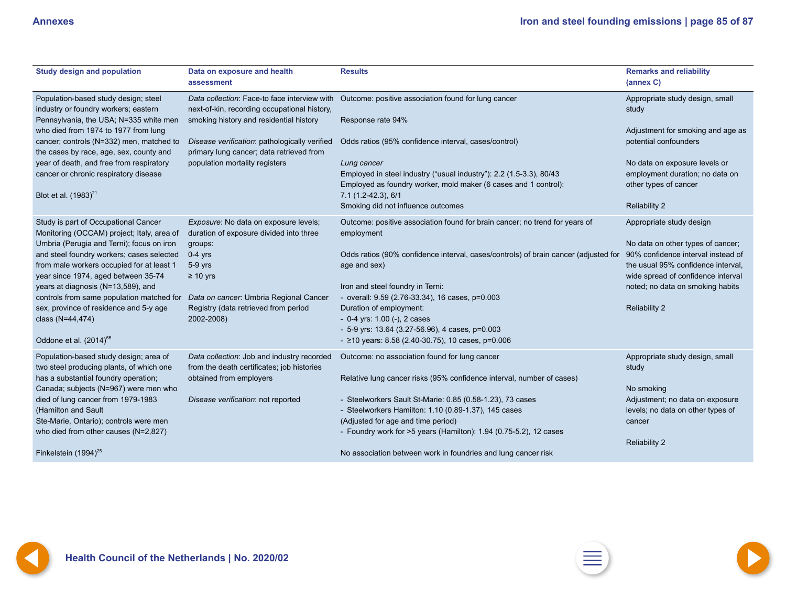<span id="page-84-0"></span>

| <b>Study design and population</b>                                                  | Data on exposure and health<br>assessment                                                    | <b>Results</b>                                                                            | <b>Remarks and reliability</b><br>(annex C) |
|-------------------------------------------------------------------------------------|----------------------------------------------------------------------------------------------|-------------------------------------------------------------------------------------------|---------------------------------------------|
| Population-based study design; steel<br>industry or foundry workers; eastern        | Data collection: Face-to face interview with<br>next-of-kin, recording occupational history, | Outcome: positive association found for lung cancer                                       | Appropriate study design, small<br>study    |
| Pennsylvania, the USA; N=335 white men                                              | smoking history and residential history                                                      | Response rate 94%                                                                         |                                             |
| who died from 1974 to 1977 from lung                                                |                                                                                              |                                                                                           | Adjustment for smoking and age as           |
| cancer; controls (N=332) men, matched to<br>the cases by race, age, sex, county and | Disease verification: pathologically verified<br>primary lung cancer; data retrieved from    | Odds ratios (95% confidence interval, cases/control)                                      | potential confounders                       |
| year of death, and free from respiratory                                            | population mortality registers                                                               | Lung cancer                                                                               | No data on exposure levels or               |
| cancer or chronic respiratory disease                                               |                                                                                              | Employed in steel industry ("usual industry"): 2.2 (1.5-3.3), 80/43                       | employment duration; no data on             |
|                                                                                     |                                                                                              | Employed as foundry worker, mold maker (6 cases and 1 control):                           | other types of cancer                       |
| Blot et al. (1983) <sup>21</sup>                                                    |                                                                                              | $7.1(1.2-42.3), 6/1$                                                                      |                                             |
|                                                                                     |                                                                                              | Smoking did not influence outcomes                                                        | <b>Reliability 2</b>                        |
| Study is part of Occupational Cancer<br>Monitoring (OCCAM) project; Italy, area of  | Exposure: No data on exposure levels;<br>duration of exposure divided into three             | Outcome: positive association found for brain cancer; no trend for years of<br>employment | Appropriate study design                    |
| Umbria (Perugia and Terni); focus on iron                                           | groups:                                                                                      |                                                                                           | No data on other types of cancer;           |
| and steel foundry workers; cases selected                                           | $0-4$ yrs                                                                                    | Odds ratios (90% confidence interval, cases/controls) of brain cancer (adjusted for       | 90% confidence interval instead of          |
| from male workers occupied for at least 1                                           | 5-9 yrs                                                                                      | age and sex)                                                                              | the usual 95% confidence interval,          |
| year since 1974, aged between 35-74                                                 | $\geq 10$ yrs                                                                                |                                                                                           | wide spread of confidence interval          |
| years at diagnosis (N=13,589), and                                                  |                                                                                              | Iron and steel foundry in Terni:                                                          | noted; no data on smoking habits            |
| controls from same population matched for                                           | Data on cancer: Umbria Regional Cancer                                                       | - overall: 9.59 (2.76-33.34), 16 cases, p=0.003                                           |                                             |
| sex, province of residence and 5-y age                                              | Registry (data retrieved from period                                                         | Duration of employment:                                                                   | <b>Reliability 2</b>                        |
| class (N=44,474)                                                                    | 2002-2008)                                                                                   | $-$ 0-4 yrs: 1.00 (-), 2 cases                                                            |                                             |
|                                                                                     |                                                                                              | - 5-9 yrs: $13.64$ (3.27-56.96), 4 cases, p=0.003                                         |                                             |
| Oddone et al. $(2014)^{65}$                                                         |                                                                                              | - $\ge$ 10 years: 8.58 (2.40-30.75), 10 cases, p=0.006                                    |                                             |
| Population-based study design; area of<br>two steel producing plants, of which one  | Data collection: Job and industry recorded<br>from the death certificates; job histories     | Outcome: no association found for lung cancer                                             | Appropriate study design, small<br>study    |
| has a substantial foundry operation;                                                | obtained from employers                                                                      | Relative lung cancer risks (95% confidence interval, number of cases)                     |                                             |
| Canada; subjects (N=967) were men who                                               |                                                                                              |                                                                                           | No smoking                                  |
| died of lung cancer from 1979-1983                                                  | Disease verification: not reported                                                           | - Steelworkers Sault St-Marie: 0.85 (0.58-1.23), 73 cases                                 | Adjustment; no data on exposure             |
| (Hamilton and Sault                                                                 |                                                                                              | - Steelworkers Hamilton: 1.10 (0.89-1.37), 145 cases                                      | levels; no data on other types of           |
| Ste-Marie, Ontario); controls were men                                              |                                                                                              | (Adjusted for age and time period)                                                        | cancer                                      |
| who died from other causes (N=2,827)                                                |                                                                                              | - Foundry work for >5 years (Hamilton): 1.94 (0.75-5.2), 12 cases                         |                                             |
|                                                                                     |                                                                                              |                                                                                           | <b>Reliability 2</b>                        |
| Finkelstein (1994) <sup>25</sup>                                                    |                                                                                              | No association between work in foundries and lung cancer risk                             |                                             |

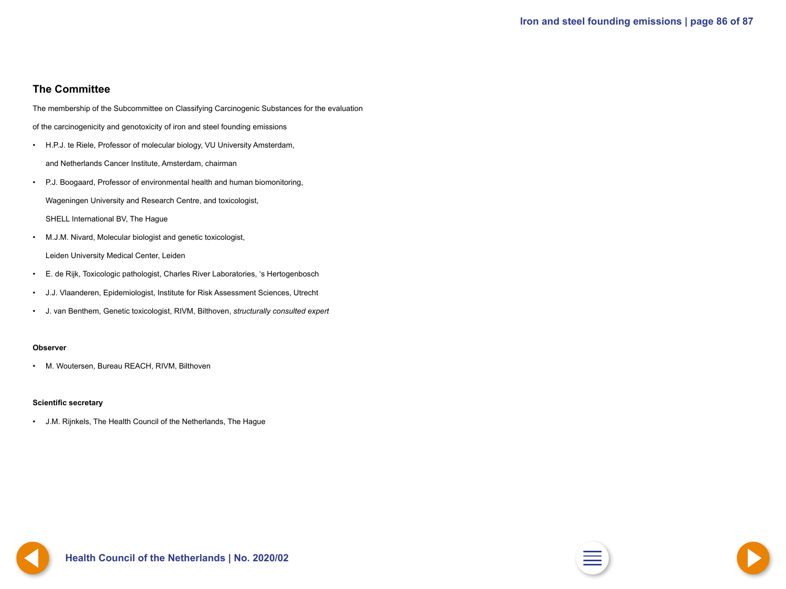### <span id="page-85-0"></span>**The Committee**

The membership of the Subcommittee on Classifying Carcinogenic Substances for the evaluation

of the carcinogenicity and genotoxicity of iron and steel founding emissions

- H.P.J. te Riele, Professor of molecular biology, VU University Amsterdam, and Netherlands Cancer Institute, Amsterdam, chairman
- P.J. Boogaard, Professor of environmental health and human biomonitoring, Wageningen University and Research Centre, and toxicologist,
	- SHELL International BV, The Hague
- M.J.M. Nivard, Molecular biologist and genetic toxicologist, Leiden University Medical Center, Leiden
- E. de Rijk, Toxicologic pathologist, Charles River Laboratories, 's Hertogenbosch
- J.J. Vlaanderen, Epidemiologist, Institute for Risk Assessment Sciences, Utrecht
- J. van Benthem, Genetic toxicologist, RIVM, Bilthoven, *structurally consulted expert*

#### **Observer**

• M. Woutersen, Bureau REACH, RIVM, Bilthoven

#### **Scientific secretary**

• J.M. Rijnkels, The Health Council of the Netherlands, The Hague